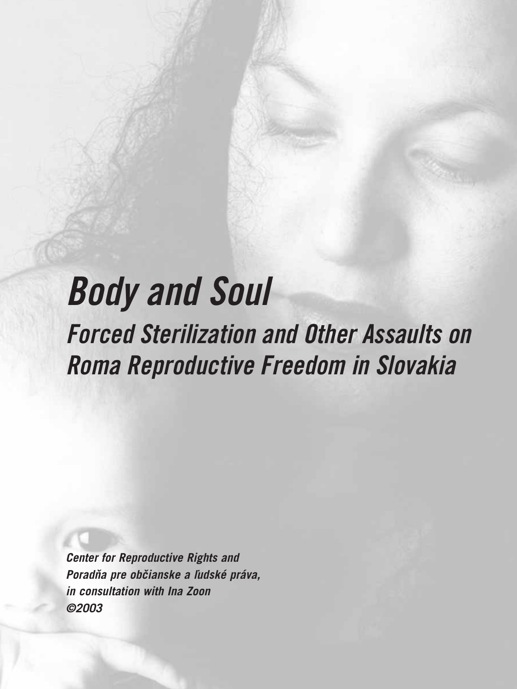# **Forced Sterilization and Other Assaults on Roma Reproductive Freedom in Slovakia**

**Center for Reproductive Rights and Porad***πa pre ob∞ianske a ∂***udské práva, in consultation with Ina Zoon ©2003**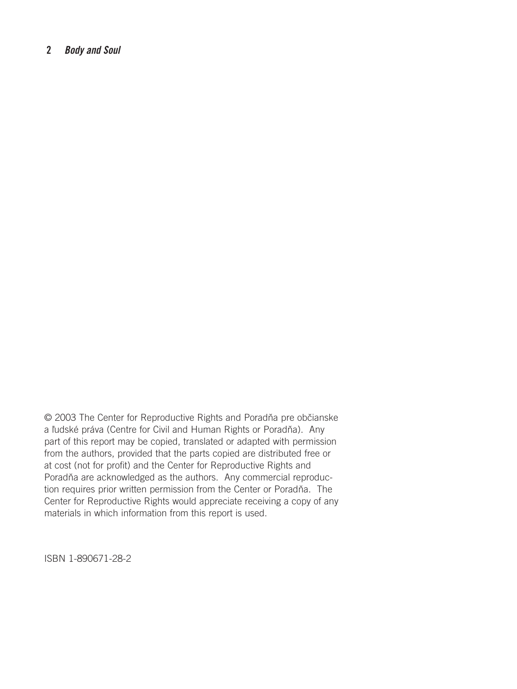© 2003 The Center for Reproductive Rights and Poradňa pre občianske a ľudské práva (Centre for Civil and Human Rights or Poradňa). Any part of this report may be copied, translated or adapted with permission from the authors, provided that the parts copied are distributed free or at cost (not for profit) and the Center for Reproductive Rights and Poradňa are acknowledged as the authors. Any commercial reproduction requires prior written permission from the Center or Poradňa. The Center for Reproductive Rights would appreciate receiving a copy of any materials in which information from this report is used.

ISBN 1-890671-28-2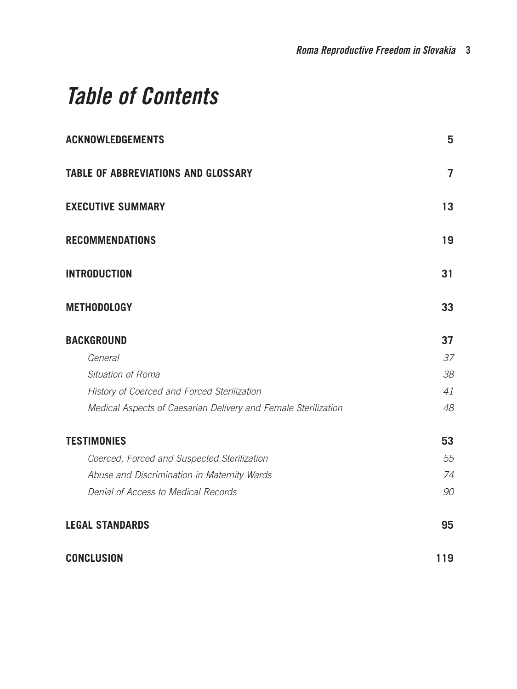# **Table of Contents**

| <b>ACKNOWLEDGEMENTS</b>                                        | 5              |
|----------------------------------------------------------------|----------------|
| TABLE OF ABBREVIATIONS AND GLOSSARY                            | $\overline{7}$ |
| <b>EXECUTIVE SUMMARY</b>                                       | 13             |
| <b>RECOMMENDATIONS</b>                                         | 19             |
| <b>INTRODUCTION</b>                                            | 31             |
| <b>METHODOLOGY</b>                                             | 33             |
| <b>BACKGROUND</b>                                              | 37             |
| General                                                        | 37             |
| Situation of Roma                                              | 38             |
| History of Coerced and Forced Sterilization                    | 41             |
| Medical Aspects of Caesarian Delivery and Female Sterilization | 48             |
| <b>TESTIMONIES</b>                                             | 53             |
| Coerced, Forced and Suspected Sterilization                    | 55             |
| Abuse and Discrimination in Maternity Wards                    | 74             |
| Denial of Access to Medical Records                            | 90             |
| <b>LEGAL STANDARDS</b>                                         | 95             |
| <b>CONCLUSION</b>                                              | 119            |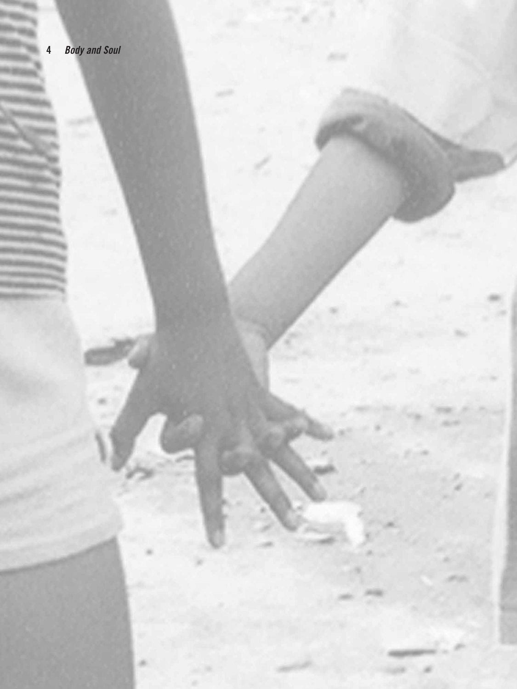œ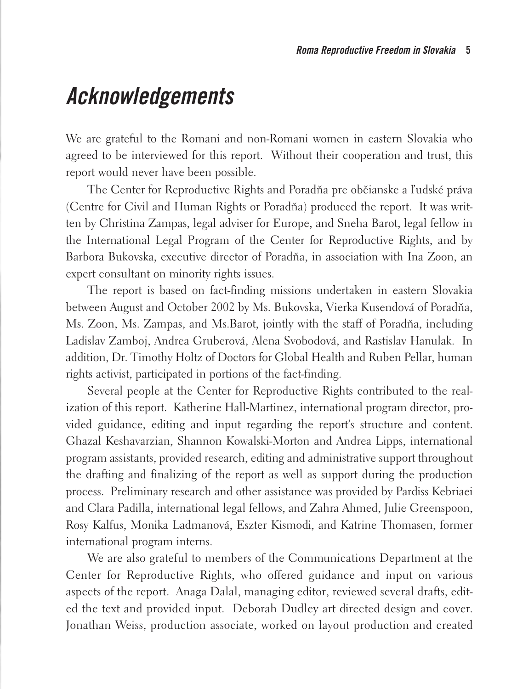### **Acknowledgements**

We are grateful to the Romani and non-Romani women in eastern Slovakia who agreed to be interviewed for this report. Without their cooperation and trust, this report would never have been possible.

The Center for Reproductive Rights and Poradňa pre občianske a ľudské práva (Centre for Civil and Human Rights or Poradπa) produced the report. It was written by Christina Zampas, legal adviser for Europe, and Sneha Barot, legal fellow in the International Legal Program of the Center for Reproductive Rights, and by Barbora Bukovska, executive director of Poradňa, in association with Ina Zoon, an expert consultant on minority rights issues.

The report is based on fact-finding missions undertaken in eastern Slovakia between August and October 2002 by Ms. Bukovska, Vierka Kusendová of Poradňa, Ms. Zoon, Ms. Zampas, and Ms.Barot, jointly with the staff of Poradna, including Ladislav Zamboj, Andrea Gruberová, Alena Svobodová, and Rastislav Hanulak. In addition, Dr. Timothy Holtz of Doctors for Global Health and Ruben Pellar, human rights activist, participated in portions of the fact-finding.

Several people at the Center for Reproductive Rights contributed to the realization of this report. Katherine Hall-Martinez, international program director, provided guidance, editing and input regarding the report's structure and content. Ghazal Keshavarzian, Shannon Kowalski-Morton and Andrea Lipps, international program assistants, provided research, editing and administrative support throughout the drafting and finalizing of the report as well as support during the production process. Preliminary research and other assistance was provided by Pardiss Kebriaei and Clara Padilla, international legal fellows, and Zahra Ahmed, Julie Greenspoon, Rosy Kalfus, Monika Ladmanová, Eszter Kismodi, and Katrine Thomasen, former international program interns.

We are also grateful to members of the Communications Department at the Center for Reproductive Rights, who offered guidance and input on various aspects of the report. Anaga Dalal, managing editor, reviewed several drafts, edited the text and provided input. Deborah Dudley art directed design and cover. Jonathan Weiss, production associate, worked on layout production and created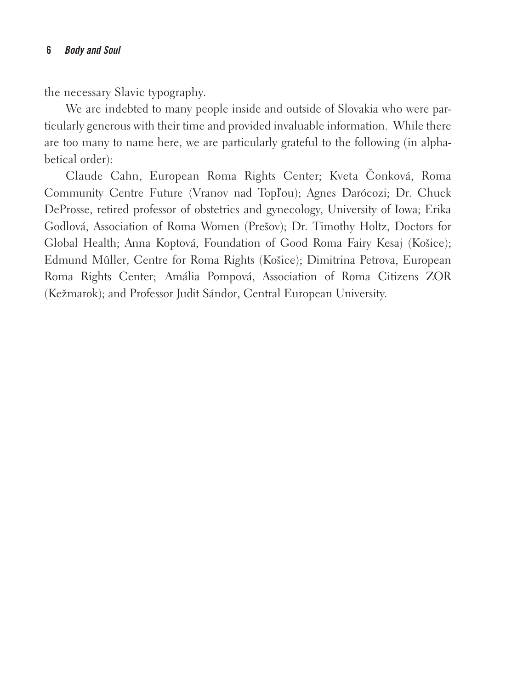the necessary Slavic typography.

We are indebted to many people inside and outside of Slovakia who were particularly generous with their time and provided invaluable information. While there are too many to name here, we are particularly grateful to the following (in alphabetical order):

Claude Cahn, European Roma Rights Center; Kveta ∫onková, Roma Community Centre Future (Vranov nad Top∂ou); Agnes Darócozi; Dr. Chuck DeProsse, retired professor of obstetrics and gynecology, University of Iowa; Erika Godlová, Association of Roma Women (Prešov); Dr. Timothy Holtz, Doctors for Global Health; Anna Koptová, Foundation of Good Roma Fairy Kesaj (Košice); Edmund Mûller, Centre for Roma Rights (Ko≥ice); Dimitrina Petrova, European Roma Rights Center; Amália Pompová, Association of Roma Citizens ZOR (Kežmarok); and Professor Judit Sándor, Central European University.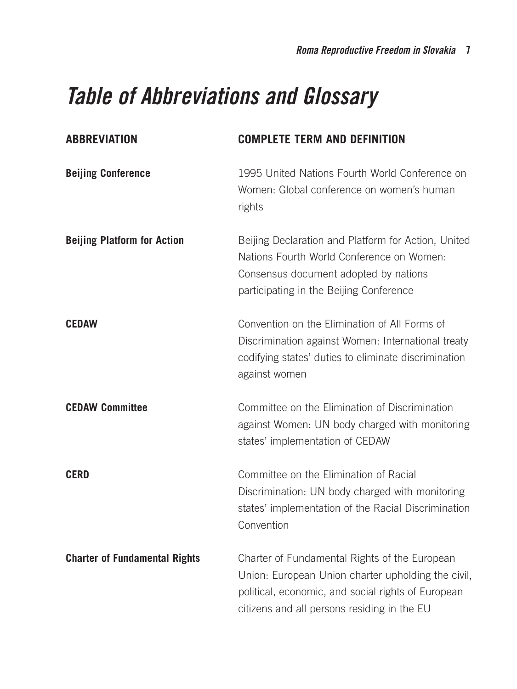# **Table of Abbreviations and Glossary**

| <b>ABBREVIATION</b>                  | <b>COMPLETE TERM AND DEFINITION</b>                                                                                                                                                                      |
|--------------------------------------|----------------------------------------------------------------------------------------------------------------------------------------------------------------------------------------------------------|
| <b>Beijing Conference</b>            | 1995 United Nations Fourth World Conference on<br>Women: Global conference on women's human<br>rights                                                                                                    |
| <b>Beijing Platform for Action</b>   | Beijing Declaration and Platform for Action, United<br>Nations Fourth World Conference on Women:<br>Consensus document adopted by nations<br>participating in the Beijing Conference                     |
| <b>CEDAW</b>                         | Convention on the Elimination of All Forms of<br>Discrimination against Women: International treaty<br>codifying states' duties to eliminate discrimination<br>against women                             |
| <b>CEDAW Committee</b>               | Committee on the Elimination of Discrimination<br>against Women: UN body charged with monitoring<br>states' implementation of CEDAW                                                                      |
| <b>CERD</b>                          | Committee on the Elimination of Racial<br>Discrimination: UN body charged with monitoring<br>states' implementation of the Racial Discrimination<br>Convention                                           |
| <b>Charter of Fundamental Rights</b> | Charter of Fundamental Rights of the European<br>Union: European Union charter upholding the civil,<br>political, economic, and social rights of European<br>citizens and all persons residing in the EU |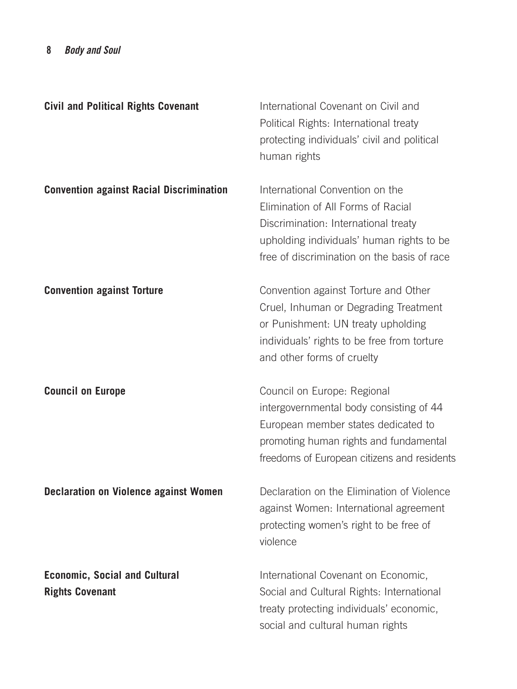| <b>Civil and Political Rights Covenant</b>                     | International Covenant on Civil and<br>Political Rights: International treaty<br>protecting individuals' civil and political<br>human rights                                                              |
|----------------------------------------------------------------|-----------------------------------------------------------------------------------------------------------------------------------------------------------------------------------------------------------|
| <b>Convention against Racial Discrimination</b>                | International Convention on the<br>Elimination of All Forms of Racial<br>Discrimination: International treaty<br>upholding individuals' human rights to be<br>free of discrimination on the basis of race |
| <b>Convention against Torture</b>                              | Convention against Torture and Other<br>Cruel, Inhuman or Degrading Treatment<br>or Punishment: UN treaty upholding<br>individuals' rights to be free from torture<br>and other forms of cruelty          |
| <b>Council on Europe</b>                                       | Council on Europe: Regional<br>intergovernmental body consisting of 44<br>European member states dedicated to<br>promoting human rights and fundamental<br>freedoms of European citizens and residents    |
| <b>Declaration on Violence against Women</b>                   | Declaration on the Elimination of Violence<br>against Women: International agreement<br>protecting women's right to be free of<br>violence                                                                |
| <b>Economic, Social and Cultural</b><br><b>Rights Covenant</b> | International Covenant on Economic,<br>Social and Cultural Rights: International<br>treaty protecting individuals' economic,<br>social and cultural human rights                                          |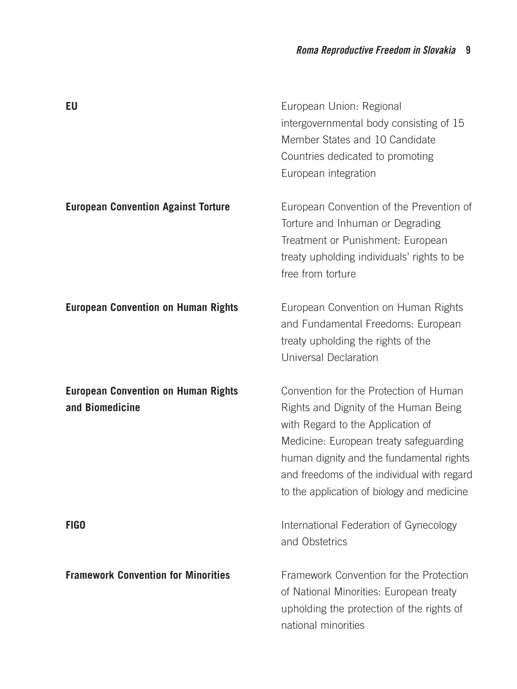| EU                                                            | European Union: Regional<br>intergovernmental body consisting of 15<br>Member States and 10 Candidate<br>Countries dedicated to promoting<br>European integration                                                                                                                                      |
|---------------------------------------------------------------|--------------------------------------------------------------------------------------------------------------------------------------------------------------------------------------------------------------------------------------------------------------------------------------------------------|
| <b>European Convention Against Torture</b>                    | European Convention of the Prevention of<br>Torture and Inhuman or Degrading<br>Treatment or Punishment: European<br>treaty upholding individuals' rights to be<br>free from torture                                                                                                                   |
| <b>European Convention on Human Rights</b>                    | European Convention on Human Rights<br>and Fundamental Freedoms: European<br>treaty upholding the rights of the<br>Universal Declaration                                                                                                                                                               |
| <b>European Convention on Human Rights</b><br>and Biomedicine | Convention for the Protection of Human<br>Rights and Dignity of the Human Being<br>with Regard to the Application of<br>Medicine: European treaty safeguarding<br>human dignity and the fundamental rights<br>and freedoms of the individual with regard<br>to the application of biology and medicine |
| <b>FIGO</b>                                                   | International Federation of Gynecology<br>and Obstetrics                                                                                                                                                                                                                                               |
| <b>Framework Convention for Minorities</b>                    | Framework Convention for the Protection<br>of National Minorities: European treaty<br>upholding the protection of the rights of<br>national minorities                                                                                                                                                 |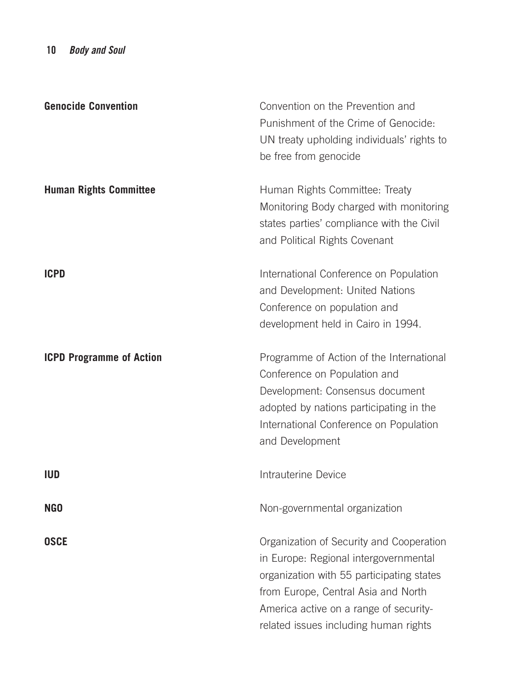| <b>Genocide Convention</b>      | Convention on the Prevention and<br>Punishment of the Crime of Genocide:<br>UN treaty upholding individuals' rights to<br>be free from genocide                                                                                                          |
|---------------------------------|----------------------------------------------------------------------------------------------------------------------------------------------------------------------------------------------------------------------------------------------------------|
| <b>Human Rights Committee</b>   | Human Rights Committee: Treaty<br>Monitoring Body charged with monitoring<br>states parties' compliance with the Civil<br>and Political Rights Covenant                                                                                                  |
| <b>ICPD</b>                     | International Conference on Population<br>and Development: United Nations<br>Conference on population and<br>development held in Cairo in 1994.                                                                                                          |
| <b>ICPD Programme of Action</b> | Programme of Action of the International<br>Conference on Population and<br>Development: Consensus document<br>adopted by nations participating in the<br>International Conference on Population<br>and Development                                      |
| iud                             | Intrauterine Device                                                                                                                                                                                                                                      |
| NGO                             | Non-governmental organization                                                                                                                                                                                                                            |
| <b>OSCE</b>                     | Organization of Security and Cooperation<br>in Europe: Regional intergovernmental<br>organization with 55 participating states<br>from Europe, Central Asia and North<br>America active on a range of security-<br>related issues including human rights |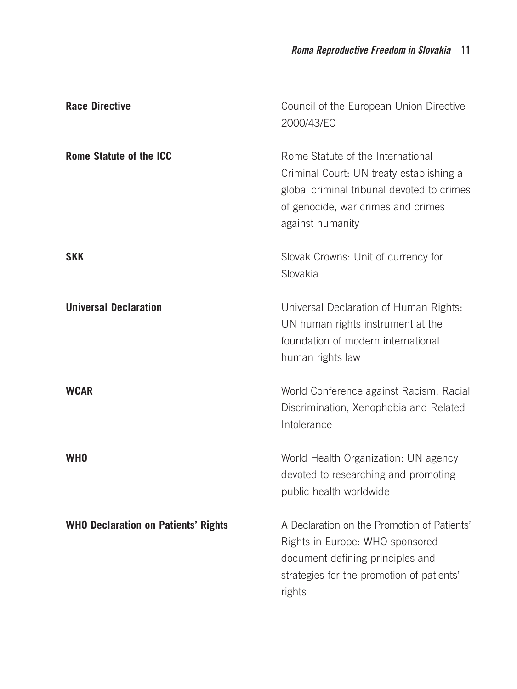| <b>Race Directive</b>                      | Council of the European Union Directive<br>2000/43/EC                                                                                                                                 |
|--------------------------------------------|---------------------------------------------------------------------------------------------------------------------------------------------------------------------------------------|
| <b>Rome Statute of the ICC</b>             | Rome Statute of the International<br>Criminal Court: UN treaty establishing a<br>global criminal tribunal devoted to crimes<br>of genocide, war crimes and crimes<br>against humanity |
| <b>SKK</b>                                 | Slovak Crowns: Unit of currency for<br>Slovakia                                                                                                                                       |
| <b>Universal Declaration</b>               | Universal Declaration of Human Rights:<br>UN human rights instrument at the<br>foundation of modern international<br>human rights law                                                 |
| <b>WCAR</b>                                | World Conference against Racism, Racial<br>Discrimination, Xenophobia and Related<br>Intolerance                                                                                      |
| WHO                                        | World Health Organization: UN agency<br>devoted to researching and promoting<br>public health worldwide                                                                               |
| <b>WHO Declaration on Patients' Rights</b> | A Declaration on the Promotion of Patients'<br>Rights in Europe: WHO sponsored<br>document defining principles and<br>strategies for the promotion of patients'<br>rights             |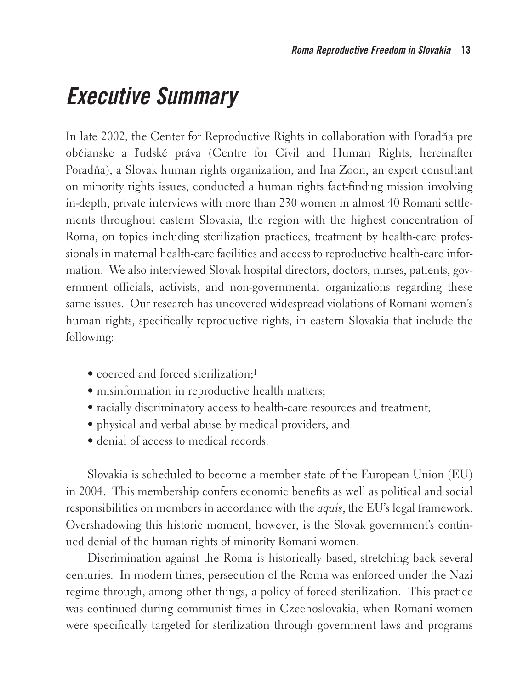### **Executive Summary**

In late 2002, the Center for Reproductive Rights in collaboration with Poradna pre ob∞ianske a ∂udské práva (Centre for Civil and Human Rights, hereinafter Poradňa), a Slovak human rights organization, and Ina Zoon, an expert consultant on minority rights issues, conducted a human rights fact-finding mission involving in-depth, private interviews with more than 230 women in almost 40 Romani settlements throughout eastern Slovakia, the region with the highest concentration of Roma, on topics including sterilization practices, treatment by health-care professionals in maternal health-care facilities and access to reproductive health-care information. We also interviewed Slovak hospital directors, doctors, nurses, patients, government officials, activists, and non-governmental organizations regarding these same issues. Our research has uncovered widespread violations of Romani women's human rights, specifically reproductive rights, in eastern Slovakia that include the following:

- coerced and forced sterilization;<sup>1</sup>
- misinformation in reproductive health matters;
- racially discriminatory access to health-care resources and treatment;
- physical and verbal abuse by medical providers; and
- denial of access to medical records.

Slovakia is scheduled to become a member state of the European Union (EU) in 2004. This membership confers economic benefits as well as political and social responsibilities on members in accordance with the *aquis*, the EU's legal framework. Overshadowing this historic moment, however, is the Slovak government's continued denial of the human rights of minority Romani women.

Discrimination against the Roma is historically based, stretching back several centuries. In modern times, persecution of the Roma was enforced under the Nazi regime through, among other things, a policy of forced sterilization. This practice was continued during communist times in Czechoslovakia, when Romani women were specifically targeted for sterilization through government laws and programs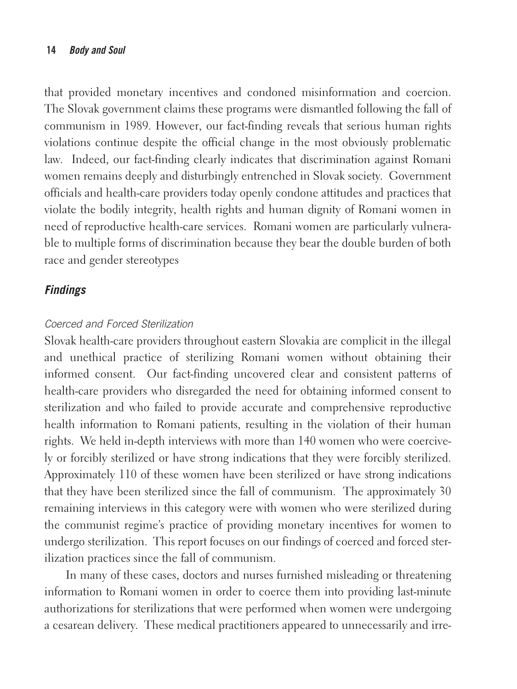that provided monetary incentives and condoned misinformation and coercion. The Slovak government claims these programs were dismantled following the fall of communism in 1989. However, our fact-finding reveals that serious human rights violations continue despite the official change in the most obviously problematic law. Indeed, our fact-finding clearly indicates that discrimination against Romani women remains deeply and disturbingly entrenched in Slovak society. Government officials and health-care providers today openly condone attitudes and practices that violate the bodily integrity, health rights and human dignity of Romani women in need of reproductive health-care services. Romani women are particularly vulnerable to multiple forms of discrimination because they bear the double burden of both race and gender stereotypes

#### **Findings**

#### Coerced and Forced Sterilization

Slovak health-care providers throughout eastern Slovakia are complicit in the illegal and unethical practice of sterilizing Romani women without obtaining their informed consent. Our fact-finding uncovered clear and consistent patterns of health-care providers who disregarded the need for obtaining informed consent to sterilization and who failed to provide accurate and comprehensive reproductive health information to Romani patients, resulting in the violation of their human rights. We held in-depth interviews with more than 140 women who were coercively or forcibly sterilized or have strong indications that they were forcibly sterilized. Approximately 110 of these women have been sterilized or have strong indications that they have been sterilized since the fall of communism. The approximately 30 remaining interviews in this category were with women who were sterilized during the communist regime's practice of providing monetary incentives for women to undergo sterilization. This report focuses on our findings of coerced and forced sterilization practices since the fall of communism.

In many of these cases, doctors and nurses furnished misleading or threatening information to Romani women in order to coerce them into providing last-minute authorizations for sterilizations that were performed when women were undergoing a cesarean delivery. These medical practitioners appeared to unnecessarily and irre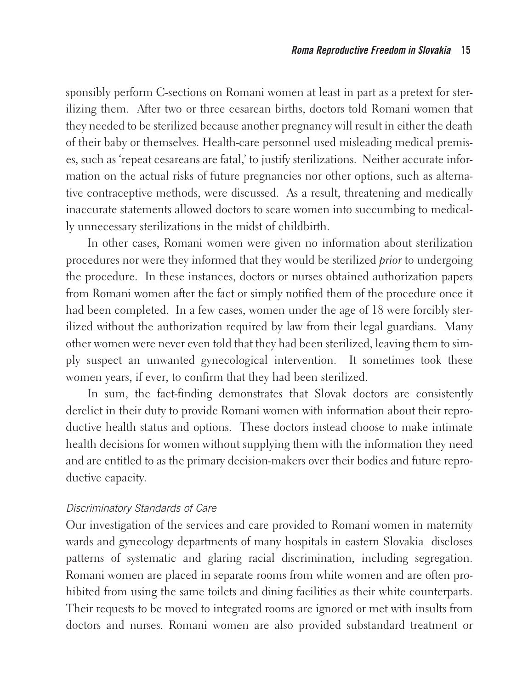sponsibly perform C-sections on Romani women at least in part as a pretext for sterilizing them. After two or three cesarean births, doctors told Romani women that they needed to be sterilized because another pregnancy will result in either the death of their baby or themselves. Health-care personnel used misleading medical premises, such as 'repeat cesareans are fatal,' to justify sterilizations. Neither accurate information on the actual risks of future pregnancies nor other options, such as alternative contraceptive methods, were discussed. As a result, threatening and medically inaccurate statements allowed doctors to scare women into succumbing to medically unnecessary sterilizations in the midst of childbirth.

In other cases, Romani women were given no information about sterilization procedures nor were they informed that they would be sterilized *prior* to undergoing the procedure. In these instances, doctors or nurses obtained authorization papers from Romani women after the fact or simply notified them of the procedure once it had been completed. In a few cases, women under the age of 18 were forcibly sterilized without the authorization required by law from their legal guardians. Many other women were never even told that they had been sterilized, leaving them to simply suspect an unwanted gynecological intervention. It sometimes took these women years, if ever, to confirm that they had been sterilized.

In sum, the fact-finding demonstrates that Slovak doctors are consistently derelict in their duty to provide Romani women with information about their reproductive health status and options. These doctors instead choose to make intimate health decisions for women without supplying them with the information they need and are entitled to as the primary decision-makers over their bodies and future reproductive capacity.

#### Discriminatory Standards of Care

Our investigation of the services and care provided to Romani women in maternity wards and gynecology departments of many hospitals in eastern Slovakia discloses patterns of systematic and glaring racial discrimination, including segregation. Romani women are placed in separate rooms from white women and are often prohibited from using the same toilets and dining facilities as their white counterparts. Their requests to be moved to integrated rooms are ignored or met with insults from doctors and nurses. Romani women are also provided substandard treatment or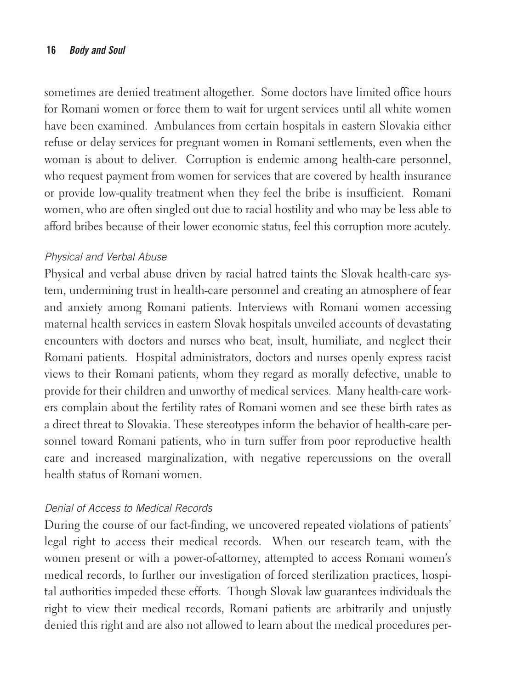sometimes are denied treatment altogether. Some doctors have limited office hours for Romani women or force them to wait for urgent services until all white women have been examined. Ambulances from certain hospitals in eastern Slovakia either refuse or delay services for pregnant women in Romani settlements, even when the woman is about to deliver. Corruption is endemic among health-care personnel, who request payment from women for services that are covered by health insurance or provide low-quality treatment when they feel the bribe is insufficient. Romani women, who are often singled out due to racial hostility and who may be less able to afford bribes because of their lower economic status, feel this corruption more acutely.

#### Physical and Verbal Abuse

Physical and verbal abuse driven by racial hatred taints the Slovak health-care system, undermining trust in health-care personnel and creating an atmosphere of fear and anxiety among Romani patients. Interviews with Romani women accessing maternal health services in eastern Slovak hospitals unveiled accounts of devastating encounters with doctors and nurses who beat, insult, humiliate, and neglect their Romani patients. Hospital administrators, doctors and nurses openly express racist views to their Romani patients, whom they regard as morally defective, unable to provide for their children and unworthy of medical services. Many health-care workers complain about the fertility rates of Romani women and see these birth rates as a direct threat to Slovakia. These stereotypes inform the behavior of health-care personnel toward Romani patients, who in turn suffer from poor reproductive health care and increased marginalization, with negative repercussions on the overall health status of Romani women.

#### Denial of Access to Medical Records

During the course of our fact-finding, we uncovered repeated violations of patients' legal right to access their medical records. When our research team, with the women present or with a power-of-attorney, attempted to access Romani women's medical records, to further our investigation of forced sterilization practices, hospital authorities impeded these efforts. Though Slovak law guarantees individuals the right to view their medical records, Romani patients are arbitrarily and unjustly denied this right and are also not allowed to learn about the medical procedures per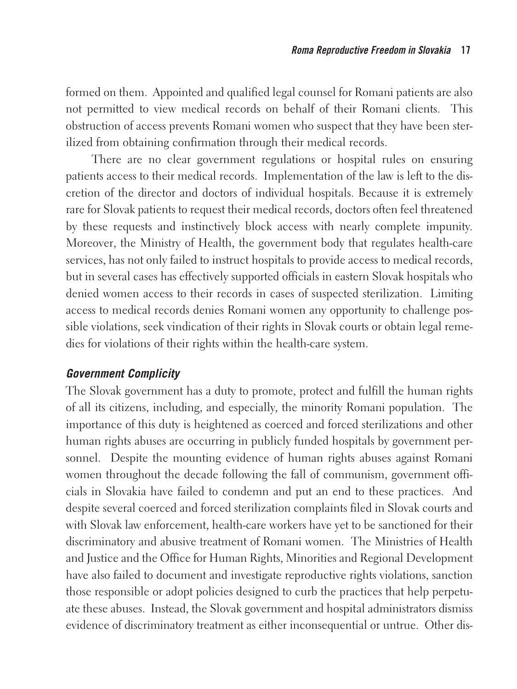formed on them. Appointed and qualified legal counsel for Romani patients are also not permitted to view medical records on behalf of their Romani clients. This obstruction of access prevents Romani women who suspect that they have been sterilized from obtaining confirmation through their medical records.

There are no clear government regulations or hospital rules on ensuring patients access to their medical records. Implementation of the law is left to the discretion of the director and doctors of individual hospitals. Because it is extremely rare for Slovak patients to request their medical records, doctors often feel threatened by these requests and instinctively block access with nearly complete impunity. Moreover, the Ministry of Health, the government body that regulates health-care services, has not only failed to instruct hospitals to provide access to medical records, but in several cases has effectively supported officials in eastern Slovak hospitals who denied women access to their records in cases of suspected sterilization. Limiting access to medical records denies Romani women any opportunity to challenge possible violations, seek vindication of their rights in Slovak courts or obtain legal remedies for violations of their rights within the health-care system.

#### **Government Complicity**

The Slovak government has a duty to promote, protect and fulfill the human rights of all its citizens, including, and especially, the minority Romani population. The importance of this duty is heightened as coerced and forced sterilizations and other human rights abuses are occurring in publicly funded hospitals by government personnel. Despite the mounting evidence of human rights abuses against Romani women throughout the decade following the fall of communism, government officials in Slovakia have failed to condemn and put an end to these practices. And despite several coerced and forced sterilization complaints filed in Slovak courts and with Slovak law enforcement, health-care workers have yet to be sanctioned for their discriminatory and abusive treatment of Romani women. The Ministries of Health and Justice and the Office for Human Rights, Minorities and Regional Development have also failed to document and investigate reproductive rights violations, sanction those responsible or adopt policies designed to curb the practices that help perpetuate these abuses. Instead, the Slovak government and hospital administrators dismiss evidence of discriminatory treatment as either inconsequential or untrue. Other dis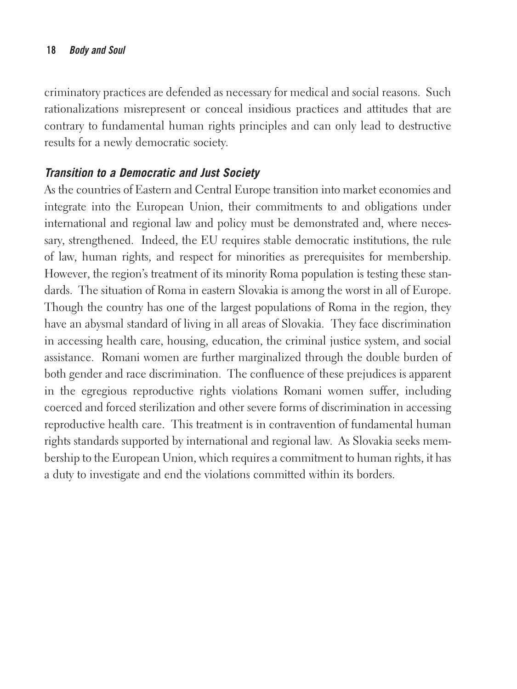criminatory practices are defended as necessary for medical and social reasons. Such rationalizations misrepresent or conceal insidious practices and attitudes that are contrary to fundamental human rights principles and can only lead to destructive results for a newly democratic society.

#### **Transition to a Democratic and Just Society**

As the countries of Eastern and Central Europe transition into market economies and integrate into the European Union, their commitments to and obligations under international and regional law and policy must be demonstrated and, where necessary, strengthened. Indeed, the EU requires stable democratic institutions, the rule of law, human rights, and respect for minorities as prerequisites for membership. However, the region's treatment of its minority Roma population is testing these standards. The situation of Roma in eastern Slovakia is among the worst in all of Europe. Though the country has one of the largest populations of Roma in the region, they have an abysmal standard of living in all areas of Slovakia. They face discrimination in accessing health care, housing, education, the criminal justice system, and social assistance. Romani women are further marginalized through the double burden of both gender and race discrimination. The confluence of these prejudices is apparent in the egregious reproductive rights violations Romani women suffer, including coerced and forced sterilization and other severe forms of discrimination in accessing reproductive health care. This treatment is in contravention of fundamental human rights standards supported by international and regional law. As Slovakia seeks membership to the European Union, which requires a commitment to human rights, it has a duty to investigate and end the violations committed within its borders.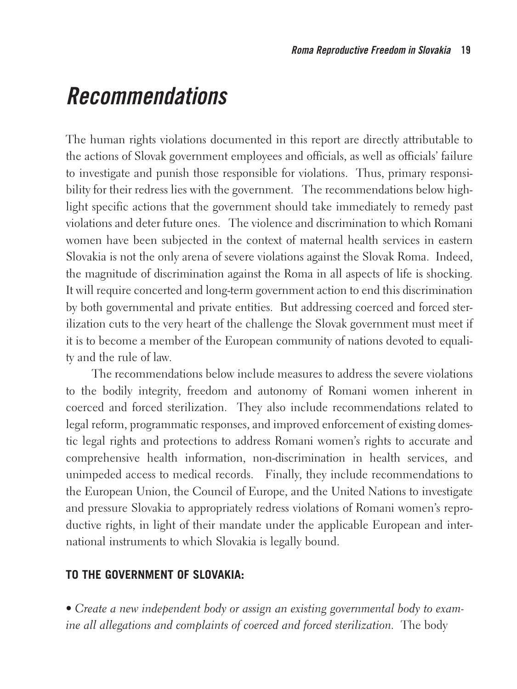# **Recommendations**

The human rights violations documented in this report are directly attributable to the actions of Slovak government employees and officials, as well as officials' failure to investigate and punish those responsible for violations. Thus, primary responsibility for their redress lies with the government. The recommendations below highlight specific actions that the government should take immediately to remedy past violations and deter future ones. The violence and discrimination to which Romani women have been subjected in the context of maternal health services in eastern Slovakia is not the only arena of severe violations against the Slovak Roma. Indeed, the magnitude of discrimination against the Roma in all aspects of life is shocking. It will require concerted and long-term government action to end this discrimination by both governmental and private entities. But addressing coerced and forced sterilization cuts to the very heart of the challenge the Slovak government must meet if it is to become a member of the European community of nations devoted to equality and the rule of law.

The recommendations below include measures to address the severe violations to the bodily integrity, freedom and autonomy of Romani women inherent in coerced and forced sterilization. They also include recommendations related to legal reform, programmatic responses, and improved enforcement of existing domestic legal rights and protections to address Romani women's rights to accurate and comprehensive health information, non-discrimination in health services, and unimpeded access to medical records. Finally, they include recommendations to the European Union, the Council of Europe, and the United Nations to investigate and pressure Slovakia to appropriately redress violations of Romani women's reproductive rights, in light of their mandate under the applicable European and international instruments to which Slovakia is legally bound.

#### **TO THE GOVERNMENT OF SLOVAKIA:**

• *Create a new independent body or assign an existing governmental body to examine all allegations and complaints of coerced and forced sterilization.* The body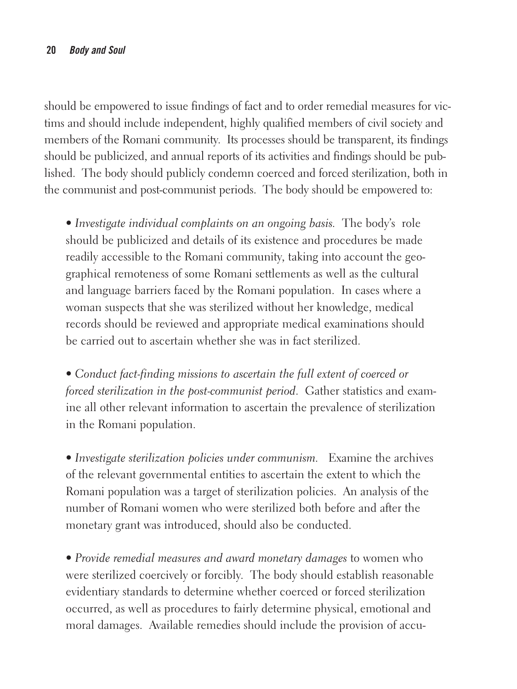should be empowered to issue findings of fact and to order remedial measures for victims and should include independent, highly qualified members of civil society and members of the Romani community. Its processes should be transparent, its findings should be publicized, and annual reports of its activities and findings should be published. The body should publicly condemn coerced and forced sterilization, both in the communist and post-communist periods. The body should be empowered to:

• *Investigate individual complaints on an ongoing basis.* The body's role should be publicized and details of its existence and procedures be made readily accessible to the Romani community, taking into account the geographical remoteness of some Romani settlements as well as the cultural and language barriers faced by the Romani population. In cases where a woman suspects that she was sterilized without her knowledge, medical records should be reviewed and appropriate medical examinations should be carried out to ascertain whether she was in fact sterilized.

• *Conduct fact-finding missions to ascertain the full extent of coerced or forced sterilization in the post-communist period*. Gather statistics and examine all other relevant information to ascertain the prevalence of sterilization in the Romani population.

• *Investigate sterilization policies under communism.* Examine the archives of the relevant governmental entities to ascertain the extent to which the Romani population was a target of sterilization policies. An analysis of the number of Romani women who were sterilized both before and after the monetary grant was introduced, should also be conducted.

• *Provide remedial measures and award monetary damages* to women who were sterilized coercively or forcibly. The body should establish reasonable evidentiary standards to determine whether coerced or forced sterilization occurred, as well as procedures to fairly determine physical, emotional and moral damages. Available remedies should include the provision of accu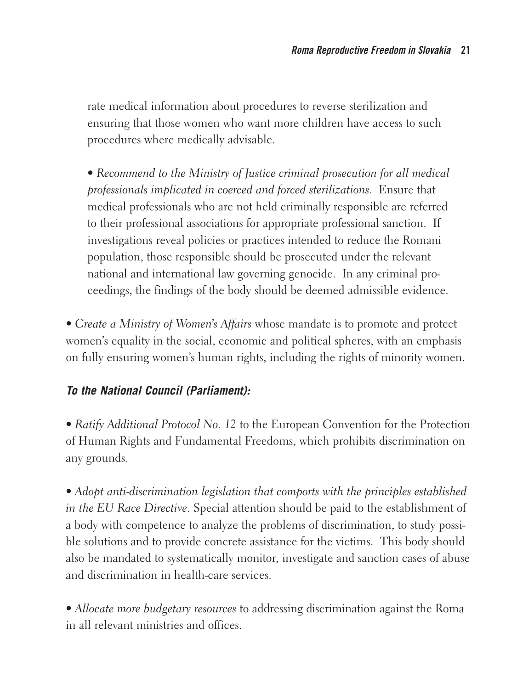rate medical information about procedures to reverse sterilization and ensuring that those women who want more children have access to such procedures where medically advisable.

• *Recommend to the Ministry of Justice criminal prosecution for all medical professionals implicated in coerced and forced sterilizations.* Ensure that medical professionals who are not held criminally responsible are referred to their professional associations for appropriate professional sanction. If investigations reveal policies or practices intended to reduce the Romani population, those responsible should be prosecuted under the relevant national and international law governing genocide. In any criminal proceedings, the findings of the body should be deemed admissible evidence.

• *Create a Ministry of Women's Affairs* whose mandate is to promote and protect women's equality in the social, economic and political spheres, with an emphasis on fully ensuring women's human rights, including the rights of minority women.

#### **To the National Council (Parliament):**

• *Ratify Additional Protocol No. 12* to the European Convention for the Protection of Human Rights and Fundamental Freedoms, which prohibits discrimination on any grounds.

• *Adopt anti-discrimination legislation that comports with the principles established in the EU Race Directive*. Special attention should be paid to the establishment of a body with competence to analyze the problems of discrimination, to study possible solutions and to provide concrete assistance for the victims. This body should also be mandated to systematically monitor, investigate and sanction cases of abuse and discrimination in health-care services.

• *Allocate more budgetary resources* to addressing discrimination against the Roma in all relevant ministries and offices.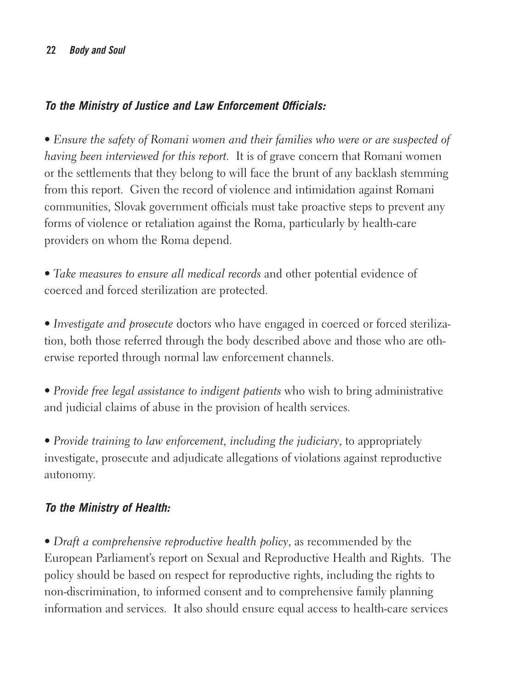#### **To the Ministry of Justice and Law Enforcement Officials:**

• *Ensure the safety of Romani women and their families who were or are suspected of having been interviewed for this report.* It is of grave concern that Romani women or the settlements that they belong to will face the brunt of any backlash stemming from this report. Given the record of violence and intimidation against Romani communities, Slovak government officials must take proactive steps to prevent any forms of violence or retaliation against the Roma, particularly by health-care providers on whom the Roma depend.

• *Take measures to ensure all medical records* and other potential evidence of coerced and forced sterilization are protected.

• *Investigate and prosecute* doctors who have engaged in coerced or forced sterilization, both those referred through the body described above and those who are otherwise reported through normal law enforcement channels.

• *Provide free legal assistance to indigent patients* who wish to bring administrative and judicial claims of abuse in the provision of health services.

• *Provide training to law enforcement, including the judiciary*, to appropriately investigate, prosecute and adjudicate allegations of violations against reproductive autonomy.

#### **To the Ministry of Health:**

• *Draft a comprehensive reproductive health policy*, as recommended by the European Parliament's report on Sexual and Reproductive Health and Rights. The policy should be based on respect for reproductive rights, including the rights to non-discrimination, to informed consent and to comprehensive family planning information and services. It also should ensure equal access to health-care services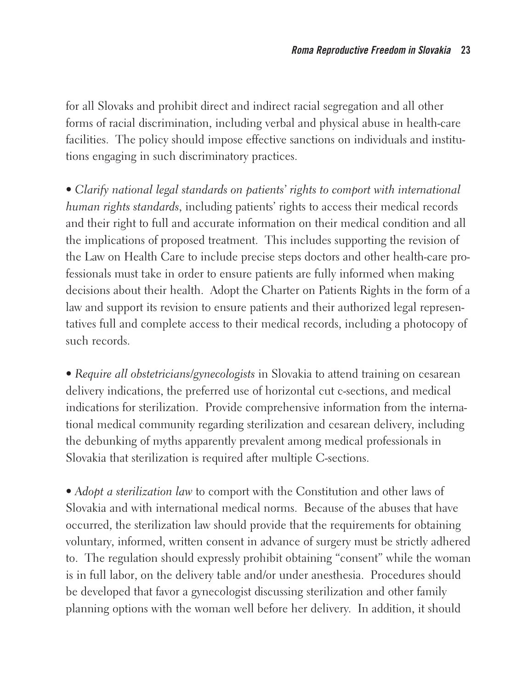for all Slovaks and prohibit direct and indirect racial segregation and all other forms of racial discrimination, including verbal and physical abuse in health-care facilities. The policy should impose effective sanctions on individuals and institutions engaging in such discriminatory practices.

• *Clarify national legal standards on patients' rights to comport with international human rights standards*, including patients' rights to access their medical records and their right to full and accurate information on their medical condition and all the implications of proposed treatment. This includes supporting the revision of the Law on Health Care to include precise steps doctors and other health-care professionals must take in order to ensure patients are fully informed when making decisions about their health. Adopt the Charter on Patients Rights in the form of a law and support its revision to ensure patients and their authorized legal representatives full and complete access to their medical records, including a photocopy of such records.

• *Require all obstetricians/gynecologists* in Slovakia to attend training on cesarean delivery indications, the preferred use of horizontal cut c-sections, and medical indications for sterilization. Provide comprehensive information from the international medical community regarding sterilization and cesarean delivery, including the debunking of myths apparently prevalent among medical professionals in Slovakia that sterilization is required after multiple C-sections.

• *Adopt a sterilization law* to comport with the Constitution and other laws of Slovakia and with international medical norms. Because of the abuses that have occurred, the sterilization law should provide that the requirements for obtaining voluntary, informed, written consent in advance of surgery must be strictly adhered to. The regulation should expressly prohibit obtaining "consent" while the woman is in full labor, on the delivery table and/or under anesthesia. Procedures should be developed that favor a gynecologist discussing sterilization and other family planning options with the woman well before her delivery. In addition, it should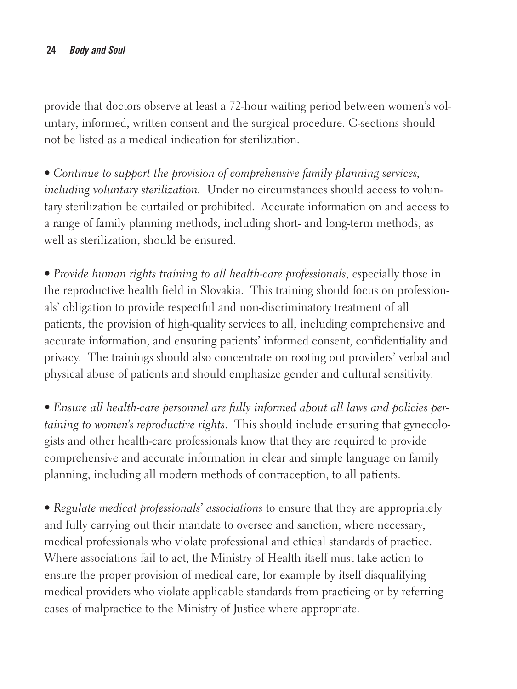provide that doctors observe at least a 72-hour waiting period between women's voluntary, informed, written consent and the surgical procedure. C-sections should not be listed as a medical indication for sterilization.

• *Continue to support the provision of comprehensive family planning services, including voluntary sterilization.* Under no circumstances should access to voluntary sterilization be curtailed or prohibited. Accurate information on and access to a range of family planning methods, including short- and long-term methods, as well as sterilization, should be ensured.

• *Provide human rights training to all health-care professionals*, especially those in the reproductive health field in Slovakia. This training should focus on professionals' obligation to provide respectful and non-discriminatory treatment of all patients, the provision of high-quality services to all, including comprehensive and accurate information, and ensuring patients' informed consent, confidentiality and privacy. The trainings should also concentrate on rooting out providers' verbal and physical abuse of patients and should emphasize gender and cultural sensitivity.

• *Ensure all health-care personnel are fully informed about all laws and policies pertaining to women's reproductive rights*. This should include ensuring that gynecologists and other health-care professionals know that they are required to provide comprehensive and accurate information in clear and simple language on family planning, including all modern methods of contraception, to all patients.

• *Regulate medical professionals' associations* to ensure that they are appropriately and fully carrying out their mandate to oversee and sanction, where necessary, medical professionals who violate professional and ethical standards of practice. Where associations fail to act, the Ministry of Health itself must take action to ensure the proper provision of medical care, for example by itself disqualifying medical providers who violate applicable standards from practicing or by referring cases of malpractice to the Ministry of Justice where appropriate.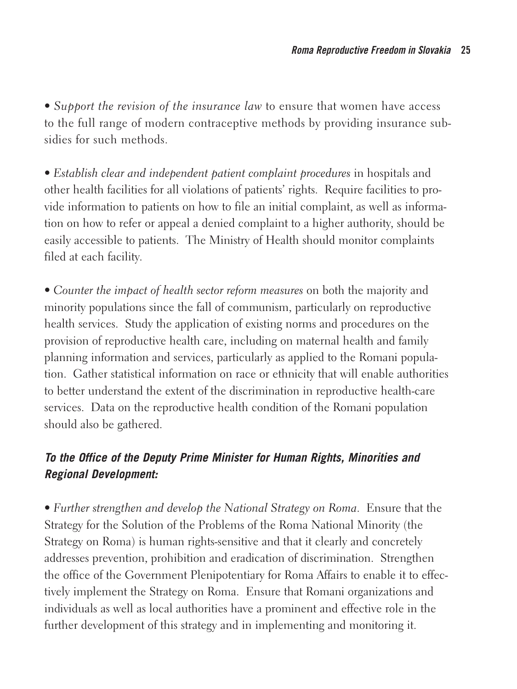• *Support the revision of the insurance law* to ensure that women have access to the full range of modern contraceptive methods by providing insurance subsidies for such methods.

• *Establish clear and independent patient complaint procedures* in hospitals and other health facilities for all violations of patients' rights. Require facilities to provide information to patients on how to file an initial complaint, as well as information on how to refer or appeal a denied complaint to a higher authority, should be easily accessible to patients. The Ministry of Health should monitor complaints filed at each facility.

• *Counter the impact of health sector reform measures* on both the majority and minority populations since the fall of communism, particularly on reproductive health services. Study the application of existing norms and procedures on the provision of reproductive health care, including on maternal health and family planning information and services, particularly as applied to the Romani population. Gather statistical information on race or ethnicity that will enable authorities to better understand the extent of the discrimination in reproductive health-care services. Data on the reproductive health condition of the Romani population should also be gathered.

#### **To the Office of the Deputy Prime Minister for Human Rights, Minorities and Regional Development:**

• *Further strengthen and develop the National Strategy on Roma*. Ensure that the Strategy for the Solution of the Problems of the Roma National Minority (the Strategy on Roma) is human rights-sensitive and that it clearly and concretely addresses prevention, prohibition and eradication of discrimination. Strengthen the office of the Government Plenipotentiary for Roma Affairs to enable it to effectively implement the Strategy on Roma. Ensure that Romani organizations and individuals as well as local authorities have a prominent and effective role in the further development of this strategy and in implementing and monitoring it.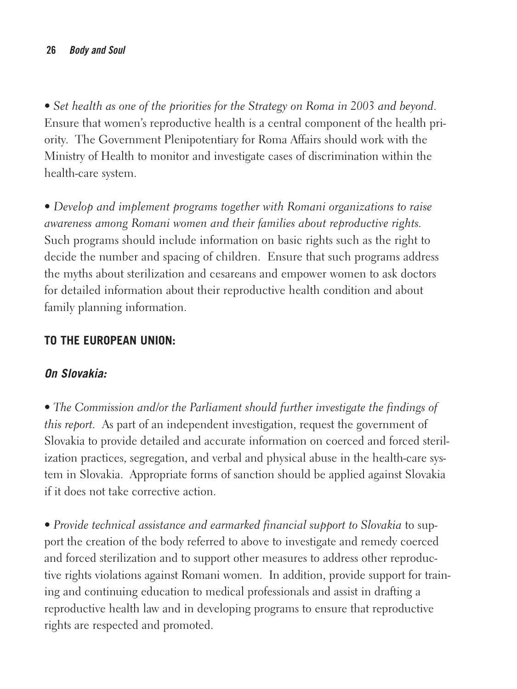• *Set health as one of the priorities for the Strategy on Roma in 2003 and beyond*. Ensure that women's reproductive health is a central component of the health priority. The Government Plenipotentiary for Roma Affairs should work with the Ministry of Health to monitor and investigate cases of discrimination within the health-care system.

• *Develop and implement programs together with Romani organizations to raise awareness among Romani women and their families about reproductive rights.* Such programs should include information on basic rights such as the right to decide the number and spacing of children. Ensure that such programs address the myths about sterilization and cesareans and empower women to ask doctors for detailed information about their reproductive health condition and about family planning information.

#### **TO THE EUROPEAN UNION:**

#### **On Slovakia:**

• *The Commission and/or the Parliament should further investigate the findings of this report.* As part of an independent investigation, request the government of Slovakia to provide detailed and accurate information on coerced and forced sterilization practices, segregation, and verbal and physical abuse in the health-care system in Slovakia. Appropriate forms of sanction should be applied against Slovakia if it does not take corrective action.

• *Provide technical assistance and earmarked financial support to Slovakia* to support the creation of the body referred to above to investigate and remedy coerced and forced sterilization and to support other measures to address other reproductive rights violations against Romani women. In addition, provide support for training and continuing education to medical professionals and assist in drafting a reproductive health law and in developing programs to ensure that reproductive rights are respected and promoted.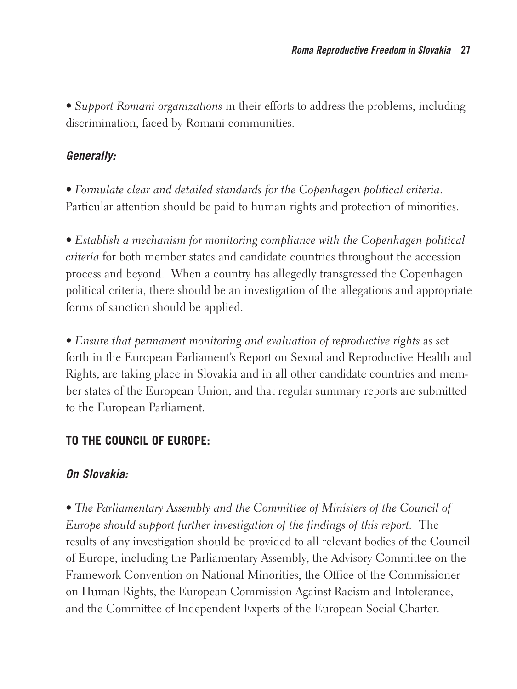• *Support Romani organizations* in their efforts to address the problems, including discrimination, faced by Romani communities.

#### **Generally:**

• *Formulate clear and detailed standards for the Copenhagen political criteria*. Particular attention should be paid to human rights and protection of minorities.

• *Establish a mechanism for monitoring compliance with the Copenhagen political criteria* for both member states and candidate countries throughout the accession process and beyond. When a country has allegedly transgressed the Copenhagen political criteria, there should be an investigation of the allegations and appropriate forms of sanction should be applied.

• *Ensure that permanent monitoring and evaluation of reproductive rights* as set forth in the European Parliament's Report on Sexual and Reproductive Health and Rights, are taking place in Slovakia and in all other candidate countries and member states of the European Union, and that regular summary reports are submitted to the European Parliament.

#### **TO THE COUNCIL OF EUROPE:**

#### **On Slovakia:**

• *The Parliamentary Assembly and the Committee of Ministers of the Council of Europe should support further investigation of the findings of this report.* The results of any investigation should be provided to all relevant bodies of the Council of Europe, including the Parliamentary Assembly, the Advisory Committee on the Framework Convention on National Minorities, the Office of the Commissioner on Human Rights, the European Commission Against Racism and Intolerance, and the Committee of Independent Experts of the European Social Charter.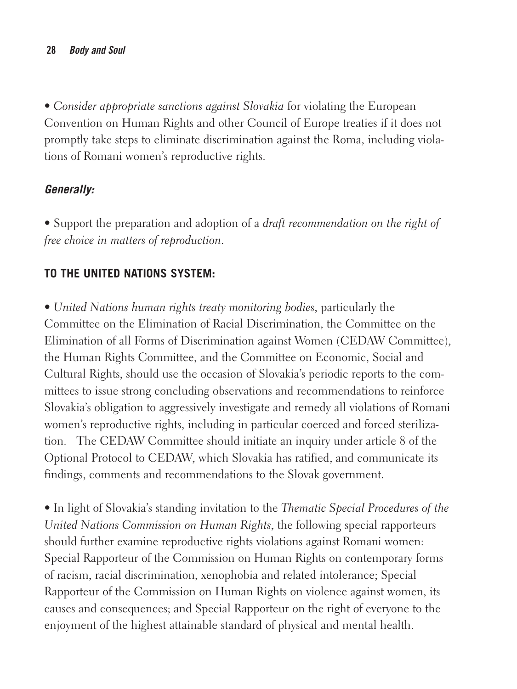• *Consider appropriate sanctions against Slovakia* for violating the European Convention on Human Rights and other Council of Europe treaties if it does not promptly take steps to eliminate discrimination against the Roma, including violations of Romani women's reproductive rights.

#### **Generally:**

• Support the preparation and adoption of a *draft recommendation on the right of free choice in matters of reproduction*.

#### **TO THE UNITED NATIONS SYSTEM:**

• *United Nations human rights treaty monitoring bodies*, particularly the Committee on the Elimination of Racial Discrimination, the Committee on the Elimination of all Forms of Discrimination against Women (CEDAW Committee), the Human Rights Committee, and the Committee on Economic, Social and Cultural Rights, should use the occasion of Slovakia's periodic reports to the committees to issue strong concluding observations and recommendations to reinforce Slovakia's obligation to aggressively investigate and remedy all violations of Romani women's reproductive rights, including in particular coerced and forced sterilization. The CEDAW Committee should initiate an inquiry under article 8 of the Optional Protocol to CEDAW, which Slovakia has ratified, and communicate its findings, comments and recommendations to the Slovak government.

• In light of Slovakia's standing invitation to the *Thematic Special Procedures of the United Nations Commission on Human Rights*, the following special rapporteurs should further examine reproductive rights violations against Romani women: Special Rapporteur of the Commission on Human Rights on contemporary forms of racism, racial discrimination, xenophobia and related intolerance; Special Rapporteur of the Commission on Human Rights on violence against women, its causes and consequences; and Special Rapporteur on the right of everyone to the enjoyment of the highest attainable standard of physical and mental health.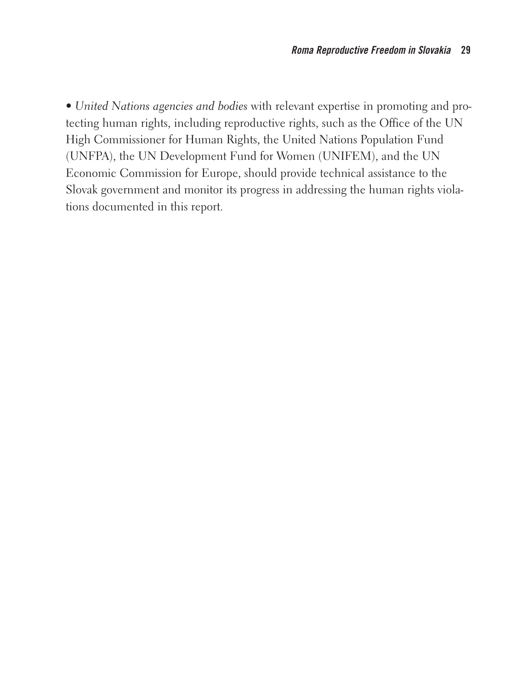• *United Nations agencies and bodies* with relevant expertise in promoting and protecting human rights, including reproductive rights, such as the Office of the UN High Commissioner for Human Rights, the United Nations Population Fund (UNFPA), the UN Development Fund for Women (UNIFEM), and the UN Economic Commission for Europe, should provide technical assistance to the Slovak government and monitor its progress in addressing the human rights violations documented in this report.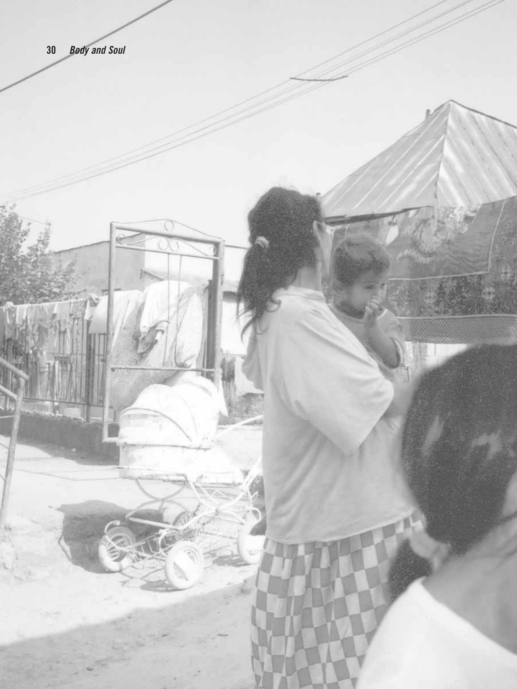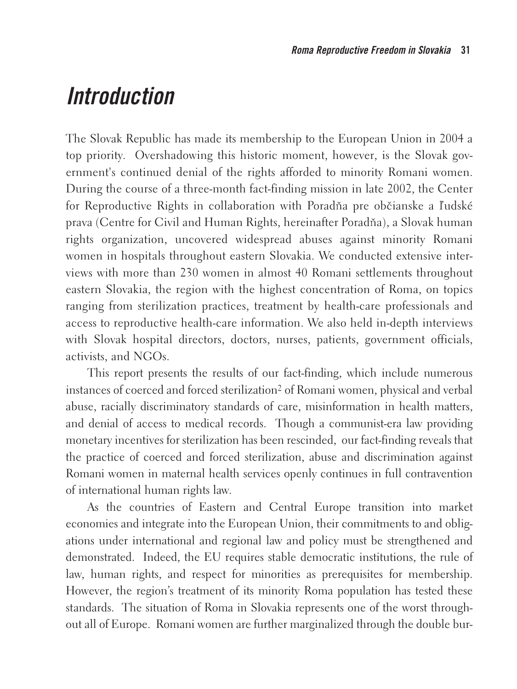### **Introduction**

The Slovak Republic has made its membership to the European Union in 2004 a top priority. Overshadowing this historic moment, however, is the Slovak government's continued denial of the rights afforded to minority Romani women. During the course of a three-month fact-finding mission in late 2002, the Center for Reproductive Rights in collaboration with Poradňa pre občianske a ľudské prava (Centre for Civil and Human Rights, hereinafter Poradňa), a Slovak human rights organization, uncovered widespread abuses against minority Romani women in hospitals throughout eastern Slovakia. We conducted extensive interviews with more than 230 women in almost 40 Romani settlements throughout eastern Slovakia, the region with the highest concentration of Roma, on topics ranging from sterilization practices, treatment by health-care professionals and access to reproductive health-care information. We also held in-depth interviews with Slovak hospital directors, doctors, nurses, patients, government officials, activists, and NGOs.

This report presents the results of our fact-finding, which include numerous instances of coerced and forced sterilization<sup>2</sup> of Romani women, physical and verbal abuse, racially discriminatory standards of care, misinformation in health matters, and denial of access to medical records. Though a communist-era law providing monetary incentives for sterilization has been rescinded, our fact-finding reveals that the practice of coerced and forced sterilization, abuse and discrimination against Romani women in maternal health services openly continues in full contravention of international human rights law.

As the countries of Eastern and Central Europe transition into market economies and integrate into the European Union, their commitments to and obligations under international and regional law and policy must be strengthened and demonstrated. Indeed, the EU requires stable democratic institutions, the rule of law, human rights, and respect for minorities as prerequisites for membership. However, the region's treatment of its minority Roma population has tested these standards. The situation of Roma in Slovakia represents one of the worst throughout all of Europe. Romani women are further marginalized through the double bur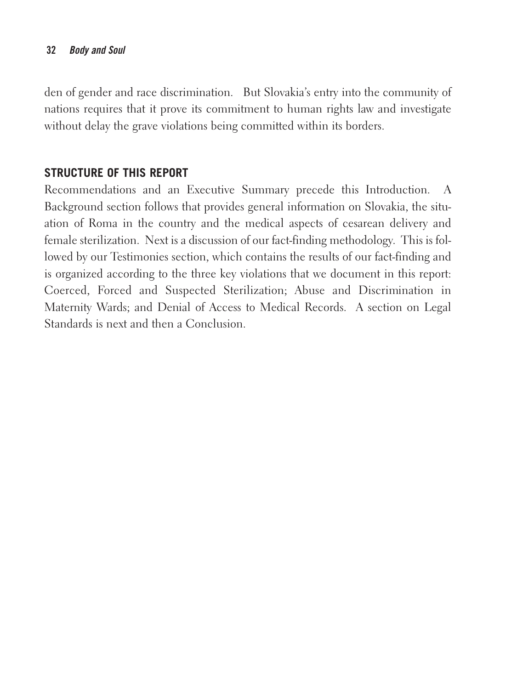den of gender and race discrimination. But Slovakia's entry into the community of nations requires that it prove its commitment to human rights law and investigate without delay the grave violations being committed within its borders.

#### **STRUCTURE OF THIS REPORT**

Recommendations and an Executive Summary precede this Introduction. A Background section follows that provides general information on Slovakia, the situation of Roma in the country and the medical aspects of cesarean delivery and female sterilization. Next is a discussion of our fact-finding methodology. This is followed by our Testimonies section, which contains the results of our fact-finding and is organized according to the three key violations that we document in this report: Coerced, Forced and Suspected Sterilization; Abuse and Discrimination in Maternity Wards; and Denial of Access to Medical Records. A section on Legal Standards is next and then a Conclusion.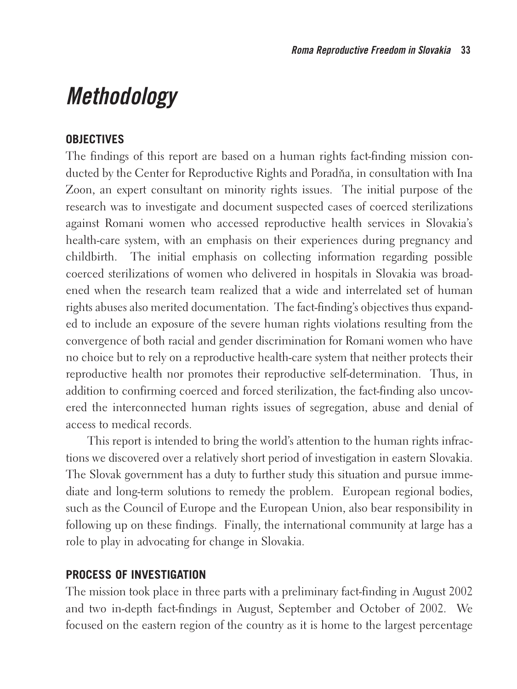# **Methodology**

#### **OBJECTIVES**

The findings of this report are based on a human rights fact-finding mission conducted by the Center for Reproductive Rights and Poradňa, in consultation with Ina Zoon, an expert consultant on minority rights issues. The initial purpose of the research was to investigate and document suspected cases of coerced sterilizations against Romani women who accessed reproductive health services in Slovakia's health-care system, with an emphasis on their experiences during pregnancy and childbirth. The initial emphasis on collecting information regarding possible coerced sterilizations of women who delivered in hospitals in Slovakia was broadened when the research team realized that a wide and interrelated set of human rights abuses also merited documentation. The fact-finding's objectives thus expanded to include an exposure of the severe human rights violations resulting from the convergence of both racial and gender discrimination for Romani women who have no choice but to rely on a reproductive health-care system that neither protects their reproductive health nor promotes their reproductive self-determination. Thus, in addition to confirming coerced and forced sterilization, the fact-finding also uncovered the interconnected human rights issues of segregation, abuse and denial of access to medical records.

This report is intended to bring the world's attention to the human rights infractions we discovered over a relatively short period of investigation in eastern Slovakia. The Slovak government has a duty to further study this situation and pursue immediate and long-term solutions to remedy the problem. European regional bodies, such as the Council of Europe and the European Union, also bear responsibility in following up on these findings. Finally, the international community at large has a role to play in advocating for change in Slovakia.

#### **PROCESS OF INVESTIGATION**

The mission took place in three parts with a preliminary fact-finding in August 2002 and two in-depth fact-findings in August, September and October of 2002. We focused on the eastern region of the country as it is home to the largest percentage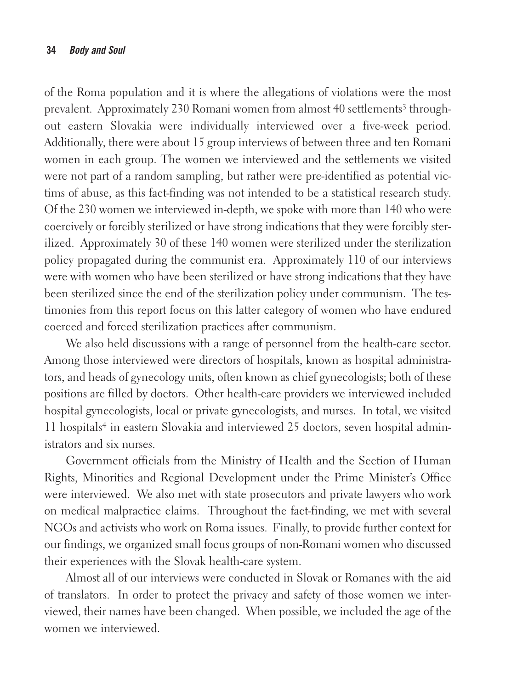of the Roma population and it is where the allegations of violations were the most prevalent. Approximately 230 Romani women from almost 40 settlements<sup>3</sup> throughout eastern Slovakia were individually interviewed over a five-week period. Additionally, there were about 15 group interviews of between three and ten Romani women in each group. The women we interviewed and the settlements we visited were not part of a random sampling, but rather were pre-identified as potential victims of abuse, as this fact-finding was not intended to be a statistical research study. Of the 230 women we interviewed in-depth, we spoke with more than 140 who were coercively or forcibly sterilized or have strong indications that they were forcibly sterilized. Approximately 30 of these 140 women were sterilized under the sterilization policy propagated during the communist era. Approximately 110 of our interviews were with women who have been sterilized or have strong indications that they have been sterilized since the end of the sterilization policy under communism. The testimonies from this report focus on this latter category of women who have endured coerced and forced sterilization practices after communism.

We also held discussions with a range of personnel from the health-care sector. Among those interviewed were directors of hospitals, known as hospital administrators, and heads of gynecology units, often known as chief gynecologists; both of these positions are filled by doctors. Other health-care providers we interviewed included hospital gynecologists, local or private gynecologists, and nurses. In total, we visited 11 hospitals4 in eastern Slovakia and interviewed 25 doctors, seven hospital administrators and six nurses.

Government officials from the Ministry of Health and the Section of Human Rights, Minorities and Regional Development under the Prime Minister's Office were interviewed. We also met with state prosecutors and private lawyers who work on medical malpractice claims. Throughout the fact-finding, we met with several NGOs and activists who work on Roma issues. Finally, to provide further context for our findings, we organized small focus groups of non-Romani women who discussed their experiences with the Slovak health-care system.

Almost all of our interviews were conducted in Slovak or Romanes with the aid of translators. In order to protect the privacy and safety of those women we interviewed, their names have been changed. When possible, we included the age of the women we interviewed.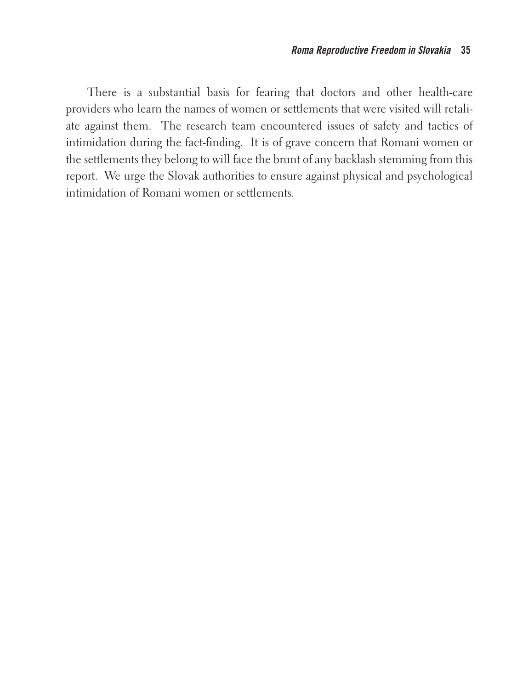There is a substantial basis for fearing that doctors and other health-care providers who learn the names of women or settlements that were visited will retaliate against them. The research team encountered issues of safety and tactics of intimidation during the fact-finding. It is of grave concern that Romani women or the settlements they belong to will face the brunt of any backlash stemming from this report. We urge the Slovak authorities to ensure against physical and psychological intimidation of Romani women or settlements.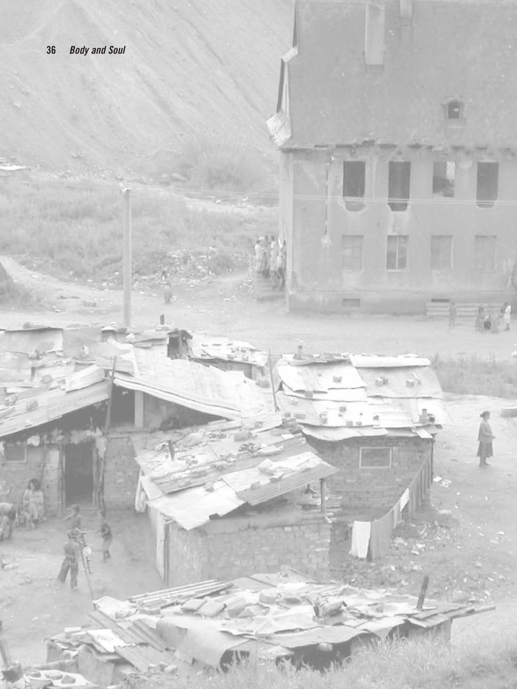ŵ

Đ.

u)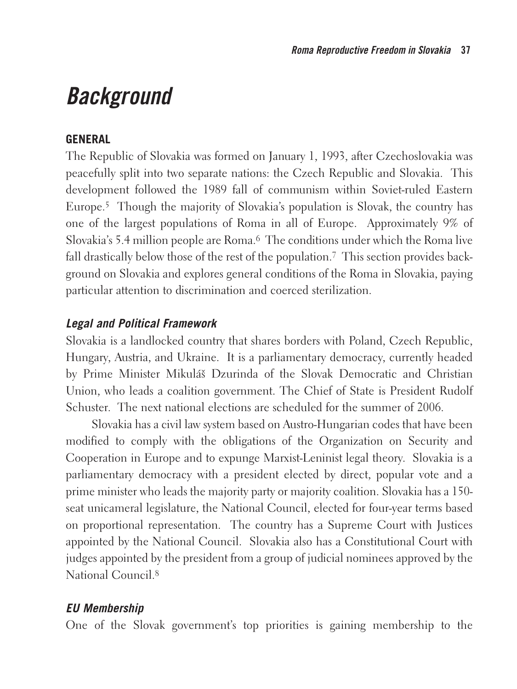## **Background**

## **GENERAL**

The Republic of Slovakia was formed on January 1, 1993, after Czechoslovakia was peacefully split into two separate nations: the Czech Republic and Slovakia. This development followed the 1989 fall of communism within Soviet-ruled Eastern Europe.5 Though the majority of Slovakia's population is Slovak, the country has one of the largest populations of Roma in all of Europe. Approximately 9% of Slovakia's 5.4 million people are Roma.6 The conditions under which the Roma live fall drastically below those of the rest of the population.<sup>7</sup> This section provides background on Slovakia and explores general conditions of the Roma in Slovakia, paying particular attention to discrimination and coerced sterilization.

## **Legal and Political Framework**

Slovakia is a landlocked country that shares borders with Poland, Czech Republic, Hungary, Austria, and Ukraine. It is a parliamentary democracy, currently headed by Prime Minister Mikulá≥ Dzurinda of the Slovak Democratic and Christian Union, who leads a coalition government. The Chief of State is President Rudolf Schuster. The next national elections are scheduled for the summer of 2006.

Slovakia has a civil law system based on Austro-Hungarian codes that have been modified to comply with the obligations of the Organization on Security and Cooperation in Europe and to expunge Marxist-Leninist legal theory. Slovakia is a parliamentary democracy with a president elected by direct, popular vote and a prime minister who leads the majority party or majority coalition. Slovakia has a 150 seat unicameral legislature, the National Council, elected for four-year terms based on proportional representation. The country has a Supreme Court with Justices appointed by the National Council. Slovakia also has a Constitutional Court with judges appointed by the president from a group of judicial nominees approved by the National Council.8

## **EU Membership**

One of the Slovak government's top priorities is gaining membership to the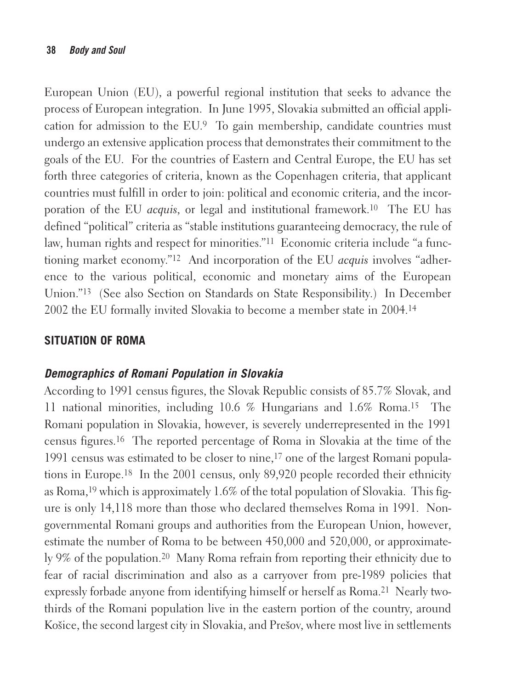European Union (EU), a powerful regional institution that seeks to advance the process of European integration. In June 1995, Slovakia submitted an official application for admission to the EU.9 To gain membership, candidate countries must undergo an extensive application process that demonstrates their commitment to the goals of the EU. For the countries of Eastern and Central Europe, the EU has set forth three categories of criteria, known as the Copenhagen criteria, that applicant countries must fulfill in order to join: political and economic criteria, and the incorporation of the EU *acquis*, or legal and institutional framework.10 The EU has defined "political" criteria as "stable institutions guaranteeing democracy, the rule of law, human rights and respect for minorities."<sup>11</sup> Economic criteria include "a functioning market economy."12 And incorporation of the EU *acquis* involves "adherence to the various political, economic and monetary aims of the European Union."13 (See also Section on Standards on State Responsibility.) In December 2002 the EU formally invited Slovakia to become a member state in 2004.14

## **SITUATION OF ROMA**

## **Demographics of Romani Population in Slovakia**

According to 1991 census figures, the Slovak Republic consists of 85.7% Slovak, and 11 national minorities, including 10.6 % Hungarians and 1.6% Roma.15 The Romani population in Slovakia, however, is severely underrepresented in the 1991 census figures.16 The reported percentage of Roma in Slovakia at the time of the 1991 census was estimated to be closer to nine,17 one of the largest Romani populations in Europe.18 In the 2001 census, only 89,920 people recorded their ethnicity as Roma,19 which is approximately 1.6% of the total population of Slovakia. This figure is only 14,118 more than those who declared themselves Roma in 1991. Nongovernmental Romani groups and authorities from the European Union, however, estimate the number of Roma to be between 450,000 and 520,000, or approximately 9% of the population.20 Many Roma refrain from reporting their ethnicity due to fear of racial discrimination and also as a carryover from pre-1989 policies that expressly forbade anyone from identifying himself or herself as Roma.21 Nearly twothirds of the Romani population live in the eastern portion of the country, around Košice, the second largest city in Slovakia, and Prešov, where most live in settlements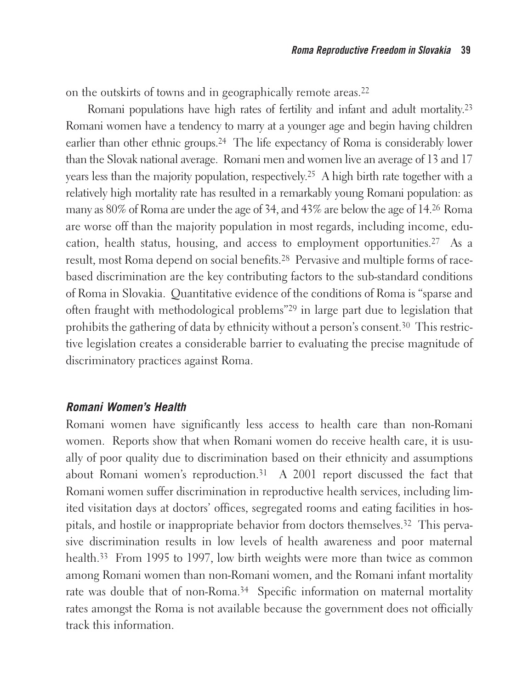on the outskirts of towns and in geographically remote areas.22

Romani populations have high rates of fertility and infant and adult mortality. 23 Romani women have a tendency to marry at a younger age and begin having children earlier than other ethnic groups.24 The life expectancy of Roma is considerably lower than the Slovak national average. Romani men and women live an average of 13 and 17 years less than the majority population, respectively. <sup>25</sup> A high birth rate together with a relatively high mortality rate has resulted in a remarkably young Romani population: as many as 80% of Roma are under the age of 34, and 43% are below the age of 14.26 Roma are worse off than the majority population in most regards, including income, education, health status, housing, and access to employment opportunities.27 As a result, most Roma depend on social benefits.28 Pervasive and multiple forms of racebased discrimination are the key contributing factors to the sub-standard conditions of Roma in Slovakia. Quantitative evidence of the conditions of Roma is "sparse and often fraught with methodological problems"29 in large part due to legislation that prohibits the gathering of data by ethnicity without a person's consent.<sup>30</sup> This restrictive legislation creates a considerable barrier to evaluating the precise magnitude of discriminatory practices against Roma.

#### **Romani Women's Health**

Romani women have significantly less access to health care than non-Romani women. Reports show that when Romani women do receive health care, it is usually of poor quality due to discrimination based on their ethnicity and assumptions about Romani women's reproduction.31 A 2001 report discussed the fact that Romani women suffer discrimination in reproductive health services, including limited visitation days at doctors' offices, segregated rooms and eating facilities in hospitals, and hostile or inappropriate behavior from doctors themselves.32 This pervasive discrimination results in low levels of health awareness and poor maternal health.<sup>33</sup> From 1995 to 1997, low birth weights were more than twice as common among Romani women than non-Romani women, and the Romani infant mortality rate was double that of non-Roma.<sup>34</sup> Specific information on maternal mortality rates amongst the Roma is not available because the government does not officially track this information.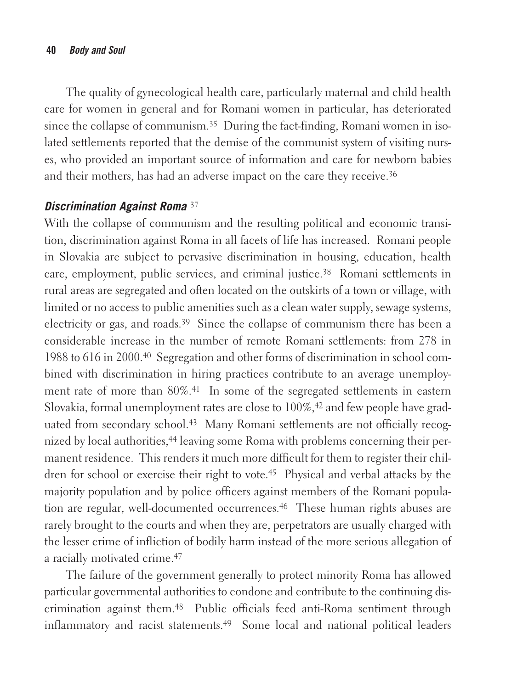The quality of gynecological health care, particularly maternal and child health care for women in general and for Romani women in particular, has deteriorated since the collapse of communism.<sup>35</sup> During the fact-finding, Romani women in isolated settlements reported that the demise of the communist system of visiting nurses, who provided an important source of information and care for newborn babies and their mothers, has had an adverse impact on the care they receive.<sup>36</sup>

#### **Discrimination Against Roma** 37

With the collapse of communism and the resulting political and economic transition, discrimination against Roma in all facets of life has increased. Romani people in Slovakia are subject to pervasive discrimination in housing, education, health care, employment, public services, and criminal justice.38 Romani settlements in rural areas are segregated and often located on the outskirts of a town or village, with limited or no access to public amenities such as a clean water supply, sewage systems, electricity or gas, and roads.<sup>39</sup> Since the collapse of communism there has been a considerable increase in the number of remote Romani settlements: from 278 in 1988 to 616 in 2000.40 Segregation and other forms of discrimination in school combined with discrimination in hiring practices contribute to an average unemployment rate of more than 80%.41 In some of the segregated settlements in eastern Slovakia, formal unemployment rates are close to 100%,42 and few people have graduated from secondary school.<sup>43</sup> Many Romani settlements are not officially recognized by local authorities,<sup>44</sup> leaving some Roma with problems concerning their permanent residence. This renders it much more difficult for them to register their children for school or exercise their right to vote.45 Physical and verbal attacks by the majority population and by police officers against members of the Romani population are regular, well-documented occurrences.46 These human rights abuses are rarely brought to the courts and when they are, perpetrators are usually charged with the lesser crime of infliction of bodily harm instead of the more serious allegation of a racially motivated crime.47

The failure of the government generally to protect minority Roma has allowed particular governmental authorities to condone and contribute to the continuing discrimination against them.48 Public officials feed anti-Roma sentiment through inflammatory and racist statements.49 Some local and national political leaders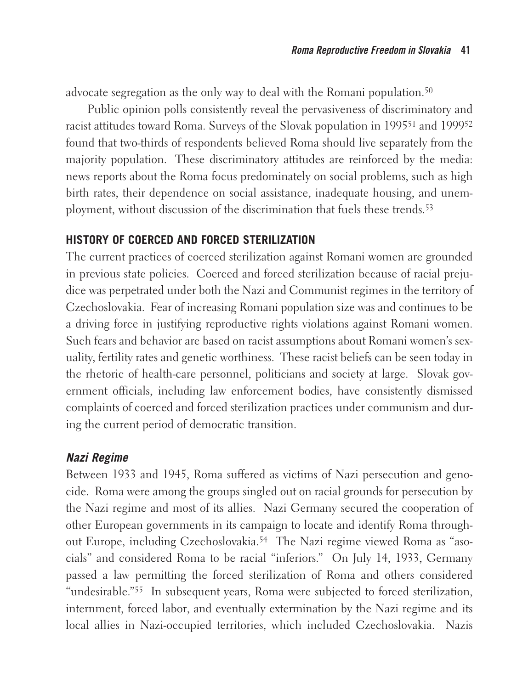advocate segregation as the only way to deal with the Romani population.<sup>50</sup>

Public opinion polls consistently reveal the pervasiveness of discriminatory and racist attitudes toward Roma. Surveys of the Slovak population in 199551 and 199952 found that two-thirds of respondents believed Roma should live separately from the majority population. These discriminatory attitudes are reinforced by the media: news reports about the Roma focus predominately on social problems, such as high birth rates, their dependence on social assistance, inadequate housing, and unemployment, without discussion of the discrimination that fuels these trends.53

## **HISTORY OF COERCED AND FORCED STERILIZATION**

The current practices of coerced sterilization against Romani women are grounded in previous state policies. Coerced and forced sterilization because of racial prejudice was perpetrated under both the Nazi and Communist regimes in the territory of Czechoslovakia. Fear of increasing Romani population size was and continues to be a driving force in justifying reproductive rights violations against Romani women. Such fears and behavior are based on racist assumptions about Romani women's sexuality, fertility rates and genetic worthiness. These racist beliefs can be seen today in the rhetoric of health-care personnel, politicians and society at large. Slovak government officials, including law enforcement bodies, have consistently dismissed complaints of coerced and forced sterilization practices under communism and during the current period of democratic transition.

## **Nazi Regime**

Between 1933 and 1945, Roma suffered as victims of Nazi persecution and genocide. Roma were among the groups singled out on racial grounds for persecution by the Nazi regime and most of its allies. Nazi Germany secured the cooperation of other European governments in its campaign to locate and identify Roma throughout Europe, including Czechoslovakia.54 The Nazi regime viewed Roma as "asocials" and considered Roma to be racial "inferiors." On July 14, 1933, Germany passed a law permitting the forced sterilization of Roma and others considered "undesirable."55 In subsequent years, Roma were subjected to forced sterilization, internment, forced labor, and eventually extermination by the Nazi regime and its local allies in Nazi-occupied territories, which included Czechoslovakia. Nazis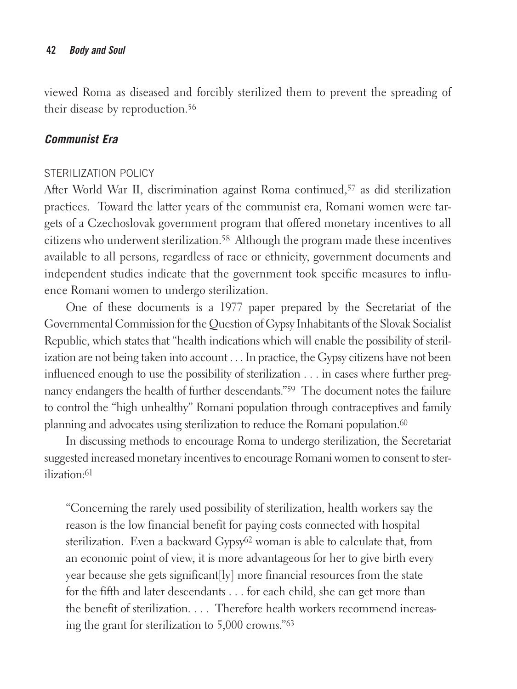#### **42 Body and Soul**

viewed Roma as diseased and forcibly sterilized them to prevent the spreading of their disease by reproduction.<sup>56</sup>

## **Communist Era**

#### STERILIZATION POLICY

After World War II, discrimination against Roma continued,<sup>57</sup> as did sterilization practices. Toward the latter years of the communist era, Romani women were targets of a Czechoslovak government program that offered monetary incentives to all citizens who underwent sterilization.58 Although the program made these incentives available to all persons, regardless of race or ethnicity, government documents and independent studies indicate that the government took specific measures to influence Romani women to undergo sterilization.

One of these documents is a 1977 paper prepared by the Secretariat of the Governmental Commission for the Question of Gypsy Inhabitants of the Slovak Socialist Republic, which states that "health indications which will enable the possibility of sterilization are not being taken into account . . . In practice, the Gypsy citizens have not been influenced enough to use the possibility of sterilization . . . in cases where further pregnancy endangers the health of further descendants."59 The document notes the failure to control the "high unhealthy" Romani population through contraceptives and family planning and advocates using sterilization to reduce the Romani population.<sup>60</sup>

In discussing methods to encourage Roma to undergo sterilization, the Secretariat suggested increased monetary incentives to encourage Romani women to consent to sterilization:61

"Concerning the rarely used possibility of sterilization, health workers say the reason is the low financial benefit for paying costs connected with hospital sterilization. Even a backward Gypsy<sup>62</sup> woman is able to calculate that, from an economic point of view, it is more advantageous for her to give birth every year because she gets significant[ly] more financial resources from the state for the fifth and later descendants . . . for each child, she can get more than the benefit of sterilization. . . . Therefore health workers recommend increasing the grant for sterilization to 5,000 crowns."63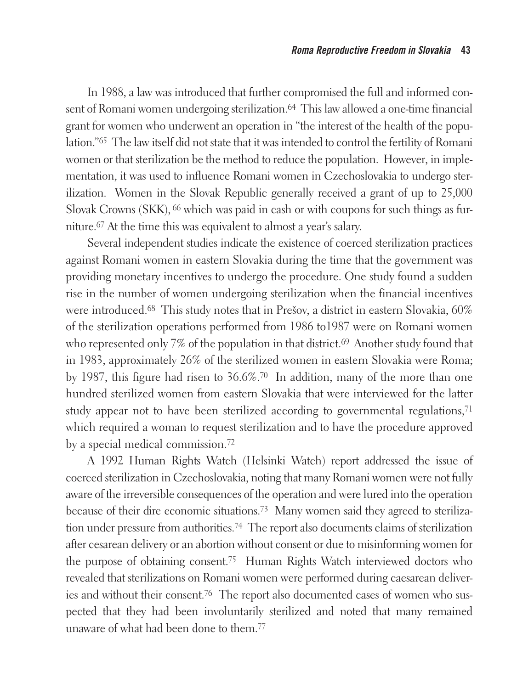In 1988, a law was introduced that further compromised the full and informed consent of Romani women undergoing sterilization.<sup>64</sup> This law allowed a one-time financial grant for women who underwent an operation in "the interest of the health of the population."65 The law itself did not state that it was intended to control the fertility of Romani women or that sterilization be the method to reduce the population. However, in implementation, it was used to influence Romani women in Czechoslovakia to undergo sterilization. Women in the Slovak Republic generally received a grant of up to 25,000 Slovak Crowns (SKK), <sup>66</sup> which was paid in cash or with coupons for such things as furniture.67 At the time this was equivalent to almost a year's salary.

Several independent studies indicate the existence of coerced sterilization practices against Romani women in eastern Slovakia during the time that the government was providing monetary incentives to undergo the procedure. One study found a sudden rise in the number of women undergoing sterilization when the financial incentives were introduced.<sup>68</sup> This study notes that in Prešov, a district in eastern Slovakia, 60% of the sterilization operations performed from 1986 to1987 were on Romani women who represented only 7% of the population in that district.<sup>69</sup> Another study found that in 1983, approximately 26% of the sterilized women in eastern Slovakia were Roma; by 1987, this figure had risen to 36.6%.70 In addition, many of the more than one hundred sterilized women from eastern Slovakia that were interviewed for the latter study appear not to have been sterilized according to governmental regulations,<sup>71</sup> which required a woman to request sterilization and to have the procedure approved by a special medical commission.72

A 1992 Human Rights Watch (Helsinki Watch) report addressed the issue of coerced sterilization in Czechoslovakia, noting that many Romani women were not fully aware of the irreversible consequences of the operation and were lured into the operation because of their dire economic situations.<sup>73</sup> Many women said they agreed to sterilization under pressure from authorities.74 The report also documents claims of sterilization after cesarean delivery or an abortion without consent or due to misinforming women for the purpose of obtaining consent.75 Human Rights Watch interviewed doctors who revealed that sterilizations on Romani women were performed during caesarean deliveries and without their consent.76 The report also documented cases of women who suspected that they had been involuntarily sterilized and noted that many remained unaware of what had been done to them.77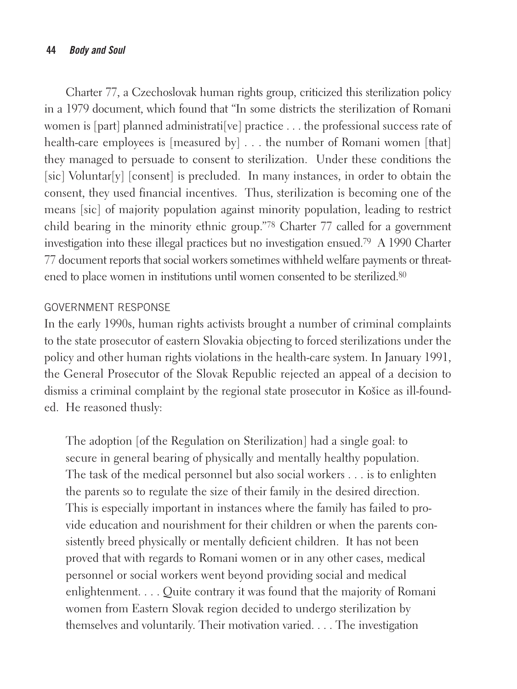#### **44 Body and Soul**

Charter 77, a Czechoslovak human rights group, criticized this sterilization policy in a 1979 document, which found that "In some districts the sterilization of Romani women is [part] planned administrati[ve] practice . . . the professional success rate of health-care employees is [measured by] . . . the number of Romani women [that] they managed to persuade to consent to sterilization. Under these conditions the [sic] Voluntar[y] [consent] is precluded. In many instances, in order to obtain the consent, they used financial incentives. Thus, sterilization is becoming one of the means [sic] of majority population against minority population, leading to restrict child bearing in the minority ethnic group."78 Charter 77 called for a government investigation into these illegal practices but no investigation ensued.79 A 1990 Charter 77 document reports that social workers sometimes withheld welfare payments or threatened to place women in institutions until women consented to be sterilized.80

#### GOVERNMENT RESPONSE

In the early 1990s, human rights activists brought a number of criminal complaints to the state prosecutor of eastern Slovakia objecting to forced sterilizations under the policy and other human rights violations in the health-care system. In January 1991, the General Prosecutor of the Slovak Republic rejected an appeal of a decision to dismiss a criminal complaint by the regional state prosecutor in Ko≥ice as ill-founded. He reasoned thusly:

The adoption [of the Regulation on Sterilization] had a single goal: to secure in general bearing of physically and mentally healthy population. The task of the medical personnel but also social workers . . . is to enlighten the parents so to regulate the size of their family in the desired direction. This is especially important in instances where the family has failed to provide education and nourishment for their children or when the parents consistently breed physically or mentally deficient children. It has not been proved that with regards to Romani women or in any other cases, medical personnel or social workers went beyond providing social and medical enlightenment. . . . Quite contrary it was found that the majority of Romani women from Eastern Slovak region decided to undergo sterilization by themselves and voluntarily. Their motivation varied. . . . The investigation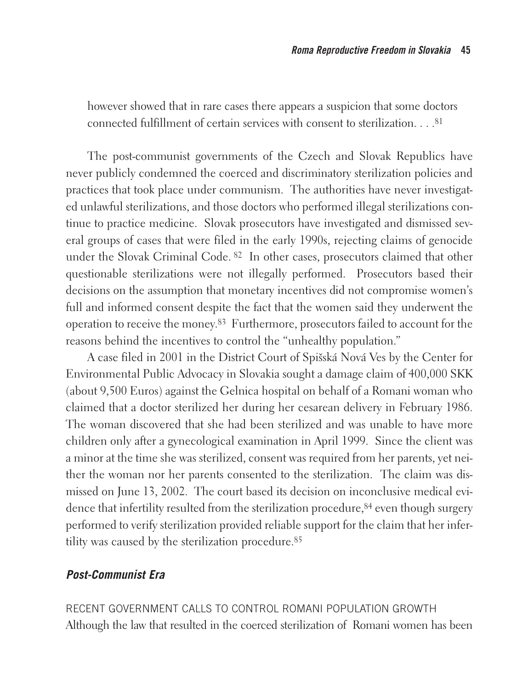however showed that in rare cases there appears a suspicion that some doctors connected fulfillment of certain services with consent to sterilization. . . .81

The post-communist governments of the Czech and Slovak Republics have never publicly condemned the coerced and discriminatory sterilization policies and practices that took place under communism. The authorities have never investigated unlawful sterilizations, and those doctors who performed illegal sterilizations continue to practice medicine. Slovak prosecutors have investigated and dismissed several groups of cases that were filed in the early 1990s, rejecting claims of genocide under the Slovak Criminal Code. <sup>82</sup> In other cases, prosecutors claimed that other questionable sterilizations were not illegally performed. Prosecutors based their decisions on the assumption that monetary incentives did not compromise women's full and informed consent despite the fact that the women said they underwent the operation to receive the money.83 Furthermore, prosecutors failed to account for the reasons behind the incentives to control the "unhealthy population."

A case filed in 2001 in the District Court of Spišská Nová Ves by the Center for Environmental Public Advocacy in Slovakia sought a damage claim of 400,000 SKK (about 9,500 Euros) against the Gelnica hospital on behalf of a Romani woman who claimed that a doctor sterilized her during her cesarean delivery in February 1986. The woman discovered that she had been sterilized and was unable to have more children only after a gynecological examination in April 1999. Since the client was a minor at the time she was sterilized, consent was required from her parents, yet neither the woman nor her parents consented to the sterilization. The claim was dismissed on June 13, 2002. The court based its decision on inconclusive medical evidence that infertility resulted from the sterilization procedure, <sup>84</sup> even though surgery performed to verify sterilization provided reliable support for the claim that her infertility was caused by the sterilization procedure.85

## **Post-Communist Era**

RECENT GOVERNMENT CALLS TO CONTROL ROMANI POPULATION GROWTH Although the law that resulted in the coerced sterilization of Romani women has been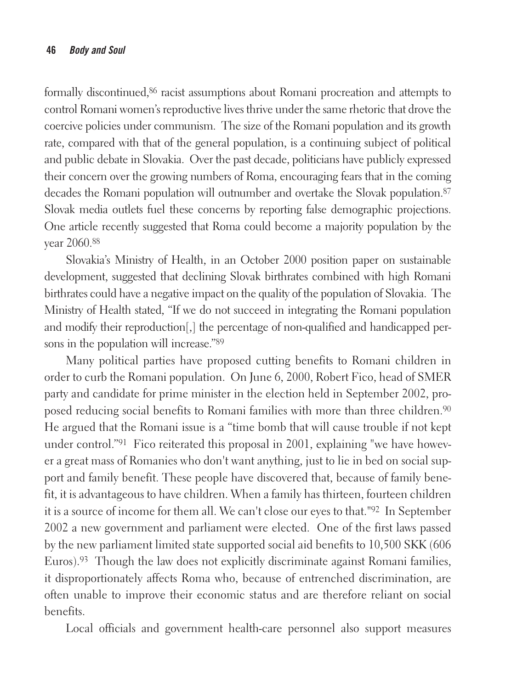formally discontinued,  $86$  racist assumptions about Romani procreation and attempts to control Romani women's reproductive lives thrive under the same rhetoric that drove the coercive policies under communism. The size of the Romani population and its growth rate, compared with that of the general population, is a continuing subject of political and public debate in Slovakia. Over the past decade, politicians have publicly expressed their concern over the growing numbers of Roma, encouraging fears that in the coming decades the Romani population will outnumber and overtake the Slovak population.<sup>87</sup> Slovak media outlets fuel these concerns by reporting false demographic projections. One article recently suggested that Roma could become a majority population by the year 2060.88

Slovakia's Ministry of Health, in an October 2000 position paper on sustainable development, suggested that declining Slovak birthrates combined with high Romani birthrates could have a negative impact on the quality of the population of Slovakia. The Ministry of Health stated, "If we do not succeed in integrating the Romani population and modify their reproduction[,] the percentage of non-qualified and handicapped persons in the population will increase."89

Many political parties have proposed cutting benefits to Romani children in order to curb the Romani population. On June 6, 2000, Robert Fico, head of SMER party and candidate for prime minister in the election held in September 2002, proposed reducing social benefits to Romani families with more than three children.90 He argued that the Romani issue is a "time bomb that will cause trouble if not kept under control."91 Fico reiterated this proposal in 2001, explaining "we have however a great mass of Romanies who don't want anything, just to lie in bed on social support and family benefit. These people have discovered that, because of family benefit, it is advantageous to have children. When a family has thirteen, fourteen children it is a source of income for them all. We can't close our eyes to that."92 In September 2002 a new government and parliament were elected. One of the first laws passed by the new parliament limited state supported social aid benefits to 10,500 SKK (606 Euros).93 Though the law does not explicitly discriminate against Romani families, it disproportionately affects Roma who, because of entrenched discrimination, are often unable to improve their economic status and are therefore reliant on social benefits.

Local officials and government health-care personnel also support measures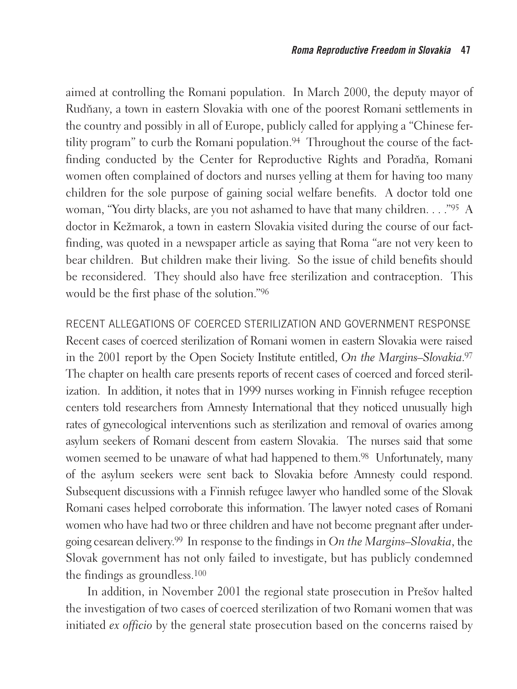aimed at controlling the Romani population. In March 2000, the deputy mayor of Rudňany, a town in eastern Slovakia with one of the poorest Romani settlements in the country and possibly in all of Europe, publicly called for applying a "Chinese fertility program" to curb the Romani population. $94$  Throughout the course of the factfinding conducted by the Center for Reproductive Rights and Poradňa, Romani women often complained of doctors and nurses yelling at them for having too many children for the sole purpose of gaining social welfare benefits. A doctor told one woman, "You dirty blacks, are you not ashamed to have that many children. . . ."95 A doctor in Kežmarok, a town in eastern Slovakia visited during the course of our factfinding, was quoted in a newspaper article as saying that Roma "are not very keen to bear children. But children make their living. So the issue of child benefits should be reconsidered. They should also have free sterilization and contraception. This would be the first phase of the solution."96

RECENT ALLEGATIONS OF COERCED STERILIZATION AND GOVERNMENT RESPONSE Recent cases of coerced sterilization of Romani women in eastern Slovakia were raised in the 2001 report by the Open Society Institute entitled, *On the Margins–Slovakia*. 97 The chapter on health care presents reports of recent cases of coerced and forced sterilization. In addition, it notes that in 1999 nurses working in Finnish refugee reception centers told researchers from Amnesty International that they noticed unusually high rates of gynecological interventions such as sterilization and removal of ovaries among asylum seekers of Romani descent from eastern Slovakia. The nurses said that some women seemed to be unaware of what had happened to them.<sup>98</sup> Unfortunately, many of the asylum seekers were sent back to Slovakia before Amnesty could respond. Subsequent discussions with a Finnish refugee lawyer who handled some of the Slovak Romani cases helped corroborate this information. The lawyer noted cases of Romani women who have had two or three children and have not become pregnant after undergoing cesarean delivery. <sup>99</sup> In response to the findings in *On the Margins–Slovakia*, the Slovak government has not only failed to investigate, but has publicly condemned the findings as groundless.100

In addition, in November 2001 the regional state prosecution in Prešov halted the investigation of two cases of coerced sterilization of two Romani women that was initiated *ex officio* by the general state prosecution based on the concerns raised by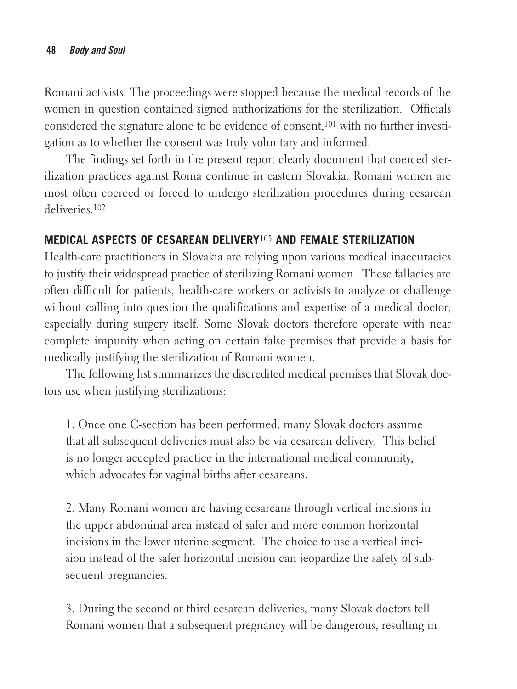Romani activists. The proceedings were stopped because the medical records of the women in question contained signed authorizations for the sterilization. Officials considered the signature alone to be evidence of consent,<sup>101</sup> with no further investigation as to whether the consent was truly voluntary and informed.

The findings set forth in the present report clearly document that coerced sterilization practices against Roma continue in eastern Slovakia. Romani women are most often coerced or forced to undergo sterilization procedures during cesarean deliveries.102

## **MEDICAL ASPECTS OF CESAREAN DELIVERY**<sup>103</sup> **AND FEMALE STERILIZATION**

Health-care practitioners in Slovakia are relying upon various medical inaccuracies to justify their widespread practice of sterilizing Romani women. These fallacies are often difficult for patients, health-care workers or activists to analyze or challenge without calling into question the qualifications and expertise of a medical doctor, especially during surgery itself. Some Slovak doctors therefore operate with near complete impunity when acting on certain false premises that provide a basis for medically justifying the sterilization of Romani women.

The following list summarizes the discredited medical premises that Slovak doctors use when justifying sterilizations:

1. Once one C-section has been performed, many Slovak doctors assume that all subsequent deliveries must also be via cesarean delivery. This belief is no longer accepted practice in the international medical community, which advocates for vaginal births after cesareans.

2. Many Romani women are having cesareans through vertical incisions in the upper abdominal area instead of safer and more common horizontal incisions in the lower uterine segment. The choice to use a vertical incision instead of the safer horizontal incision can jeopardize the safety of subsequent pregnancies.

3. During the second or third cesarean deliveries, many Slovak doctors tell Romani women that a subsequent pregnancy will be dangerous, resulting in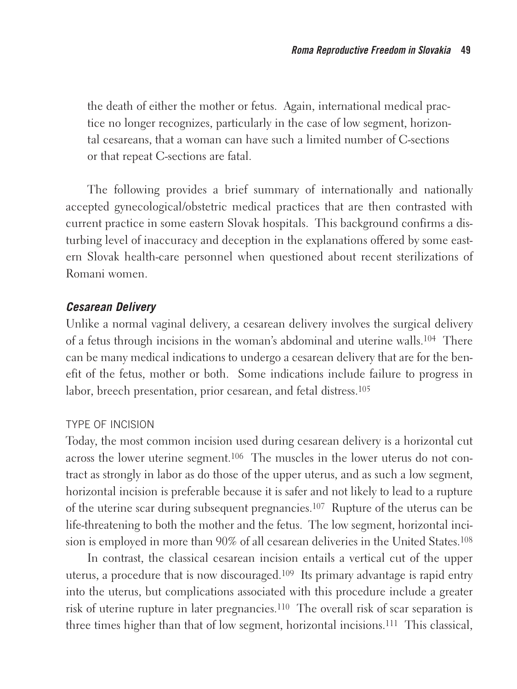the death of either the mother or fetus. Again, international medical practice no longer recognizes, particularly in the case of low segment, horizontal cesareans, that a woman can have such a limited number of C-sections or that repeat C-sections are fatal.

The following provides a brief summary of internationally and nationally accepted gynecological/obstetric medical practices that are then contrasted with current practice in some eastern Slovak hospitals. This background confirms a disturbing level of inaccuracy and deception in the explanations offered by some eastern Slovak health-care personnel when questioned about recent sterilizations of Romani women.

#### **Cesarean Delivery**

Unlike a normal vaginal delivery, a cesarean delivery involves the surgical delivery of a fetus through incisions in the woman's abdominal and uterine walls.104 There can be many medical indications to undergo a cesarean delivery that are for the benefit of the fetus, mother or both. Some indications include failure to progress in labor, breech presentation, prior cesarean, and fetal distress.105

#### TYPE OF INCISION

Today, the most common incision used during cesarean delivery is a horizontal cut across the lower uterine segment.<sup>106</sup> The muscles in the lower uterus do not contract as strongly in labor as do those of the upper uterus, and as such a low segment, horizontal incision is preferable because it is safer and not likely to lead to a rupture of the uterine scar during subsequent pregnancies.107 Rupture of the uterus can be life-threatening to both the mother and the fetus. The low segment, horizontal incision is employed in more than 90% of all cesarean deliveries in the United States.108

In contrast, the classical cesarean incision entails a vertical cut of the upper uterus, a procedure that is now discouraged.109 Its primary advantage is rapid entry into the uterus, but complications associated with this procedure include a greater risk of uterine rupture in later pregnancies.110 The overall risk of scar separation is three times higher than that of low segment, horizontal incisions.111 This classical,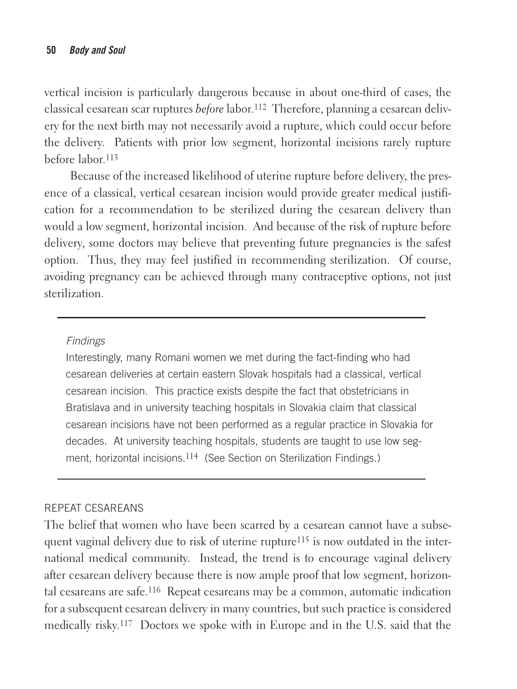vertical incision is particularly dangerous because in about one-third of cases, the classical cesarean scar ruptures *before* labor.112 Therefore, planning a cesarean delivery for the next birth may not necessarily avoid a rupture, which could occur before the delivery. Patients with prior low segment, horizontal incisions rarely rupture before labor.113

Because of the increased likelihood of uterine rupture before delivery, the presence of a classical, vertical cesarean incision would provide greater medical justification for a recommendation to be sterilized during the cesarean delivery than would a low segment, horizontal incision. And because of the risk of rupture before delivery, some doctors may believe that preventing future pregnancies is the safest option. Thus, they may feel justified in recommending sterilization. Of course, avoiding pregnancy can be achieved through many contraceptive options, not just sterilization.

#### Findings

Interestingly, many Romani women we met during the fact-finding who had cesarean deliveries at certain eastern Slovak hospitals had a classical, vertical cesarean incision. This practice exists despite the fact that obstetricians in Bratislava and in university teaching hospitals in Slovakia claim that classical cesarean incisions have not been performed as a regular practice in Slovakia for decades. At university teaching hospitals, students are taught to use low segment, horizontal incisions.<sup>114</sup> (See Section on Sterilization Findings.)

#### REPEAT CESAREANS

The belief that women who have been scarred by a cesarean cannot have a subsequent vaginal delivery due to risk of uterine rupture<sup>115</sup> is now outdated in the international medical community. Instead, the trend is to encourage vaginal delivery after cesarean delivery because there is now ample proof that low segment, horizontal cesareans are safe.116 Repeat cesareans may be a common, automatic indication for a subsequent cesarean delivery in many countries, but such practice is considered medically risky.117 Doctors we spoke with in Europe and in the U.S. said that the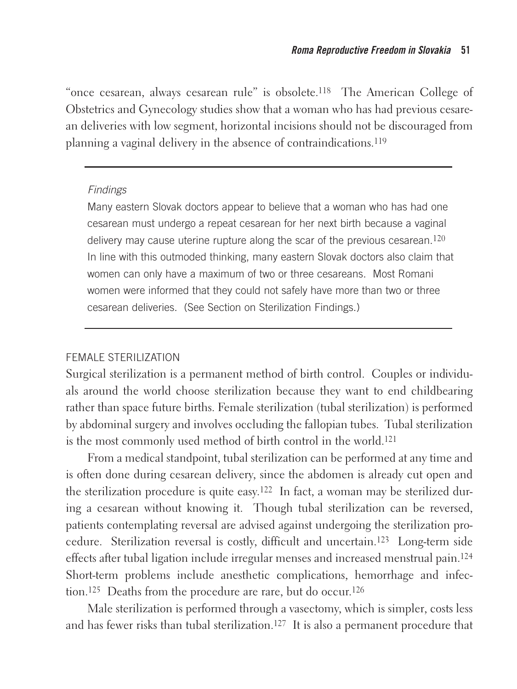"once cesarean, always cesarean rule" is obsolete.118 The American College of Obstetrics and Gynecology studies show that a woman who has had previous cesarean deliveries with low segment, horizontal incisions should not be discouraged from planning a vaginal delivery in the absence of contraindications.119

#### Findings

Many eastern Slovak doctors appear to believe that a woman who has had one cesarean must undergo a repeat cesarean for her next birth because a vaginal delivery may cause uterine rupture along the scar of the previous cesarean.<sup>120</sup> In line with this outmoded thinking, many eastern Slovak doctors also claim that women can only have a maximum of two or three cesareans. Most Romani women were informed that they could not safely have more than two or three cesarean deliveries. (See Section on Sterilization Findings.)

## FEMALE STERILIZATION

Surgical sterilization is a permanent method of birth control. Couples or individuals around the world choose sterilization because they want to end childbearing rather than space future births. Female sterilization (tubal sterilization) is performed by abdominal surgery and involves occluding the fallopian tubes. Tubal sterilization is the most commonly used method of birth control in the world.121

From a medical standpoint, tubal sterilization can be performed at any time and is often done during cesarean delivery, since the abdomen is already cut open and the sterilization procedure is quite easy.122 In fact, a woman may be sterilized during a cesarean without knowing it. Though tubal sterilization can be reversed, patients contemplating reversal are advised against undergoing the sterilization procedure. Sterilization reversal is costly, difficult and uncertain.123 Long-term side effects after tubal ligation include irregular menses and increased menstrual pain.124 Short-term problems include anesthetic complications, hemorrhage and infection.<sup>125</sup> Deaths from the procedure are rare, but do occur.<sup>126</sup>

Male sterilization is performed through a vasectomy, which is simpler, costs less and has fewer risks than tubal sterilization.127 It is also a permanent procedure that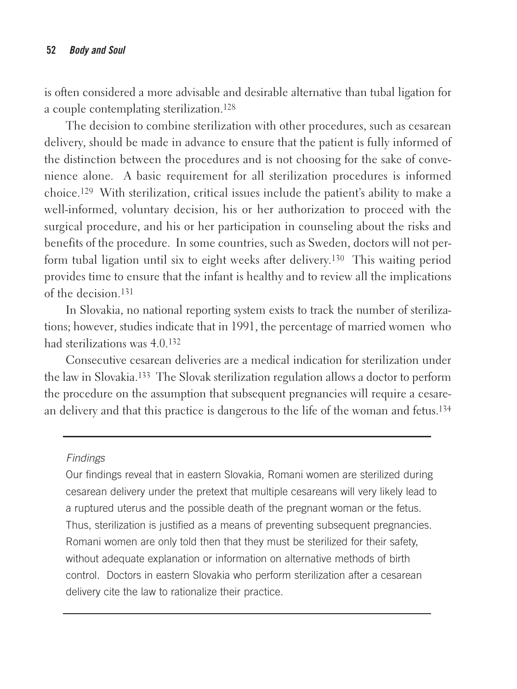is often considered a more advisable and desirable alternative than tubal ligation for a couple contemplating sterilization.128

The decision to combine sterilization with other procedures, such as cesarean delivery, should be made in advance to ensure that the patient is fully informed of the distinction between the procedures and is not choosing for the sake of convenience alone. A basic requirement for all sterilization procedures is informed choice.129 With sterilization, critical issues include the patient's ability to make a well-informed, voluntary decision, his or her authorization to proceed with the surgical procedure, and his or her participation in counseling about the risks and benefits of the procedure. In some countries, such as Sweden, doctors will not perform tubal ligation until six to eight weeks after delivery.130 This waiting period provides time to ensure that the infant is healthy and to review all the implications of the decision.131

In Slovakia, no national reporting system exists to track the number of sterilizations; however, studies indicate that in 1991, the percentage of married women who had sterilizations was 4.0.132

Consecutive cesarean deliveries are a medical indication for sterilization under the law in Slovakia.133 The Slovak sterilization regulation allows a doctor to perform the procedure on the assumption that subsequent pregnancies will require a cesarean delivery and that this practice is dangerous to the life of the woman and fetus.134

#### Findings

Our findings reveal that in eastern Slovakia, Romani women are sterilized during cesarean delivery under the pretext that multiple cesareans will very likely lead to a ruptured uterus and the possible death of the pregnant woman or the fetus. Thus, sterilization is justified as a means of preventing subsequent pregnancies. Romani women are only told then that they must be sterilized for their safety, without adequate explanation or information on alternative methods of birth control. Doctors in eastern Slovakia who perform sterilization after a cesarean delivery cite the law to rationalize their practice.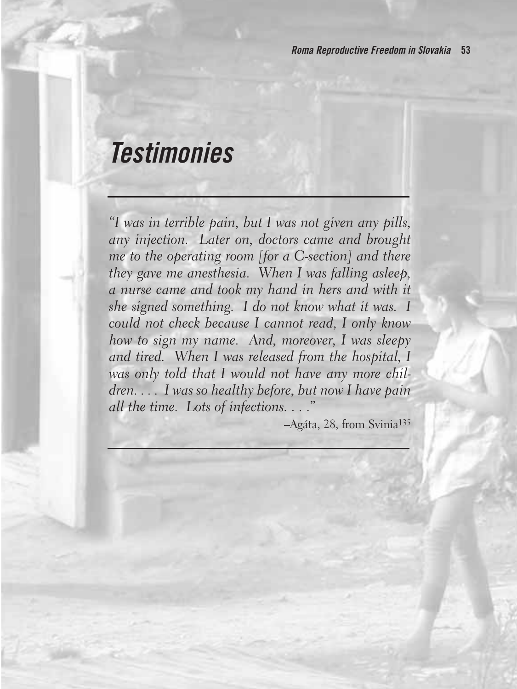# **Testimonies**

*"I was in terrible pain, but I was not given any pills, any injection. Later on, doctors came and brought me to the operating room [for a C-section] and there they gave me anesthesia. When I was falling asleep, a nurse came and took my hand in hers and with it she signed something. I do not know what it was. I could not check because I cannot read, I only know how to sign my name. And, moreover, I was sleepy and tired. When I was released from the hospital, I was only told that I would not have any more children. . . . I was so healthy before, but now I have pain all the time. Lots of infections. . . ."*

–Agáta, 28, from Svinia135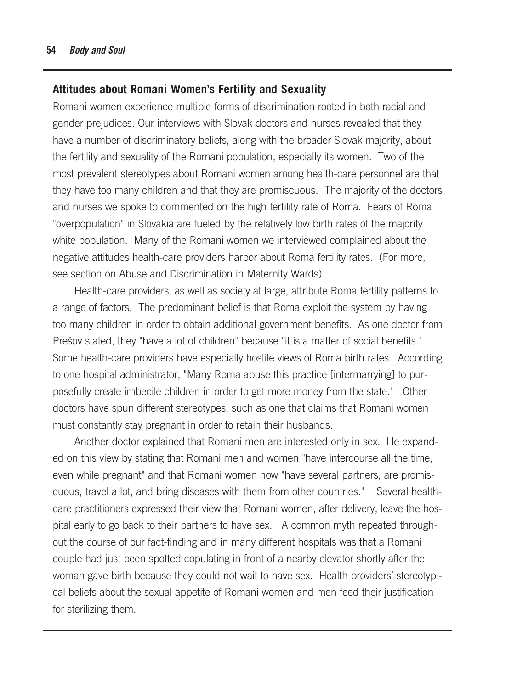### **Attitudes about Romani Women's Fertility and Sexuality**

Romani women experience multiple forms of discrimination rooted in both racial and gender prejudices. Our interviews with Slovak doctors and nurses revealed that they have a number of discriminatory beliefs, along with the broader Slovak majority, about the fertility and sexuality of the Romani population, especially its women. Two of the most prevalent stereotypes about Romani women among health-care personnel are that they have too many children and that they are promiscuous. The majority of the doctors and nurses we spoke to commented on the high fertility rate of Roma. Fears of Roma "overpopulation" in Slovakia are fueled by the relatively low birth rates of the majority white population. Many of the Romani women we interviewed complained about the negative attitudes health-care providers harbor about Roma fertility rates. (For more, see section on Abuse and Discrimination in Maternity Wards).

Health-care providers, as well as society at large, attribute Roma fertility patterns to a range of factors. The predominant belief is that Roma exploit the system by having too many children in order to obtain additional government benefits. As one doctor from Prešov stated, they "have a lot of children" because "it is a matter of social benefits." Some health-care providers have especially hostile views of Roma birth rates. According to one hospital administrator, "Many Roma abuse this practice [intermarrying] to purposefully create imbecile children in order to get more money from the state." Other doctors have spun different stereotypes, such as one that claims that Romani women must constantly stay pregnant in order to retain their husbands.

Another doctor explained that Romani men are interested only in sex. He expanded on this view by stating that Romani men and women "have intercourse all the time, even while pregnant" and that Romani women now "have several partners, are promiscuous, travel a lot, and bring diseases with them from other countries." Several healthcare practitioners expressed their view that Romani women, after delivery, leave the hospital early to go back to their partners to have sex. A common myth repeated throughout the course of our fact-finding and in many different hospitals was that a Romani couple had just been spotted copulating in front of a nearby elevator shortly after the woman gave birth because they could not wait to have sex. Health providers' stereotypical beliefs about the sexual appetite of Romani women and men feed their justification for sterilizing them.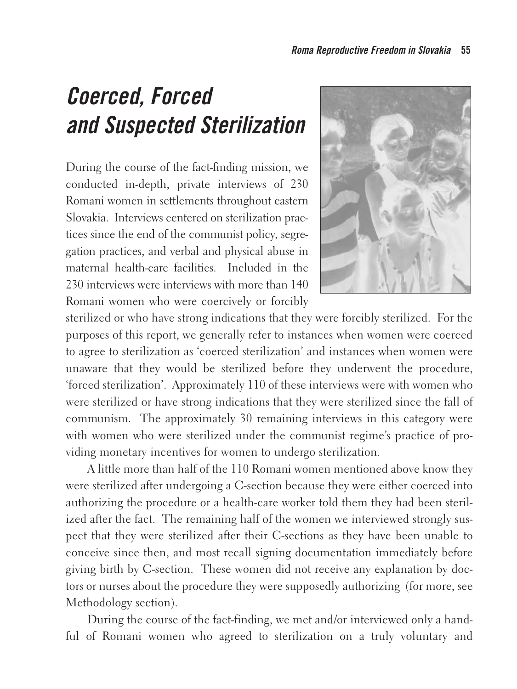## **Coerced, Forced and Suspected Sterilization**

During the course of the fact-finding mission, we conducted in-depth, private interviews of 230 Romani women in settlements throughout eastern Slovakia. Interviews centered on sterilization practices since the end of the communist policy, segregation practices, and verbal and physical abuse in maternal health-care facilities. Included in the 230 interviews were interviews with more than 140 Romani women who were coercively or forcibly



sterilized or who have strong indications that they were forcibly sterilized. For the purposes of this report, we generally refer to instances when women were coerced to agree to sterilization as 'coerced sterilization' and instances when women were unaware that they would be sterilized before they underwent the procedure, 'forced sterilization'. Approximately 110 of these interviews were with women who were sterilized or have strong indications that they were sterilized since the fall of communism. The approximately 30 remaining interviews in this category were with women who were sterilized under the communist regime's practice of providing monetary incentives for women to undergo sterilization.

A little more than half of the 110 Romani women mentioned above know they were sterilized after undergoing a C-section because they were either coerced into authorizing the procedure or a health-care worker told them they had been sterilized after the fact. The remaining half of the women we interviewed strongly suspect that they were sterilized after their C-sections as they have been unable to conceive since then, and most recall signing documentation immediately before giving birth by C-section. These women did not receive any explanation by doctors or nurses about the procedure they were supposedly authorizing (for more, see Methodology section).

During the course of the fact-finding, we met and/or interviewed only a handful of Romani women who agreed to sterilization on a truly voluntary and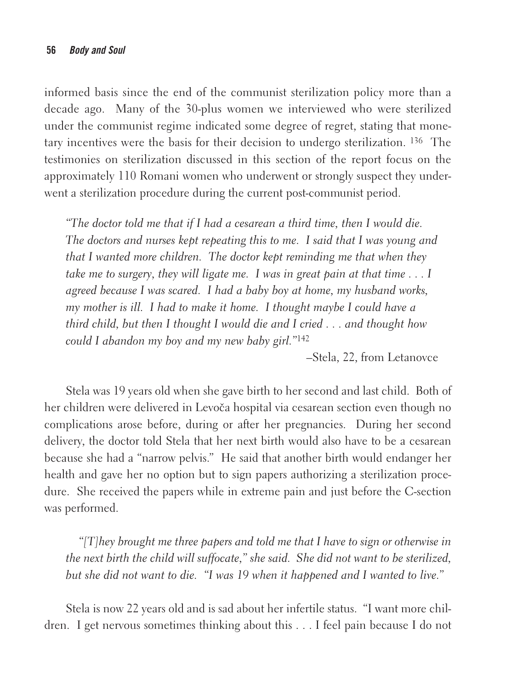informed basis since the end of the communist sterilization policy more than a decade ago. Many of the 30-plus women we interviewed who were sterilized under the communist regime indicated some degree of regret, stating that monetary incentives were the basis for their decision to undergo sterilization. 136 The testimonies on sterilization discussed in this section of the report focus on the approximately 110 Romani women who underwent or strongly suspect they underwent a sterilization procedure during the current post-communist period.

"The doctor told me that if I had a cesarean a third time, then I would die. The doctors and nurses kept repeating this to me. I said that I was young and that I wanted more children. The doctor kept reminding me that when they take me to surgery, they will ligate me. I was in great pain at that time . . . I agreed because I was scared. I had a baby boy at home, my husband works, my mother is ill. I had to make it home. I thought maybe I could have a third child, but then I thought I would die and I cried . . . and thought how could I abandon my boy and my new baby girl."<sup>142</sup>

–Stela, 22, from Letanovce

Stela was 19 years old when she gave birth to her second and last child. Both of her children were delivered in Levoča hospital via cesarean section even though no complications arose before, during or after her pregnancies. During her second delivery, the doctor told Stela that her next birth would also have to be a cesarean because she had a "narrow pelvis." He said that another birth would endanger her health and gave her no option but to sign papers authorizing a sterilization procedure. She received the papers while in extreme pain and just before the C-section was performed.

"[T]hey brought me three papers and told me that I have to sign or otherwise in the next birth the child will suffocate," she said. She did not want to be sterilized, but she did not want to die. "I was 19 when it happened and I wanted to live."

Stela is now 22 years old and is sad about her infertile status. "I want more children. I get nervous sometimes thinking about this . . . I feel pain because I do not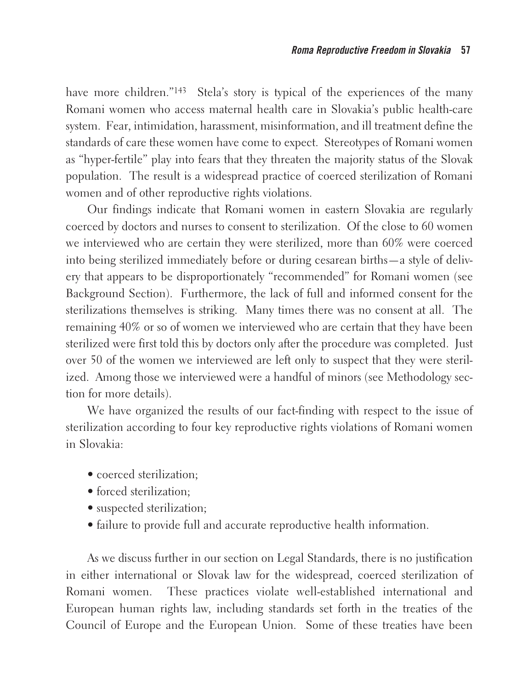have more children."<sup>143</sup> Stela's story is typical of the experiences of the many Romani women who access maternal health care in Slovakia's public health-care system. Fear, intimidation, harassment, misinformation, and ill treatment define the standards of care these women have come to expect. Stereotypes of Romani women as "hyper-fertile" play into fears that they threaten the majority status of the Slovak population. The result is a widespread practice of coerced sterilization of Romani women and of other reproductive rights violations.

Our findings indicate that Romani women in eastern Slovakia are regularly coerced by doctors and nurses to consent to sterilization. Of the close to 60 women we interviewed who are certain they were sterilized, more than 60% were coerced into being sterilized immediately before or during cesarean births—a style of delivery that appears to be disproportionately "recommended" for Romani women (see Background Section). Furthermore, the lack of full and informed consent for the sterilizations themselves is striking. Many times there was no consent at all. The remaining 40% or so of women we interviewed who are certain that they have been sterilized were first told this by doctors only after the procedure was completed. Just over 50 of the women we interviewed are left only to suspect that they were sterilized. Among those we interviewed were a handful of minors (see Methodology section for more details).

We have organized the results of our fact-finding with respect to the issue of sterilization according to four key reproductive rights violations of Romani women in Slovakia:

- coerced sterilization:
- forced sterilization;
- suspected sterilization;
- failure to provide full and accurate reproductive health information.

As we discuss further in our section on Legal Standards, there is no justification in either international or Slovak law for the widespread, coerced sterilization of Romani women. These practices violate well-established international and European human rights law, including standards set forth in the treaties of the Council of Europe and the European Union. Some of these treaties have been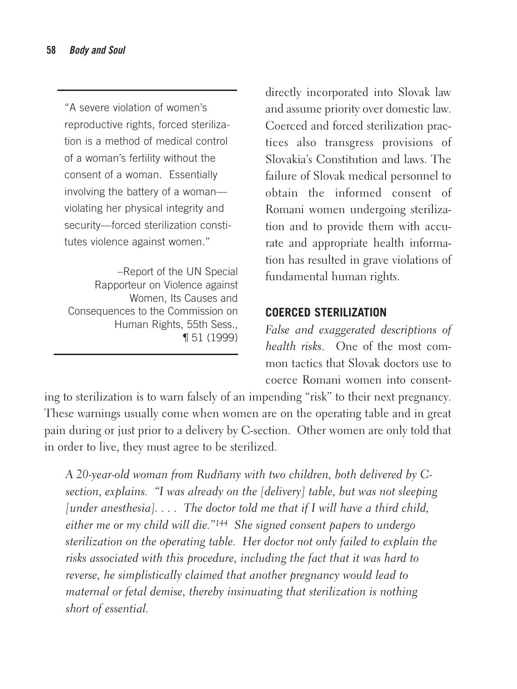"A severe violation of women's reproductive rights, forced sterilization is a method of medical control of a woman's fertility without the consent of a woman. Essentially involving the battery of a woman violating her physical integrity and security—forced sterilization constitutes violence against women."

–Report of the UN Special Rapporteur on Violence against Women, Its Causes and Consequences to the Commission on Human Rights, 55th Sess., ¶ 51 (1999)

directly incorporated into Slovak law and assume priority over domestic law. Coerced and forced sterilization practices also transgress provisions of Slovakia's Constitution and laws. The failure of Slovak medical personnel to obtain the informed consent of Romani women undergoing sterilization and to provide them with accurate and appropriate health information has resulted in grave violations of fundamental human rights.

## **COERCED STERILIZATION**

*False and exaggerated descriptions of health risks*. One of the most common tactics that Slovak doctors use to coerce Romani women into consent-

ing to sterilization is to warn falsely of an impending "risk" to their next pregnancy. These warnings usually come when women are on the operating table and in great pain during or just prior to a delivery by C-section. Other women are only told that in order to live, they must agree to be sterilized.

A 20-year-old woman from Rudπany with two children, both delivered by Csection, explains. "I was already on the [delivery] table, but was not sleeping [under anesthesia].... The doctor told me that if I will have a third child, either me or my child will die."<sup>144</sup> She signed consent papers to undergo sterilization on the operating table. Her doctor not only failed to explain the risks associated with this procedure, including the fact that it was hard to reverse, he simplistically claimed that another pregnancy would lead to maternal or fetal demise, thereby insinuating that sterilization is nothing short of essential.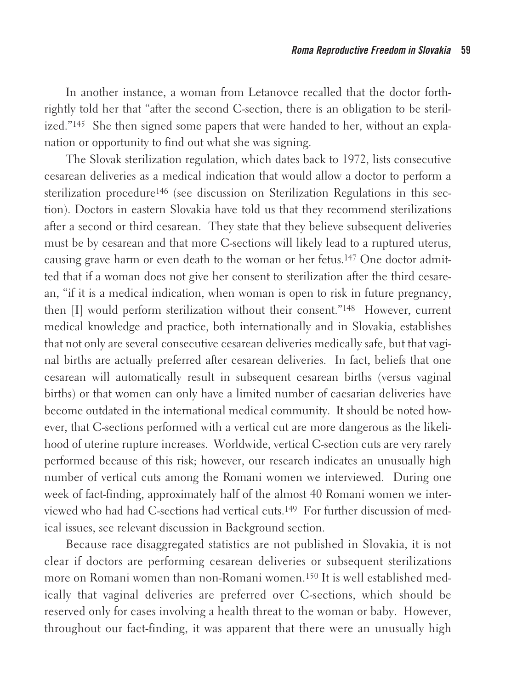In another instance, a woman from Letanovce recalled that the doctor forthrightly told her that "after the second C-section, there is an obligation to be sterilized."145 She then signed some papers that were handed to her, without an explanation or opportunity to find out what she was signing.

The Slovak sterilization regulation, which dates back to 1972, lists consecutive cesarean deliveries as a medical indication that would allow a doctor to perform a sterilization procedure<sup>146</sup> (see discussion on Sterilization Regulations in this section). Doctors in eastern Slovakia have told us that they recommend sterilizations after a second or third cesarean. They state that they believe subsequent deliveries must be by cesarean and that more C-sections will likely lead to a ruptured uterus, causing grave harm or even death to the woman or her fetus.147 One doctor admitted that if a woman does not give her consent to sterilization after the third cesarean, "if it is a medical indication, when woman is open to risk in future pregnancy, then [I] would perform sterilization without their consent."148 However, current medical knowledge and practice, both internationally and in Slovakia, establishes that not only are several consecutive cesarean deliveries medically safe, but that vaginal births are actually preferred after cesarean deliveries. In fact, beliefs that one cesarean will automatically result in subsequent cesarean births (versus vaginal births) or that women can only have a limited number of caesarian deliveries have become outdated in the international medical community. It should be noted however, that C-sections performed with a vertical cut are more dangerous as the likelihood of uterine rupture increases. Worldwide, vertical C-section cuts are very rarely performed because of this risk; however, our research indicates an unusually high number of vertical cuts among the Romani women we interviewed. During one week of fact-finding, approximately half of the almost 40 Romani women we interviewed who had had C-sections had vertical cuts.149 For further discussion of medical issues, see relevant discussion in Background section.

Because race disaggregated statistics are not published in Slovakia, it is not clear if doctors are performing cesarean deliveries or subsequent sterilizations more on Romani women than non-Romani women.150 It is well established medically that vaginal deliveries are preferred over C-sections, which should be reserved only for cases involving a health threat to the woman or baby. However, throughout our fact-finding, it was apparent that there were an unusually high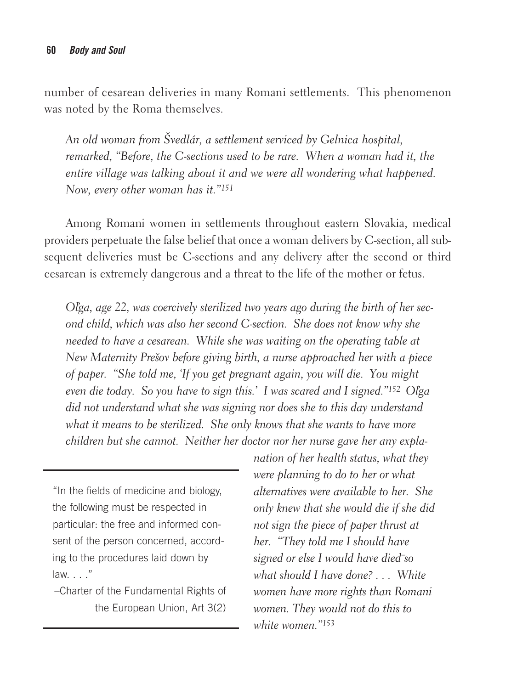number of cesarean deliveries in many Romani settlements. This phenomenon was noted by the Roma themselves.

An old woman from Švedlár, a settlement serviced by Gelnica hospital, remarked, "Before, the C-sections used to be rare. When a woman had it, the entire village was talking about it and we were all wondering what happened. Now, every other woman has it."151

Among Romani women in settlements throughout eastern Slovakia, medical providers perpetuate the false belief that once a woman delivers by C-section, all subsequent deliveries must be C-sections and any delivery after the second or third cesarean is extremely dangerous and a threat to the life of the mother or fetus.

Oľga, age 22, was coercively sterilized two years ago during the birth of her second child, which was also her second C-section. She does not know why she needed to have a cesarean. While she was waiting on the operating table at New Maternity Prešov before giving birth, a nurse approached her with a piece of paper. "She told me, 'If you get pregnant again, you will die. You might even die today. So you have to sign this.' I was scared and I signed."<sup>152</sup> Oľga did not understand what she was signing nor does she to this day understand what it means to be sterilized. She only knows that she wants to have more children but she cannot. Neither her doctor nor her nurse gave her any expla-

"In the fields of medicine and biology, the following must be respected in particular: the free and informed consent of the person concerned, according to the procedures laid down by  $law$  "

–Charter of the Fundamental Rights of the European Union, Art 3(2) nation of her health status, what they were planning to do to her or what alternatives were available to her. She only knew that she would die if she did not sign the piece of paper thrust at her. "They told me I should have signed or else I would have died¯so what should I have done? . . . White women have more rights than Romani women. They would not do this to white women<sup>"153</sup>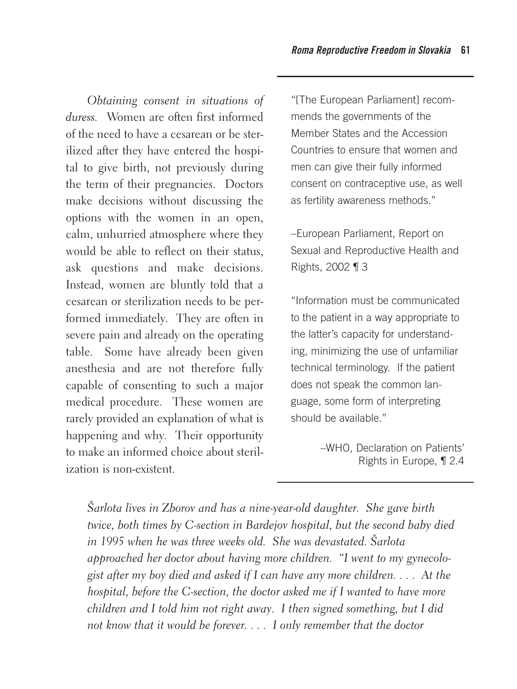*Obtaining consent in situations of duress.* Women are often first informed of the need to have a cesarean or be sterilized after they have entered the hospital to give birth, not previously during the term of their pregnancies. Doctors make decisions without discussing the options with the women in an open, calm, unhurried atmosphere where they would be able to reflect on their status, ask questions and make decisions. Instead, women are bluntly told that a cesarean or sterilization needs to be performed immediately. They are often in severe pain and already on the operating table. Some have already been given anesthesia and are not therefore fully capable of consenting to such a major medical procedure. These women are rarely provided an explanation of what is happening and why. Their opportunity to make an informed choice about sterilization is non-existent.

"[The European Parliament] recommends the governments of the Member States and the Accession Countries to ensure that women and men can give their fully informed consent on contraceptive use, as well as fertility awareness methods."

–European Parliament, Report on Sexual and Reproductive Health and Rights, 2002 ¶ 3

"Information must be communicated to the patient in a way appropriate to the latter's capacity for understanding, minimizing the use of unfamiliar technical terminology. If the patient does not speak the common language, some form of interpreting should be available."

> –WHO, Declaration on Patients' Rights in Europe, ¶ 2.4

≤arlota lives in Zborov and has a nine-year-old daughter. She gave birth twice, both times by C-section in Bardejov hospital, but the second baby died in 1995 when he was three weeks old. She was devastated. Šarlota approached her doctor about having more children. "I went to my gynecologist after my boy died and asked if I can have any more children. . . . At the hospital, before the C-section, the doctor asked me if I wanted to have more children and I told him not right away. I then signed something, but I did not know that it would be forever. . . . I only remember that the doctor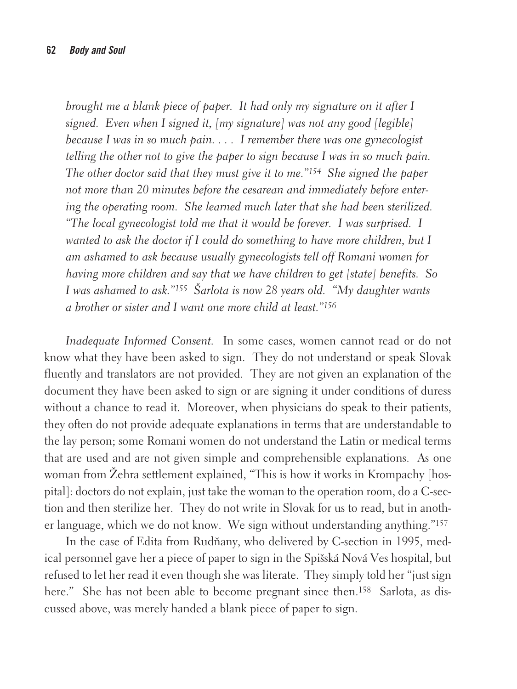brought me a blank piece of paper. It had only my signature on it after I signed. Even when I signed it, [my signature] was not any good [legible] because I was in so much pain. . . . I remember there was one gynecologist telling the other not to give the paper to sign because I was in so much pain. The other doctor said that they must give it to me."<sup>154</sup> She signed the paper not more than 20 minutes before the cesarean and immediately before entering the operating room. She learned much later that she had been sterilized. "The local gynecologist told me that it would be forever. I was surprised. I wanted to ask the doctor if I could do something to have more children, but I am ashamed to ask because usually gynecologists tell off Romani women for having more children and say that we have children to get [state] benefits. So I was ashamed to ask."<sup>155</sup> Šarlota is now 28 years old. "My daughter wants a brother or sister and I want one more child at least."156

*Inadequate Informed Consent.* In some cases, women cannot read or do not know what they have been asked to sign. They do not understand or speak Slovak fluently and translators are not provided. They are not given an explanation of the document they have been asked to sign or are signing it under conditions of duress without a chance to read it. Moreover, when physicians do speak to their patients, they often do not provide adequate explanations in terms that are understandable to the lay person; some Romani women do not understand the Latin or medical terms that are used and are not given simple and comprehensible explanations. As one woman from Žehra settlement explained, "This is how it works in Krompachy [hospital]: doctors do not explain, just take the woman to the operation room, do a C-section and then sterilize her. They do not write in Slovak for us to read, but in another language, which we do not know. We sign without understanding anything."157

In the case of Edita from Rudnany, who delivered by C-section in 1995, medical personnel gave her a piece of paper to sign in the Spišská Nová Ves hospital, but refused to let her read it even though she was literate. They simply told her "just sign here." She has not been able to become pregnant since then.<sup>158</sup> Sarlota, as discussed above, was merely handed a blank piece of paper to sign.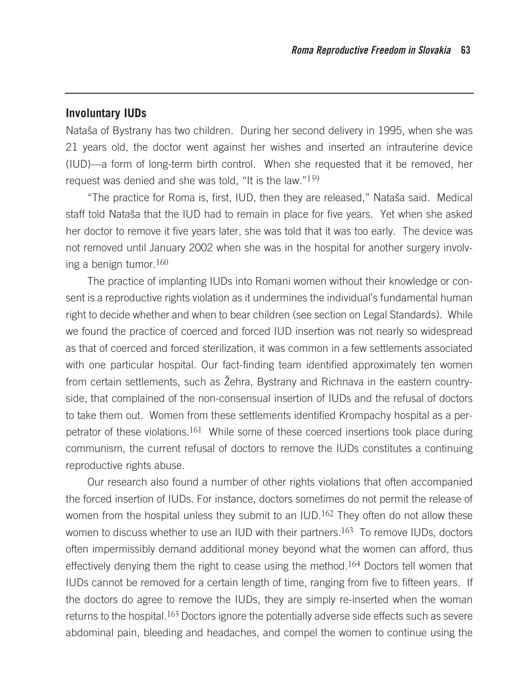#### **Involuntary IUDs**

Nata≥a of Bystrany has two children. During her second delivery in 1995, when she was 21 years old, the doctor went against her wishes and inserted an intrauterine device (IUD)—a form of long-term birth control. When she requested that it be removed, her request was denied and she was told, "It is the law."159

"The practice for Roma is, first, IUD, then they are released," Nata≥a said. Medical staff told Nataša that the IUD had to remain in place for five years. Yet when she asked her doctor to remove it five years later, she was told that it was too early. The device was not removed until January 2002 when she was in the hospital for another surgery involving a benign tumor.160

The practice of implanting IUDs into Romani women without their knowledge or consent is a reproductive rights violation as it undermines the individual's fundamental human right to decide whether and when to bear children (see section on Legal Standards). While we found the practice of coerced and forced IUD insertion was not nearly so widespread as that of coerced and forced sterilization, it was common in a few settlements associated with one particular hospital. Our fact-finding team identified approximately ten women from certain settlements, such as ∆ehra, Bystrany and Richnava in the eastern countryside, that complained of the non-consensual insertion of IUDs and the refusal of doctors to take them out. Women from these settlements identified Krompachy hospital as a perpetrator of these violations.161 While some of these coerced insertions took place during communism, the current refusal of doctors to remove the IUDs constitutes a continuing reproductive rights abuse.

Our research also found a number of other rights violations that often accompanied the forced insertion of IUDs. For instance, doctors sometimes do not permit the release of women from the hospital unless they submit to an IUD.<sup>162</sup> They often do not allow these women to discuss whether to use an IUD with their partners.<sup>163</sup> To remove IUDs, doctors often impermissibly demand additional money beyond what the women can afford, thus effectively denying them the right to cease using the method.<sup>164</sup> Doctors tell women that IUDs cannot be removed for a certain length of time, ranging from five to fifteen years. If the doctors do agree to remove the IUDs, they are simply re-inserted when the woman returns to the hospital.165 Doctors ignore the potentially adverse side effects such as severe abdominal pain, bleeding and headaches, and compel the women to continue using the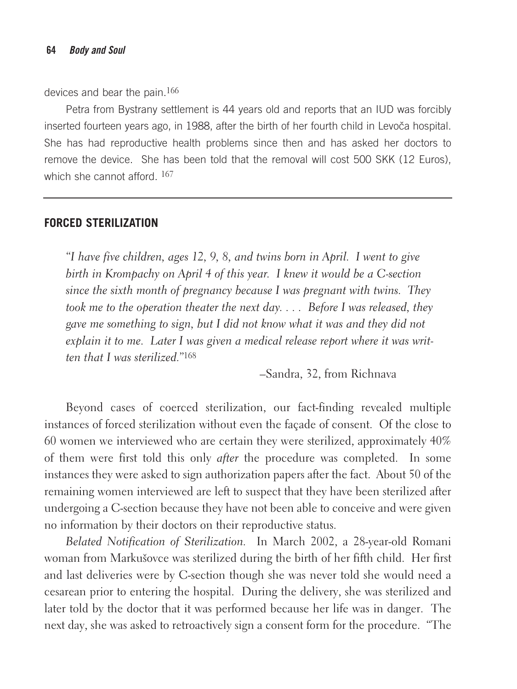#### **64 Body and Soul**

devices and bear the pain.166

Petra from Bystrany settlement is 44 years old and reports that an IUD was forcibly inserted fourteen years ago, in 1988, after the birth of her fourth child in Levoča hospital. She has had reproductive health problems since then and has asked her doctors to remove the device. She has been told that the removal will cost 500 SKK (12 Euros), which she cannot afford. 167

#### **FORCED STERILIZATION**

*"I have five children, ages 12, 9, 8, and twins born in April. I went to give birth in Krompachy on April 4 of this year. I knew it would be a C-section since the sixth month of pregnancy because I was pregnant with twins. They took me to the operation theater the next day. . . . Before I was released, they gave me something to sign, but I did not know what it was and they did not explain it to me. Later I was given a medical release report where it was written that I was sterilized."*<sup>168</sup>

–Sandra, 32, from Richnava

Beyond cases of coerced sterilization, our fact-finding revealed multiple instances of forced sterilization without even the façade of consent. Of the close to 60 women we interviewed who are certain they were sterilized, approximately 40% of them were first told this only *after* the procedure was completed. In some instances they were asked to sign authorization papers after the fact. About 50 of the remaining women interviewed are left to suspect that they have been sterilized after undergoing a C-section because they have not been able to conceive and were given no information by their doctors on their reproductive status.

*Belated Notification of Sterilization.* In March 2002, a 28-year-old Romani woman from Markušovce was sterilized during the birth of her fifth child. Her first and last deliveries were by C-section though she was never told she would need a cesarean prior to entering the hospital. During the delivery, she was sterilized and later told by the doctor that it was performed because her life was in danger. The next day, she was asked to retroactively sign a consent form for the procedure. "The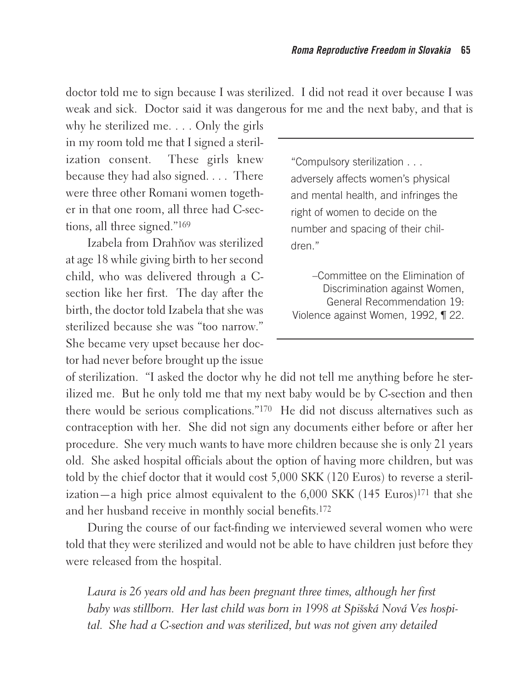doctor told me to sign because I was sterilized. I did not read it over because I was weak and sick. Doctor said it was dangerous for me and the next baby, and that is

why he sterilized me. . . . Only the girls in my room told me that I signed a sterilization consent. These girls knew because they had also signed. . . . There were three other Romani women together in that one room, all three had C-sections, all three signed."169

Izabela from Drahπov was sterilized at age 18 while giving birth to her second child, who was delivered through a Csection like her first. The day after the birth, the doctor told Izabela that she was sterilized because she was "too narrow." She became very upset because her doctor had never before brought up the issue

"Compulsory sterilization . . . adversely affects women's physical and mental health, and infringes the right of women to decide on the number and spacing of their children."

–Committee on the Elimination of Discrimination against Women, General Recommendation 19: Violence against Women, 1992, ¶ 22.

of sterilization. "I asked the doctor why he did not tell me anything before he sterilized me. But he only told me that my next baby would be by C-section and then there would be serious complications."170 He did not discuss alternatives such as contraception with her. She did not sign any documents either before or after her procedure. She very much wants to have more children because she is only 21 years old. She asked hospital officials about the option of having more children, but was told by the chief doctor that it would cost 5,000 SKK (120 Euros) to reverse a sterilization—a high price almost equivalent to the 6,000 SKK (145 Euros)171 that she and her husband receive in monthly social benefits.172

During the course of our fact-finding we interviewed several women who were told that they were sterilized and would not be able to have children just before they were released from the hospital.

Laura is 26 years old and has been pregnant three times, although her first baby was stillborn. Her last child was born in 1998 at Spišská Nová Ves hospital. She had a C-section and was sterilized, but was not given any detailed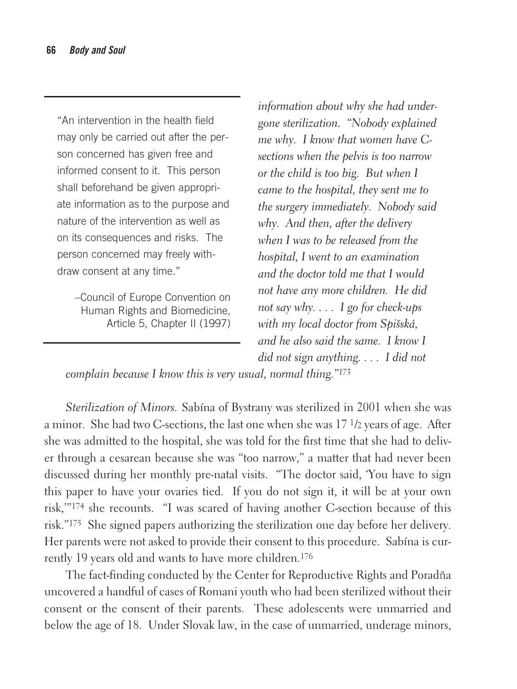"An intervention in the health field may only be carried out after the person concerned has given free and informed consent to it. This person shall beforehand be given appropriate information as to the purpose and nature of the intervention as well as on its consequences and risks. The person concerned may freely withdraw consent at any time."

> –Council of Europe Convention on Human Rights and Biomedicine, Article 5, Chapter II (1997)

information about why she had undergone sterilization. "Nobody explained me why. I know that women have Csections when the pelvis is too narrow or the child is too big. But when I came to the hospital, they sent me to the surgery immediately. Nobody said why. And then, after the delivery when I was to be released from the hospital, I went to an examination and the doctor told me that I would not have any more children. He did not say why. . . . I go for check-ups with my local doctor from Spišská, and he also said the same. I know I did not sign anything. . . . I did not

complain because I know this is very usual, normal thing."173

*Sterilization of Minors.* Sabína of Bystrany was sterilized in 2001 when she was a minor. She had two C-sections, the last one when she was 17 1/2 years of age. After she was admitted to the hospital, she was told for the first time that she had to deliver through a cesarean because she was "too narrow," a matter that had never been discussed during her monthly pre-natal visits. "The doctor said, 'You have to sign this paper to have your ovaries tied. If you do not sign it, it will be at your own risk,'"174 she recounts. "I was scared of having another C-section because of this risk."175 She signed papers authorizing the sterilization one day before her delivery. Her parents were not asked to provide their consent to this procedure. Sabína is currently 19 years old and wants to have more children.176

The fact-finding conducted by the Center for Reproductive Rights and Poradňa uncovered a handful of cases of Romani youth who had been sterilized without their consent or the consent of their parents. These adolescents were unmarried and below the age of 18. Under Slovak law, in the case of unmarried, underage minors,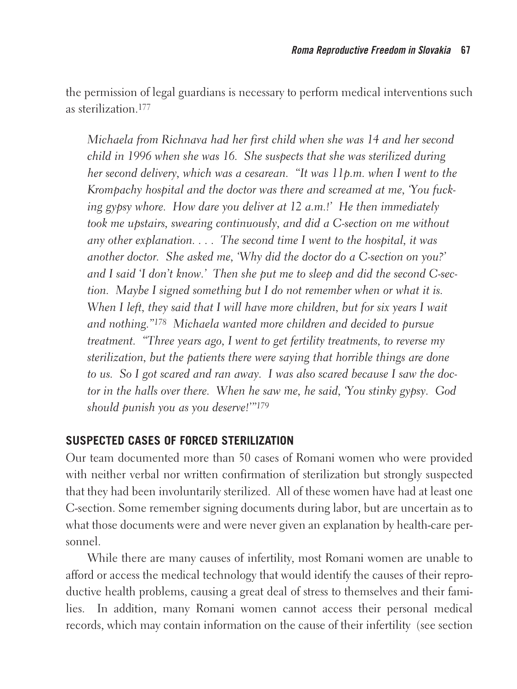the permission of legal guardians is necessary to perform medical interventions such as sterilization.177

Michaela from Richnava had her first child when she was 14 and her second child in 1996 when she was 16. She suspects that she was sterilized during her second delivery, which was a cesarean. "It was 11p.m. when I went to the Krompachy hospital and the doctor was there and screamed at me, 'You fucking gypsy whore. How dare you deliver at 12 a.m.!' He then immediately took me upstairs, swearing continuously, and did a C-section on me without any other explanation.  $\ldots$  The second time I went to the hospital, it was another doctor. She asked me, 'Why did the doctor do a C-section on you?' and I said 'I don't know.' Then she put me to sleep and did the second C-section. Maybe I signed something but I do not remember when or what it is. When I left, they said that I will have more children, but for six years I wait and nothing."178 Michaela wanted more children and decided to pursue treatment. "Three years ago, I went to get fertility treatments, to reverse my sterilization, but the patients there were saying that horrible things are done to us. So I got scared and ran away. I was also scared because I saw the doctor in the halls over there. When he saw me, he said, 'You stinky gypsy. God should punish you as you deserve!'"179

## **SUSPECTED CASES OF FORCED STERILIZATION**

Our team documented more than 50 cases of Romani women who were provided with neither verbal nor written confirmation of sterilization but strongly suspected that they had been involuntarily sterilized. All of these women have had at least one C-section. Some remember signing documents during labor, but are uncertain as to what those documents were and were never given an explanation by health-care personnel.

While there are many causes of infertility, most Romani women are unable to afford or access the medical technology that would identify the causes of their reproductive health problems, causing a great deal of stress to themselves and their families. In addition, many Romani women cannot access their personal medical records, which may contain information on the cause of their infertility (see section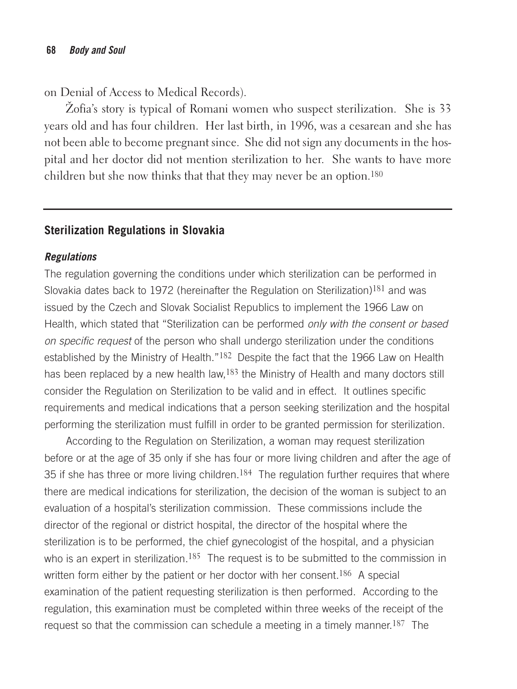on Denial of Access to Medical Records).

∆ofia's story is typical of Romani women who suspect sterilization. She is 33 years old and has four children. Her last birth, in 1996, was a cesarean and she has not been able to become pregnant since. She did not sign any documents in the hospital and her doctor did not mention sterilization to her. She wants to have more children but she now thinks that that they may never be an option.180

## **Sterilization Regulations in Slovakia**

#### **Regulations**

The regulation governing the conditions under which sterilization can be performed in Slovakia dates back to 1972 (hereinafter the Regulation on Sterilization)<sup>181</sup> and was issued by the Czech and Slovak Socialist Republics to implement the 1966 Law on Health. which stated that "Sterilization can be performed only with the consent or based on specific request of the person who shall undergo sterilization under the conditions established by the Ministry of Health."182 Despite the fact that the 1966 Law on Health has been replaced by a new health law, 183 the Ministry of Health and many doctors still consider the Regulation on Sterilization to be valid and in effect. It outlines specific requirements and medical indications that a person seeking sterilization and the hospital performing the sterilization must fulfill in order to be granted permission for sterilization.

According to the Regulation on Sterilization, a woman may request sterilization before or at the age of 35 only if she has four or more living children and after the age of 35 if she has three or more living children.<sup>184</sup> The regulation further requires that where there are medical indications for sterilization, the decision of the woman is subject to an evaluation of a hospital's sterilization commission. These commissions include the director of the regional or district hospital, the director of the hospital where the sterilization is to be performed, the chief gynecologist of the hospital, and a physician who is an expert in sterilization.<sup>185</sup> The request is to be submitted to the commission in written form either by the patient or her doctor with her consent.<sup>186</sup> A special examination of the patient requesting sterilization is then performed. According to the regulation, this examination must be completed within three weeks of the receipt of the request so that the commission can schedule a meeting in a timely manner.<sup>187</sup> The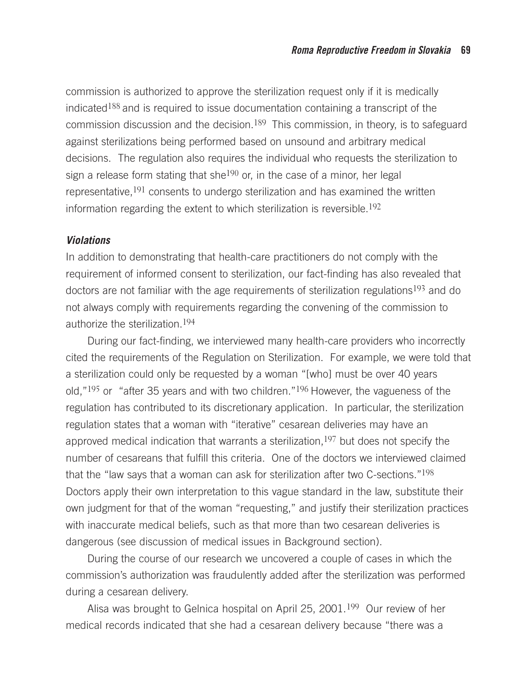commission is authorized to approve the sterilization request only if it is medically indicated<sup>188</sup> and is required to issue documentation containing a transcript of the commission discussion and the decision.<sup>189</sup> This commission, in theory, is to safeguard against sterilizations being performed based on unsound and arbitrary medical decisions. The regulation also requires the individual who requests the sterilization to sign a release form stating that she<sup>190</sup> or, in the case of a minor, her legal representative,191 consents to undergo sterilization and has examined the written information regarding the extent to which sterilization is reversible.<sup>192</sup>

#### **Violations**

In addition to demonstrating that health-care practitioners do not comply with the requirement of informed consent to sterilization, our fact-finding has also revealed that doctors are not familiar with the age requirements of sterilization regulations193 and do not always comply with requirements regarding the convening of the commission to authorize the sterilization.194

During our fact-finding, we interviewed many health-care providers who incorrectly cited the requirements of the Regulation on Sterilization. For example, we were told that a sterilization could only be requested by a woman "[who] must be over 40 years old,"195 or "after 35 years and with two children."196 However, the vagueness of the regulation has contributed to its discretionary application. In particular, the sterilization regulation states that a woman with "iterative" cesarean deliveries may have an approved medical indication that warrants a sterilization,197 but does not specify the number of cesareans that fulfill this criteria. One of the doctors we interviewed claimed that the "law says that a woman can ask for sterilization after two C-sections."198 Doctors apply their own interpretation to this vague standard in the law, substitute their own judgment for that of the woman "requesting," and justify their sterilization practices with inaccurate medical beliefs, such as that more than two cesarean deliveries is dangerous (see discussion of medical issues in Background section).

During the course of our research we uncovered a couple of cases in which the commission's authorization was fraudulently added after the sterilization was performed during a cesarean delivery.

Alisa was brought to Gelnica hospital on April 25, 2001.199 Our review of her medical records indicated that she had a cesarean delivery because "there was a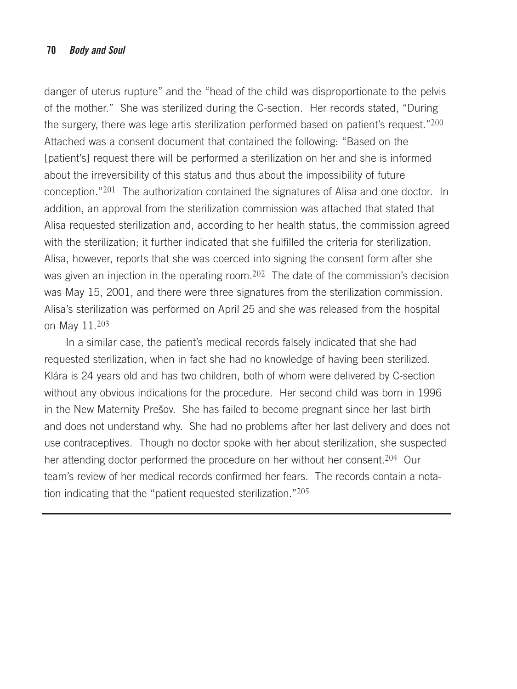#### **70 Body and Soul**

danger of uterus rupture" and the "head of the child was disproportionate to the pelvis of the mother." She was sterilized during the C-section. Her records stated, "During the surgery, there was lege artis sterilization performed based on patient's request."200 Attached was a consent document that contained the following: "Based on the [patient's] request there will be performed a sterilization on her and she is informed about the irreversibility of this status and thus about the impossibility of future conception."201 The authorization contained the signatures of Alisa and one doctor. In addition, an approval from the sterilization commission was attached that stated that Alisa requested sterilization and, according to her health status, the commission agreed with the sterilization; it further indicated that she fulfilled the criteria for sterilization. Alisa, however, reports that she was coerced into signing the consent form after she was given an injection in the operating room.<sup>202</sup> The date of the commission's decision was May 15, 2001, and there were three signatures from the sterilization commission. Alisa's sterilization was performed on April 25 and she was released from the hospital on May 11.203

In a similar case, the patient's medical records falsely indicated that she had requested sterilization, when in fact she had no knowledge of having been sterilized. Klára is 24 years old and has two children, both of whom were delivered by C-section without any obvious indications for the procedure. Her second child was born in 1996 in the New Maternity Prešov. She has failed to become pregnant since her last birth and does not understand why. She had no problems after her last delivery and does not use contraceptives. Though no doctor spoke with her about sterilization, she suspected her attending doctor performed the procedure on her without her consent.<sup>204</sup> Our team's review of her medical records confirmed her fears. The records contain a notation indicating that the "patient requested sterilization."205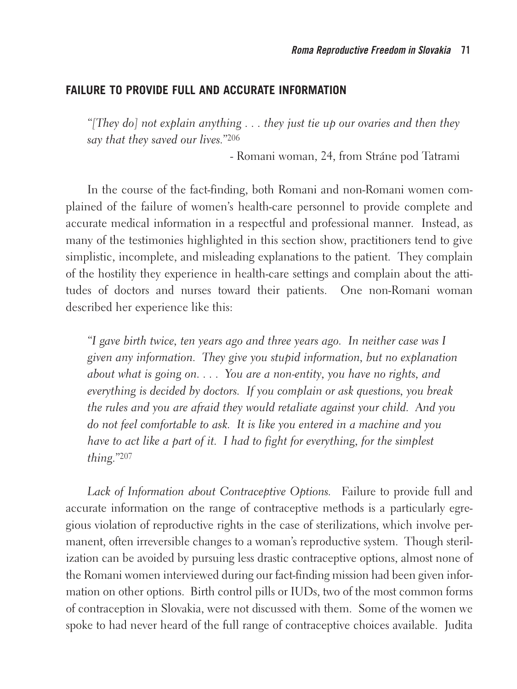#### **FAILURE TO PROVIDE FULL AND ACCURATE INFORMATION**

*"[They do] not explain anything . . . they just tie up our ovaries and then they say that they saved our lives."*<sup>206</sup>

- Romani woman, 24, from Stráne pod Tatrami

In the course of the fact-finding, both Romani and non-Romani women complained of the failure of women's health-care personnel to provide complete and accurate medical information in a respectful and professional manner. Instead, as many of the testimonies highlighted in this section show, practitioners tend to give simplistic, incomplete, and misleading explanations to the patient. They complain of the hostility they experience in health-care settings and complain about the attitudes of doctors and nurses toward their patients. One non-Romani woman described her experience like this:

*"I gave birth twice, ten years ago and three years ago. In neither case was I given any information. They give you stupid information, but no explanation about what is going on. . . . You are a non-entity, you have no rights, and everything is decided by doctors. If you complain or ask questions, you break the rules and you are afraid they would retaliate against your child. And you do not feel comfortable to ask. It is like you entered in a machine and you have to act like a part of it. I had to fight for everything, for the simplest thing."*<sup>207</sup>

*Lack of Information about Contraceptive Options.* Failure to provide full and accurate information on the range of contraceptive methods is a particularly egregious violation of reproductive rights in the case of sterilizations, which involve permanent, often irreversible changes to a woman's reproductive system. Though sterilization can be avoided by pursuing less drastic contraceptive options, almost none of the Romani women interviewed during our fact-finding mission had been given information on other options. Birth control pills or IUDs, two of the most common forms of contraception in Slovakia, were not discussed with them. Some of the women we spoke to had never heard of the full range of contraceptive choices available. Judita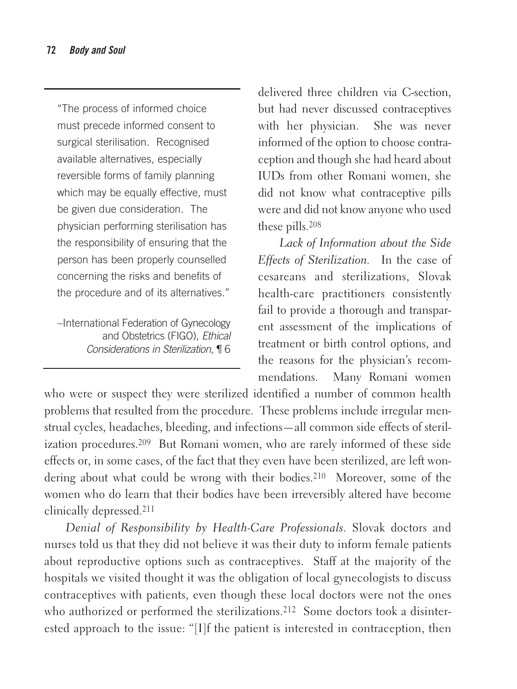"The process of informed choice must precede informed consent to surgical sterilisation. Recognised available alternatives, especially reversible forms of family planning which may be equally effective, must be given due consideration. The physician performing sterilisation has the responsibility of ensuring that the person has been properly counselled concerning the risks and benefits of the procedure and of its alternatives."

–International Federation of Gynecology and Obstetrics (FIGO), Ethical Considerations in Sterilization, ¶ 6

delivered three children via C-section, but had never discussed contraceptives with her physician. She was never informed of the option to choose contraception and though she had heard about IUDs from other Romani women, she did not know what contraceptive pills were and did not know anyone who used these pills.208

*Lack of Information about the Side Effects of Sterilization.* In the case of cesareans and sterilizations, Slovak health-care practitioners consistently fail to provide a thorough and transparent assessment of the implications of treatment or birth control options, and the reasons for the physician's recommendations. Many Romani women

who were or suspect they were sterilized identified a number of common health problems that resulted from the procedure. These problems include irregular menstrual cycles, headaches, bleeding, and infections—all common side effects of sterilization procedures.209 But Romani women, who are rarely informed of these side effects or, in some cases, of the fact that they even have been sterilized, are left wondering about what could be wrong with their bodies.210 Moreover, some of the women who do learn that their bodies have been irreversibly altered have become clinically depressed.211

*Denial of Responsibility by Health-Care Professionals.* Slovak doctors and nurses told us that they did not believe it was their duty to inform female patients about reproductive options such as contraceptives. Staff at the majority of the hospitals we visited thought it was the obligation of local gynecologists to discuss contraceptives with patients, even though these local doctors were not the ones who authorized or performed the sterilizations.<sup>212</sup> Some doctors took a disinterested approach to the issue: "[I]f the patient is interested in contraception, then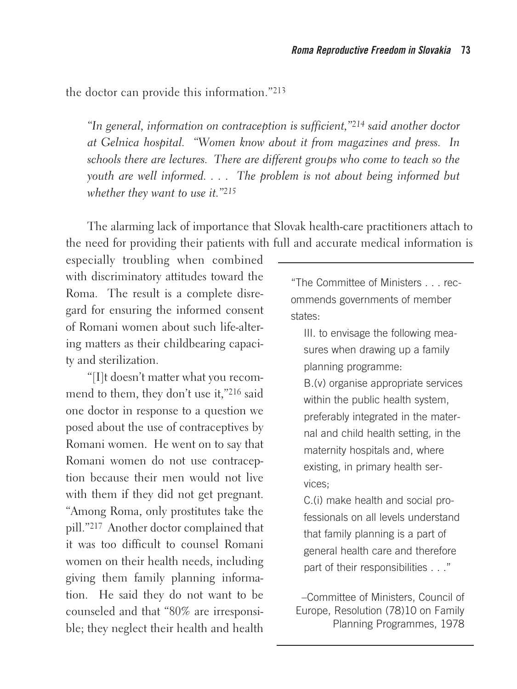the doctor can provide this information."213

"In general, information on contraception is sufficient,"214 said another doctor at Gelnica hospital. "Women know about it from magazines and press. In schools there are lectures. There are different groups who come to teach so the youth are well informed. . . . The problem is not about being informed but whether they want to use it."215

The alarming lack of importance that Slovak health-care practitioners attach to the need for providing their patients with full and accurate medical information is

especially troubling when combined with discriminatory attitudes toward the Roma. The result is a complete disregard for ensuring the informed consent of Romani women about such life-altering matters as their childbearing capacity and sterilization.

"[I]t doesn't matter what you recommend to them, they don't use it,"216 said one doctor in response to a question we posed about the use of contraceptives by Romani women. He went on to say that Romani women do not use contraception because their men would not live with them if they did not get pregnant. "Among Roma, only prostitutes take the pill."217 Another doctor complained that it was too difficult to counsel Romani women on their health needs, including giving them family planning information. He said they do not want to be counseled and that "80% are irresponsible; they neglect their health and health

"The Committee of Ministers . . . recommends governments of member states:

III. to envisage the following measures when drawing up a family planning programme:

B.(v) organise appropriate services within the public health system, preferably integrated in the maternal and child health setting, in the maternity hospitals and, where existing, in primary health services;

C.(i) make health and social professionals on all levels understand that family planning is a part of general health care and therefore part of their responsibilities . . ."

–Committee of Ministers, Council of Europe, Resolution (78)10 on Family Planning Programmes, 1978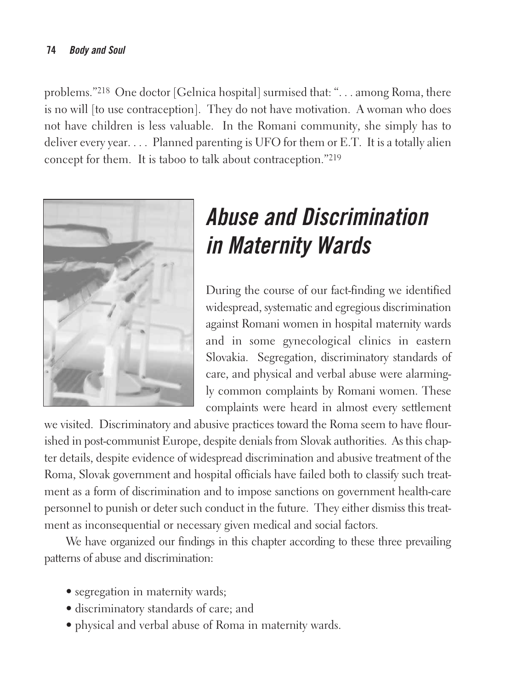problems."218 One doctor [Gelnica hospital] surmised that: ". . . among Roma, there is no will [to use contraception]. They do not have motivation. A woman who does not have children is less valuable. In the Romani community, she simply has to deliver every year. . . . Planned parenting is UFO for them or E.T. It is a totally alien concept for them. It is taboo to talk about contraception."219



# **Abuse and Discrimination in Maternity Wards**

During the course of our fact-finding we identified widespread, systematic and egregious discrimination against Romani women in hospital maternity wards and in some gynecological clinics in eastern Slovakia. Segregation, discriminatory standards of care, and physical and verbal abuse were alarmingly common complaints by Romani women. These complaints were heard in almost every settlement

we visited. Discriminatory and abusive practices toward the Roma seem to have flourished in post-communist Europe, despite denials from Slovak authorities. As this chapter details, despite evidence of widespread discrimination and abusive treatment of the Roma, Slovak government and hospital officials have failed both to classify such treatment as a form of discrimination and to impose sanctions on government health-care personnel to punish or deter such conduct in the future. They either dismiss this treatment as inconsequential or necessary given medical and social factors.

We have organized our findings in this chapter according to these three prevailing patterns of abuse and discrimination:

- segregation in maternity wards;
- discriminatory standards of care; and
- physical and verbal abuse of Roma in maternity wards.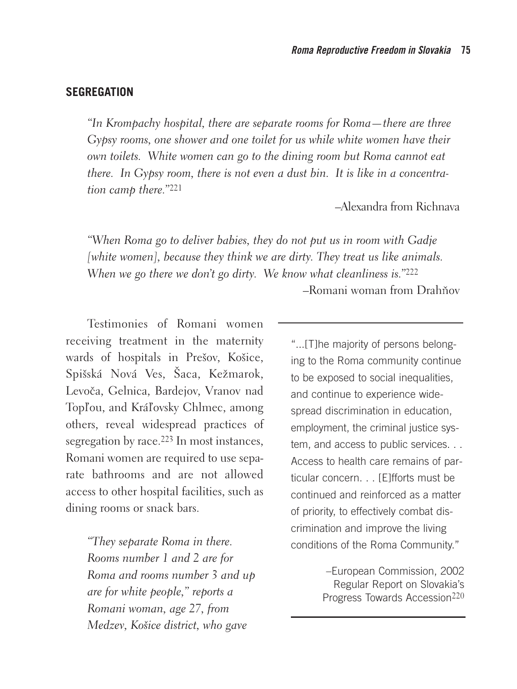#### **SEGREGATION**

*"In Krompachy hospital, there are separate rooms for Roma—there are three Gypsy rooms, one shower and one toilet for us while white women have their own toilets. White women can go to the dining room but Roma cannot eat there. In Gypsy room, there is not even a dust bin. It is like in a concentration camp there."*<sup>221</sup>

–Alexandra from Richnava

*"When Roma go to deliver babies, they do not put us in room with Gadje [white women], because they think we are dirty. They treat us like animals. When we go there we don't go dirty. We know what cleanliness is."*<sup>222</sup>

–Romani woman from Drahπov

Testimonies of Romani women receiving treatment in the maternity wards of hospitals in Prešov, Košice, Spišská Nová Ves, Šaca, Kežmarok, Levoča, Gelnica, Bardejov, Vranov nad Top∂ou, and Krá∂ovsky Chlmec, among others, reveal widespread practices of segregation by race.<sup>223</sup> In most instances, Romani women are required to use separate bathrooms and are not allowed access to other hospital facilities, such as dining rooms or snack bars.

> "They separate Roma in there. Rooms number 1 and 2 are for Roma and rooms number 3 and up are for white people," reports a Romani woman, age 27, from Medzev, Košice district, who gave

"...[T]he majority of persons belonging to the Roma community continue to be exposed to social inequalities, and continue to experience widespread discrimination in education, employment, the criminal justice system, and access to public services. . . Access to health care remains of particular concern. . . [E]fforts must be continued and reinforced as a matter of priority, to effectively combat discrimination and improve the living conditions of the Roma Community."

> –European Commission, 2002 Regular Report on Slovakia's Progress Towards Accession<sup>220</sup>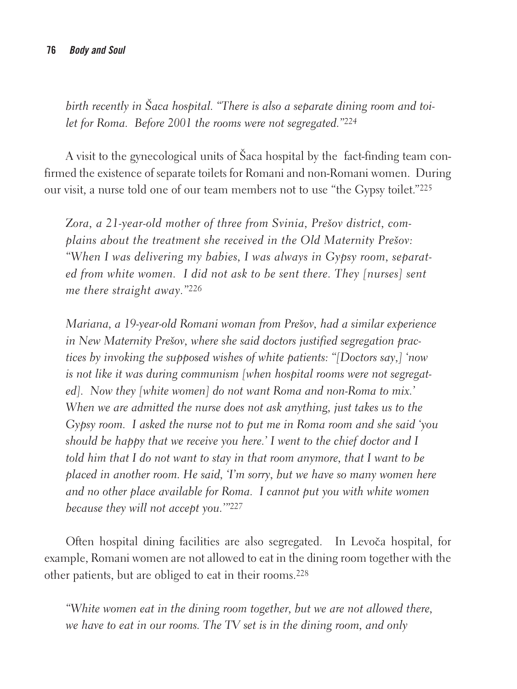#### **76 Body and Soul**

birth recently in Saca hospital. "There is also a separate dining room and toilet for Roma. Before 2001 the rooms were not segregated."224

A visit to the gynecological units of ≤aca hospital by the fact-finding team confirmed the existence of separate toilets for Romani and non-Romani women. During our visit, a nurse told one of our team members not to use "the Gypsy toilet."225

Zora, a 21-year-old mother of three from Svinia, Prešov district, complains about the treatment she received in the Old Maternity Prešov: "When I was delivering my babies, I was always in Gypsy room, separated from white women. I did not ask to be sent there. They [nurses] sent me there straight away."226

Mariana, a 19-year-old Romani woman from Prešov, had a similar experience in New Maternity Prešov, where she said doctors justified segregation practices by invoking the supposed wishes of white patients: "[Doctors say,] 'now is not like it was during communism [when hospital rooms were not segregated]. Now they [white women] do not want Roma and non-Roma to mix.' When we are admitted the nurse does not ask anything, just takes us to the Gypsy room. I asked the nurse not to put me in Roma room and she said 'you should be happy that we receive you here.' I went to the chief doctor and I told him that I do not want to stay in that room anymore, that I want to be placed in another room. He said, 'I'm sorry, but we have so many women here and no other place available for Roma. I cannot put you with white women because they will not accept you.'"227

Often hospital dining facilities are also segregated. In Levoča hospital, for example, Romani women are not allowed to eat in the dining room together with the other patients, but are obliged to eat in their rooms.228

"White women eat in the dining room together, but we are not allowed there, we have to eat in our rooms. The TV set is in the dining room, and only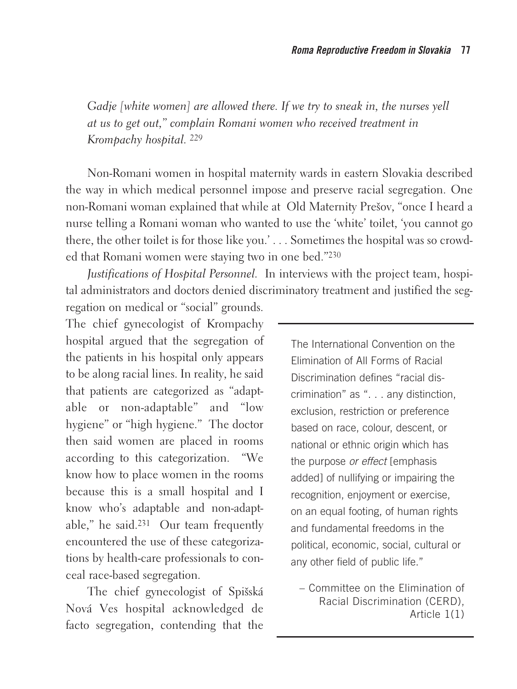Gadje [white women] are allowed there. If we try to sneak in, the nurses yell at us to get out," complain Romani women who received treatment in Krompachy hospital. 229

Non-Romani women in hospital maternity wards in eastern Slovakia described the way in which medical personnel impose and preserve racial segregation. One non-Romani woman explained that while at Old Maternity Prešov, "once I heard a nurse telling a Romani woman who wanted to use the 'white' toilet, 'you cannot go there, the other toilet is for those like you.' . . . Sometimes the hospital was so crowded that Romani women were staying two in one bed."230

*Justifications of Hospital Personnel.* In interviews with the project team, hospital administrators and doctors denied discriminatory treatment and justified the seg-

regation on medical or "social" grounds. The chief gynecologist of Krompachy hospital argued that the segregation of the patients in his hospital only appears to be along racial lines. In reality, he said that patients are categorized as "adaptable or non-adaptable" and "low hygiene" or "high hygiene." The doctor then said women are placed in rooms according to this categorization. "We know how to place women in the rooms because this is a small hospital and I know who's adaptable and non-adaptable," he said.231 Our team frequently encountered the use of these categorizations by health-care professionals to conceal race-based segregation.

The chief gynecologist of Spišská Nová Ves hospital acknowledged de facto segregation, contending that the

The International Convention on the Elimination of All Forms of Racial Discrimination defines "racial discrimination" as ". . . any distinction, exclusion, restriction or preference based on race, colour, descent, or national or ethnic origin which has the purpose or effect [emphasis added] of nullifying or impairing the recognition, enjoyment or exercise, on an equal footing, of human rights and fundamental freedoms in the political, economic, social, cultural or any other field of public life."

– Committee on the Elimination of Racial Discrimination (CERD), Article 1(1)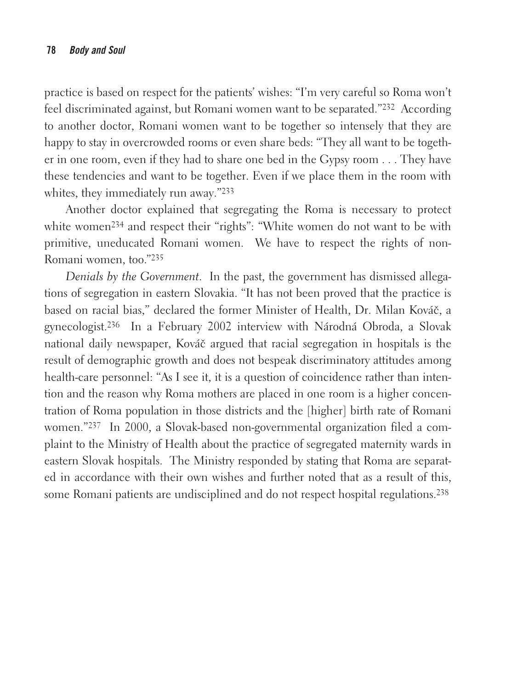#### **78 Body and Soul**

practice is based on respect for the patients' wishes: "I'm very careful so Roma won't feel discriminated against, but Romani women want to be separated."232 According to another doctor, Romani women want to be together so intensely that they are happy to stay in overcrowded rooms or even share beds: "They all want to be together in one room, even if they had to share one bed in the Gypsy room . . . They have these tendencies and want to be together. Even if we place them in the room with whites, they immediately run away."233

Another doctor explained that segregating the Roma is necessary to protect white women<sup>234</sup> and respect their "rights": "White women do not want to be with primitive, uneducated Romani women. We have to respect the rights of non-Romani women, too."235

*Denials by the Government*. In the past, the government has dismissed allegations of segregation in eastern Slovakia. "It has not been proved that the practice is based on racial bias," declared the former Minister of Health, Dr. Milan Kováč, a gynecologist.236 In a February 2002 interview with Národná Obroda, a Slovak national daily newspaper, Kováč argued that racial segregation in hospitals is the result of demographic growth and does not bespeak discriminatory attitudes among health-care personnel: "As I see it, it is a question of coincidence rather than intention and the reason why Roma mothers are placed in one room is a higher concentration of Roma population in those districts and the [higher] birth rate of Romani women."237 In 2000, a Slovak-based non-governmental organization filed a complaint to the Ministry of Health about the practice of segregated maternity wards in eastern Slovak hospitals. The Ministry responded by stating that Roma are separated in accordance with their own wishes and further noted that as a result of this, some Romani patients are undisciplined and do not respect hospital regulations.238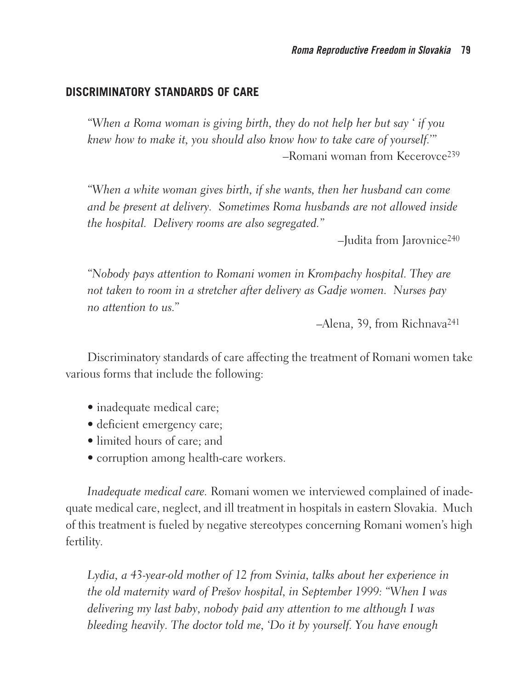#### **DISCRIMINATORY STANDARDS OF CARE**

*"When a Roma woman is giving birth, they do not help her but say ' if you knew how to make it, you should also know how to take care of yourself.'"* –Romani woman from Kecerovce239

"When a white woman gives birth, if she wants, then her husband can come and be present at delivery. Sometimes Roma husbands are not allowed inside the hospital. Delivery rooms are also segregated."

–Judita from Jarovnice240

*"Nobody pays attention to Romani women in Krompachy hospital. They are not taken to room in a stretcher after delivery as Gadje women. Nurses pay no attention to us."* 

–Alena, 39, from Richnava241

Discriminatory standards of care affecting the treatment of Romani women take various forms that include the following:

- inadequate medical care;
- deficient emergency care;
- limited hours of care; and
- corruption among health-care workers.

*Inadequate medical care.* Romani women we interviewed complained of inadequate medical care, neglect, and ill treatment in hospitals in eastern Slovakia. Much of this treatment is fueled by negative stereotypes concerning Romani women's high fertility.

Lydia, a 43-year-old mother of 12 from Svinia, talks about her experience in the old maternity ward of Prešov hospital, in September 1999: "When I was delivering my last baby, nobody paid any attention to me although I was bleeding heavily. The doctor told me, 'Do it by yourself. You have enough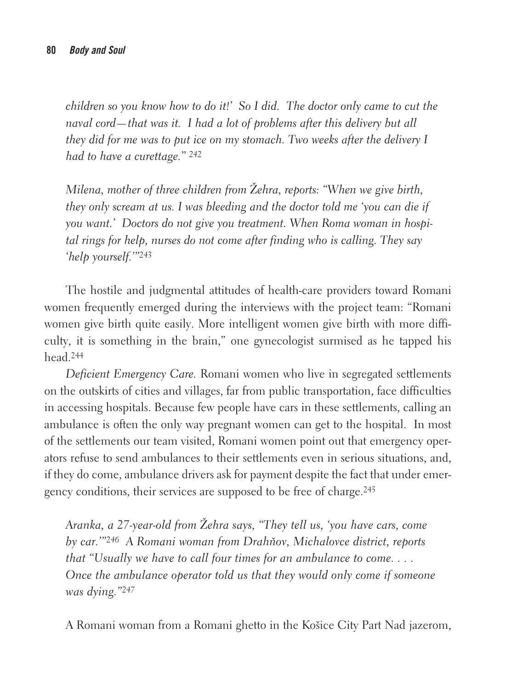children so you know how to do it!' So I did. The doctor only came to cut the naval cord—that was it. I had a lot of problems after this delivery but all they did for me was to put ice on my stomach. Two weeks after the delivery I had to have a curettage." 242

Milena, mother of three children from ∆ehra, reports: "When we give birth, they only scream at us. I was bleeding and the doctor told me 'you can die if you want.' Doctors do not give you treatment. When Roma woman in hospital rings for help, nurses do not come after finding who is calling. They say 'help yourself.'"243

The hostile and judgmental attitudes of health-care providers toward Romani women frequently emerged during the interviews with the project team: "Romani women give birth quite easily. More intelligent women give birth with more difficulty, it is something in the brain," one gynecologist surmised as he tapped his head.244

*Deficient Emergency Care.* Romani women who live in segregated settlements on the outskirts of cities and villages, far from public transportation, face difficulties in accessing hospitals. Because few people have cars in these settlements, calling an ambulance is often the only way pregnant women can get to the hospital. In most of the settlements our team visited, Romani women point out that emergency operators refuse to send ambulances to their settlements even in serious situations, and, if they do come, ambulance drivers ask for payment despite the fact that under emergency conditions, their services are supposed to be free of charge.245

Aranka, a 27-year-old from ∆ehra says, "They tell us, 'you have cars, come by car."<sup>246</sup> A Romani woman from Drahňov, Michalovce district, reports that "Usually we have to call four times for an ambulance to come. . . . Once the ambulance operator told us that they would only come if someone was dying."247

A Romani woman from a Romani ghetto in the Ko≥ice City Part Nad jazerom,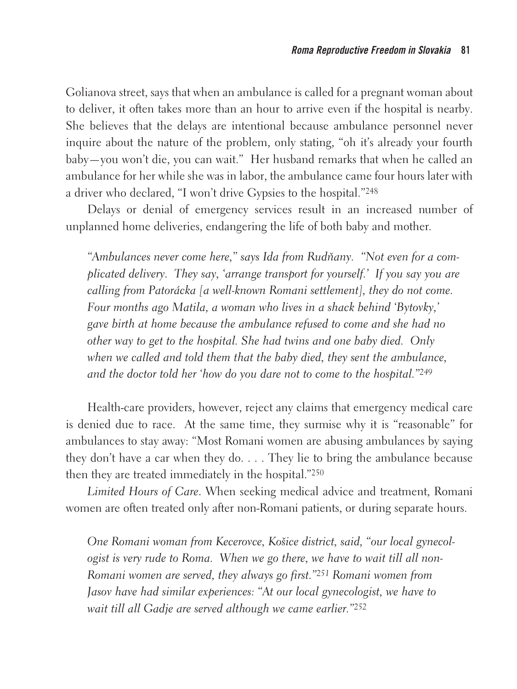Golianova street, says that when an ambulance is called for a pregnant woman about to deliver, it often takes more than an hour to arrive even if the hospital is nearby. She believes that the delays are intentional because ambulance personnel never inquire about the nature of the problem, only stating, "oh it's already your fourth baby—you won't die, you can wait." Her husband remarks that when he called an ambulance for her while she was in labor, the ambulance came four hours later with a driver who declared, "I won't drive Gypsies to the hospital."248

Delays or denial of emergency services result in an increased number of unplanned home deliveries, endangering the life of both baby and mother.

"Ambulances never come here," says Ida from Rudňany. "Not even for a complicated delivery. They say, 'arrange transport for yourself.' If you say you are calling from Patorácka [a well-known Romani settlement], they do not come. Four months ago Matila, a woman who lives in a shack behind 'Bytovky,' gave birth at home because the ambulance refused to come and she had no other way to get to the hospital. She had twins and one baby died. Only when we called and told them that the baby died, they sent the ambulance, and the doctor told her 'how do you dare not to come to the hospital."249

Health-care providers, however, reject any claims that emergency medical care is denied due to race. At the same time, they surmise why it is "reasonable" for ambulances to stay away: "Most Romani women are abusing ambulances by saying they don't have a car when they do. . . . They lie to bring the ambulance because then they are treated immediately in the hospital."250

*Limited Hours of Care*. When seeking medical advice and treatment, Romani women are often treated only after non-Romani patients, or during separate hours.

One Romani woman from Kecerovce, Ko≥ice district, said, "our local gynecologist is very rude to Roma. When we go there, we have to wait till all non-Romani women are served, they always go first."251 Romani women from Jasov have had similar experiences: "At our local gynecologist, we have to wait till all Gadje are served although we came earlier."252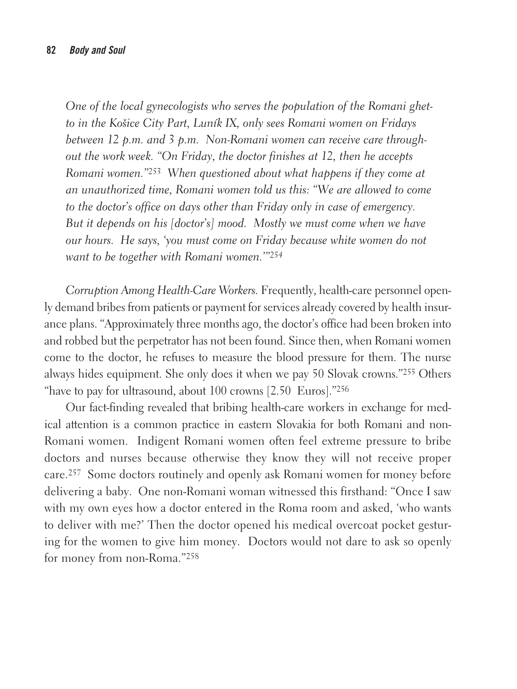One of the local gynecologists who serves the population of the Romani ghetto in the Košice City Part, Luník IX, only sees Romani women on Fridays between 12 p.m. and 3 p.m. Non-Romani women can receive care throughout the work week. "On Friday, the doctor finishes at 12, then he accepts Romani women."253 When questioned about what happens if they come at an unauthorized time, Romani women told us this: "We are allowed to come to the doctor's office on days other than Friday only in case of emergency. But it depends on his [doctor's] mood. Mostly we must come when we have our hours. He says, 'you must come on Friday because white women do not want to be together with Romani women.'"254

*Corruption Among Health-Care Workers.* Frequently, health-care personnel openly demand bribes from patients or payment for services already covered by health insurance plans. "Approximately three months ago, the doctor's office had been broken into and robbed but the perpetrator has not been found. Since then, when Romani women come to the doctor, he refuses to measure the blood pressure for them. The nurse always hides equipment. She only does it when we pay 50 Slovak crowns."255 Others "have to pay for ultrasound, about 100 crowns [2.50 Euros]."256

Our fact-finding revealed that bribing health-care workers in exchange for medical attention is a common practice in eastern Slovakia for both Romani and non-Romani women. Indigent Romani women often feel extreme pressure to bribe doctors and nurses because otherwise they know they will not receive proper care.257 Some doctors routinely and openly ask Romani women for money before delivering a baby. One non-Romani woman witnessed this firsthand: "Once I saw with my own eyes how a doctor entered in the Roma room and asked, 'who wants to deliver with me?' Then the doctor opened his medical overcoat pocket gesturing for the women to give him money. Doctors would not dare to ask so openly for money from non-Roma."258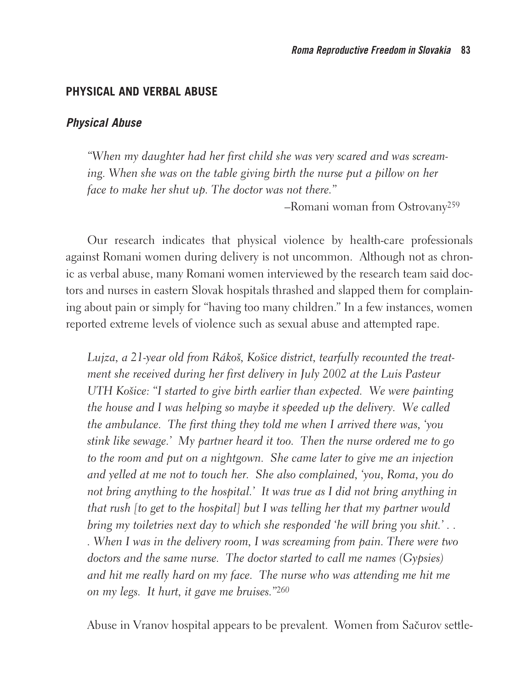#### **PHYSICAL AND VERBAL ABUSE**

#### **Physical Abuse**

"When my daughter had her first child she was very scared and was screaming. When she was on the table giving birth the nurse put a pillow on her face to make her shut up. The doctor was not there."

–Romani woman from Ostrovany259

Our research indicates that physical violence by health-care professionals against Romani women during delivery is not uncommon. Although not as chronic as verbal abuse, many Romani women interviewed by the research team said doctors and nurses in eastern Slovak hospitals thrashed and slapped them for complaining about pain or simply for "having too many children." In a few instances, women reported extreme levels of violence such as sexual abuse and attempted rape.

Lujza, a 21-year old from Rákoš, Košice district, tearfully recounted the treatment she received during her first delivery in July 2002 at the Luis Pasteur UTH Košice: "I started to give birth earlier than expected. We were painting the house and I was helping so maybe it speeded up the delivery. We called the ambulance. The first thing they told me when I arrived there was, 'you stink like sewage.' My partner heard it too. Then the nurse ordered me to go to the room and put on a nightgown. She came later to give me an injection and yelled at me not to touch her. She also complained, 'you, Roma, you do not bring anything to the hospital.' It was true as I did not bring anything in that rush [to get to the hospital] but I was telling her that my partner would bring my toiletries next day to which she responded 'he will bring you shit.'.. . When I was in the delivery room, I was screaming from pain. There were two doctors and the same nurse. The doctor started to call me names (Gypsies) and hit me really hard on my face. The nurse who was attending me hit me on my legs. It hurt, it gave me bruises."260

Abuse in Vranov hospital appears to be prevalent. Women from Sačurov settle-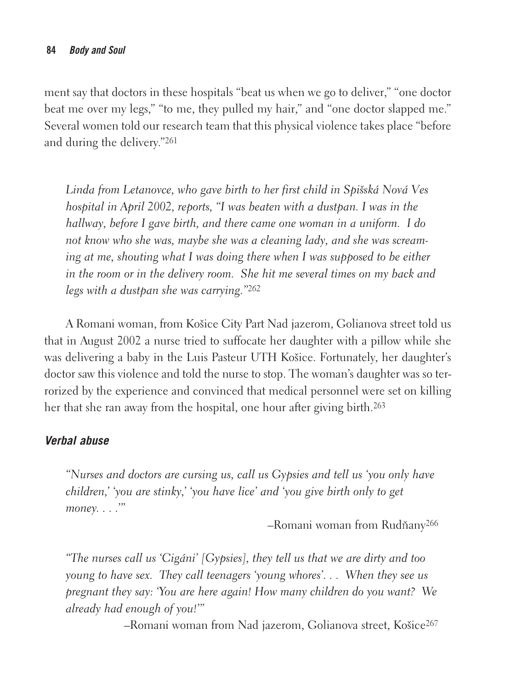ment say that doctors in these hospitals "beat us when we go to deliver," "one doctor beat me over my legs," "to me, they pulled my hair," and "one doctor slapped me." Several women told our research team that this physical violence takes place "before and during the delivery."261

Linda from Letanovce, who gave birth to her first child in Spišská Nová Ves hospital in April 2002, reports, "I was beaten with a dustpan. I was in the hallway, before I gave birth, and there came one woman in a uniform. I do not know who she was, maybe she was a cleaning lady, and she was screaming at me, shouting what I was doing there when I was supposed to be either in the room or in the delivery room. She hit me several times on my back and legs with a dustpan she was carrying."262

A Romani woman, from Ko≥ice City Part Nad jazerom, Golianova street told us that in August 2002 a nurse tried to suffocate her daughter with a pillow while she was delivering a baby in the Luis Pasteur UTH Košice. Fortunately, her daughter's doctor saw this violence and told the nurse to stop. The woman's daughter was so terrorized by the experience and convinced that medical personnel were set on killing her that she ran away from the hospital, one hour after giving birth.<sup>263</sup>

## **Verbal abuse**

*"Nurses and doctors are cursing us, call us Gypsies and tell us 'you only have children,' 'you are stinky,' 'you have lice' and 'you give birth only to get money. . . .'"*

–Romani woman from Rudπany266

*"The nurses call us 'Cigáni' [Gypsies], they tell us that we are dirty and too young to have sex. They call teenagers 'young whores'. . . When they see us pregnant they say: 'You are here again! How many children do you want? We already had enough of you!'"*

–Romani woman from Nad jazerom, Golianova street, Ko≥ice267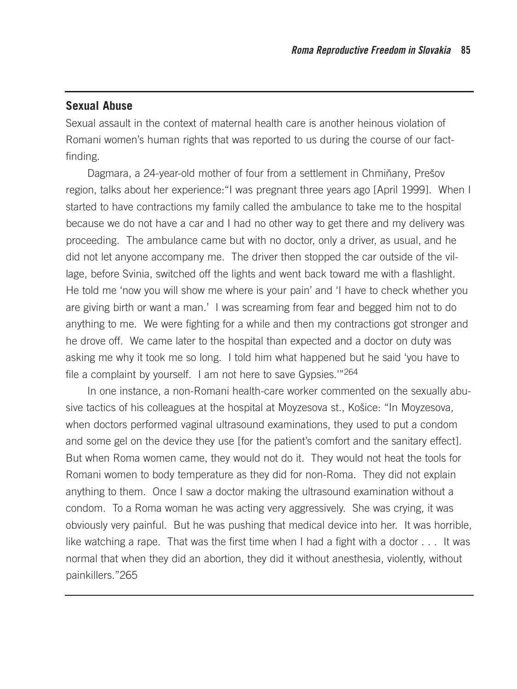## **Sexual Abuse**

Sexual assault in the context of maternal health care is another heinous violation of Romani women's human rights that was reported to us during the course of our factfinding.

Dagmara, a 24-year-old mother of four from a settlement in Chmiňany, Prešov region, talks about her experience:"I was pregnant three years ago [April 1999]. When I started to have contractions my family called the ambulance to take me to the hospital because we do not have a car and I had no other way to get there and my delivery was proceeding. The ambulance came but with no doctor, only a driver, as usual, and he did not let anyone accompany me. The driver then stopped the car outside of the village, before Svinia, switched off the lights and went back toward me with a flashlight. He told me 'now you will show me where is your pain' and 'I have to check whether you are giving birth or want a man.' I was screaming from fear and begged him not to do anything to me. We were fighting for a while and then my contractions got stronger and he drove off. We came later to the hospital than expected and a doctor on duty was asking me why it took me so long. I told him what happened but he said 'you have to file a complaint by yourself. I am not here to save Gypsies.'"264

In one instance, a non-Romani health-care worker commented on the sexually abusive tactics of his colleagues at the hospital at Moyzesova st., Košice: "In Moyzesova, when doctors performed vaginal ultrasound examinations, they used to put a condom and some gel on the device they use [for the patient's comfort and the sanitary effect]. But when Roma women came, they would not do it. They would not heat the tools for Romani women to body temperature as they did for non-Roma. They did not explain anything to them. Once I saw a doctor making the ultrasound examination without a condom. To a Roma woman he was acting very aggressively. She was crying, it was obviously very painful. But he was pushing that medical device into her. It was horrible, like watching a rape. That was the first time when I had a fight with a doctor . . . It was normal that when they did an abortion, they did it without anesthesia, violently, without painkillers."265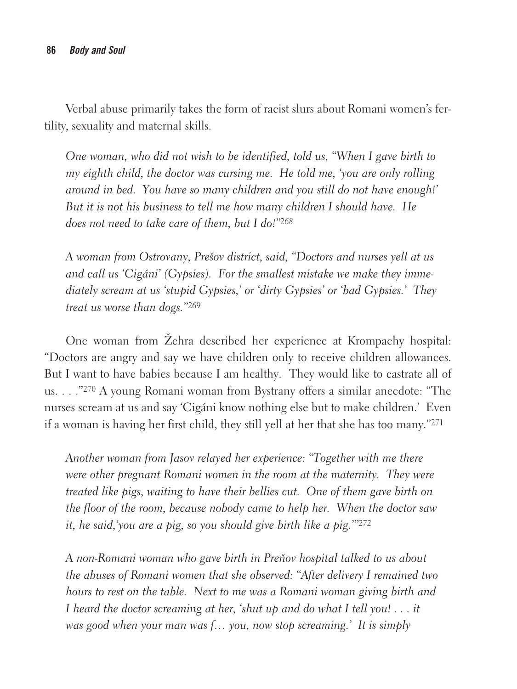Verbal abuse primarily takes the form of racist slurs about Romani women's fertility, sexuality and maternal skills.

One woman, who did not wish to be identified, told us, "When I gave birth to my eighth child, the doctor was cursing me. He told me, 'you are only rolling around in bed. You have so many children and you still do not have enough!' But it is not his business to tell me how many children I should have. He does not need to take care of them, but I do!"268

A woman from Ostrovany, Prešov district, said, "Doctors and nurses yell at us and call us 'Cigáni' (Gypsies). For the smallest mistake we make they immediately scream at us 'stupid Gypsies,' or 'dirty Gypsies' or 'bad Gypsies.' They treat us worse than dogs."269

One woman from ∆ehra described her experience at Krompachy hospital: "Doctors are angry and say we have children only to receive children allowances. But I want to have babies because I am healthy. They would like to castrate all of us. . . ."270 A young Romani woman from Bystrany offers a similar anecdote: "The nurses scream at us and say 'Cigáni know nothing else but to make children.' Even if a woman is having her first child, they still yell at her that she has too many."271

Another woman from Jasov relayed her experience: "Together with me there were other pregnant Romani women in the room at the maternity. They were treated like pigs, waiting to have their bellies cut. One of them gave birth on the floor of the room, because nobody came to help her. When the doctor saw it, he said,'you are a pig, so you should give birth like a pig.'"272

A non-Romani woman who gave birth in Preňov hospital talked to us about the abuses of Romani women that she observed: "After delivery I remained two hours to rest on the table. Next to me was a Romani woman giving birth and I heard the doctor screaming at her, 'shut up and do what I tell you! . . . it was good when your man was  $f...$  you, now stop screaming.' It is simply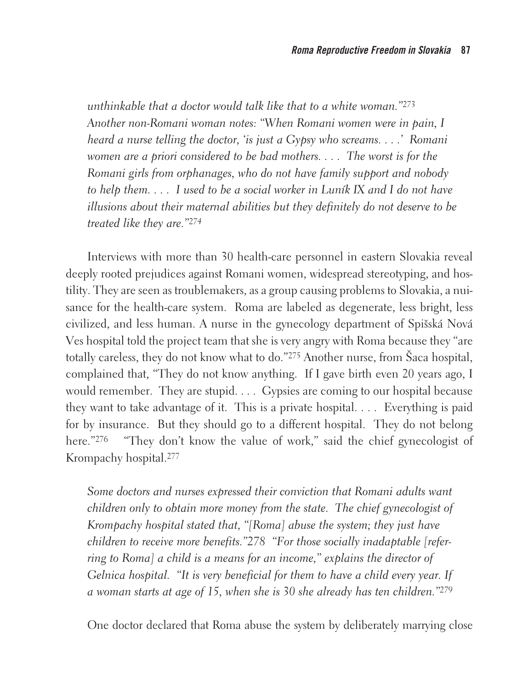unthinkable that a doctor would talk like that to a white woman."273 Another non-Romani woman notes: "When Romani women were in pain, I heard a nurse telling the doctor, 'is just a Gypsy who screams. . . .' Romani women are a priori considered to be bad mothers. . . . The worst is for the Romani girls from orphanages, who do not have family support and nobody to help them. . . . I used to be a social worker in Luník IX and I do not have illusions about their maternal abilities but they definitely do not deserve to be treated like they are."274

Interviews with more than 30 health-care personnel in eastern Slovakia reveal deeply rooted prejudices against Romani women, widespread stereotyping, and hostility. They are seen as troublemakers, as a group causing problems to Slovakia, a nuisance for the health-care system. Roma are labeled as degenerate, less bright, less civilized, and less human. A nurse in the gynecology department of Spišská Nová Ves hospital told the project team that she is very angry with Roma because they "are totally careless, they do not know what to do."275 Another nurse, from Šaca hospital, complained that, "They do not know anything. If I gave birth even 20 years ago, I would remember. They are stupid. . . . Gypsies are coming to our hospital because they want to take advantage of it. This is a private hospital. . . . Everything is paid for by insurance. But they should go to a different hospital. They do not belong here."<sup>276</sup> "They don't know the value of work," said the chief gynecologist of Krompachy hospital.277

Some doctors and nurses expressed their conviction that Romani adults want children only to obtain more money from the state. The chief gynecologist of Krompachy hospital stated that, "[Roma] abuse the system; they just have children to receive more benefits."278 "For those socially inadaptable [referring to Roma] a child is a means for an income," explains the director of Gelnica hospital. "It is very beneficial for them to have a child every year. If a woman starts at age of 15, when she is 30 she already has ten children."279

One doctor declared that Roma abuse the system by deliberately marrying close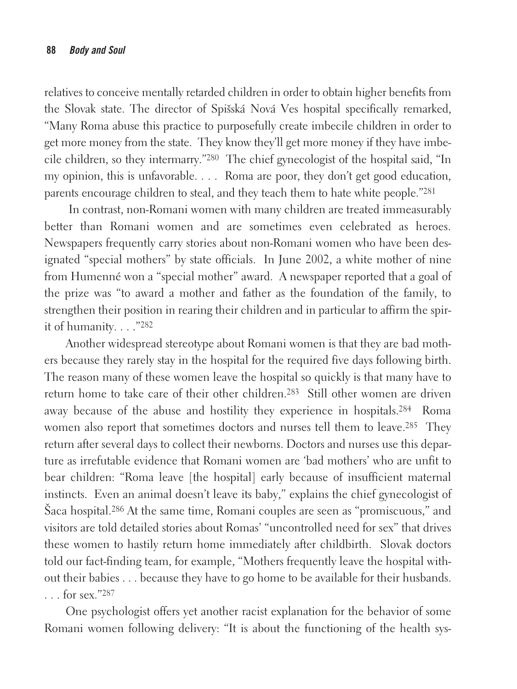relatives to conceive mentally retarded children in order to obtain higher benefits from the Slovak state. The director of Spišská Nová Ves hospital specifically remarked, "Many Roma abuse this practice to purposefully create imbecile children in order to get more money from the state. They know they'll get more money if they have imbecile children, so they intermarry."280 The chief gynecologist of the hospital said, "In my opinion, this is unfavorable. . . . Roma are poor, they don't get good education, parents encourage children to steal, and they teach them to hate white people."281

In contrast, non-Romani women with many children are treated immeasurably better than Romani women and are sometimes even celebrated as heroes. Newspapers frequently carry stories about non-Romani women who have been designated "special mothers" by state officials. In June 2002, a white mother of nine from Humenné won a "special mother" award. A newspaper reported that a goal of the prize was "to award a mother and father as the foundation of the family, to strengthen their position in rearing their children and in particular to affirm the spirit of humanity. . . ."282

Another widespread stereotype about Romani women is that they are bad mothers because they rarely stay in the hospital for the required five days following birth. The reason many of these women leave the hospital so quickly is that many have to return home to take care of their other children.283 Still other women are driven away because of the abuse and hostility they experience in hospitals.284 Roma women also report that sometimes doctors and nurses tell them to leave.285 They return after several days to collect their newborns. Doctors and nurses use this departure as irrefutable evidence that Romani women are 'bad mothers' who are unfit to bear children: "Roma leave [the hospital] early because of insufficient maternal instincts. Even an animal doesn't leave its baby," explains the chief gynecologist of ≤aca hospital.286 At the same time, Romani couples are seen as "promiscuous," and visitors are told detailed stories about Romas' "uncontrolled need for sex" that drives these women to hastily return home immediately after childbirth. Slovak doctors told our fact-finding team, for example, "Mothers frequently leave the hospital without their babies . . . because they have to go home to be available for their husbands. . . . for sex."287

One psychologist offers yet another racist explanation for the behavior of some Romani women following delivery: "It is about the functioning of the health sys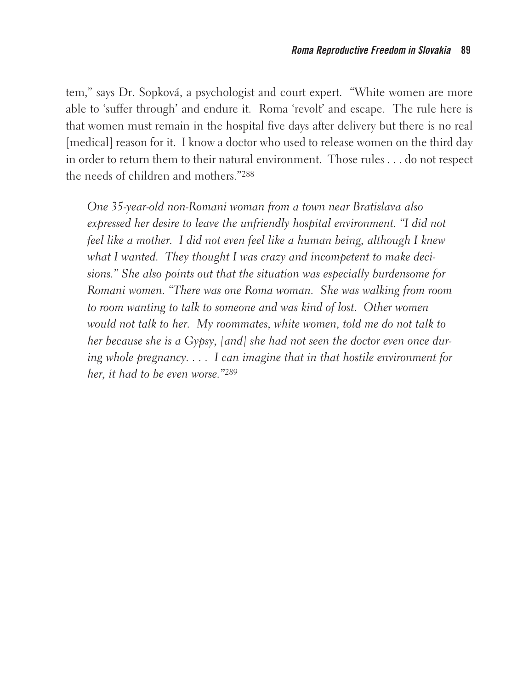tem," says Dr. Sopková, a psychologist and court expert. "White women are more able to 'suffer through' and endure it. Roma 'revolt' and escape. The rule here is that women must remain in the hospital five days after delivery but there is no real [medical] reason for it. I know a doctor who used to release women on the third day in order to return them to their natural environment. Those rules . . . do not respect the needs of children and mothers."288

One 35-year-old non-Romani woman from a town near Bratislava also expressed her desire to leave the unfriendly hospital environment. "I did not feel like a mother. I did not even feel like a human being, although I knew what I wanted. They thought I was crazy and incompetent to make decisions." She also points out that the situation was especially burdensome for Romani women. "There was one Roma woman. She was walking from room to room wanting to talk to someone and was kind of lost. Other women would not talk to her. My roommates, white women, told me do not talk to her because she is a Gypsy, [and] she had not seen the doctor even once during whole pregnancy. . . . I can imagine that in that hostile environment for her, it had to be even worse."289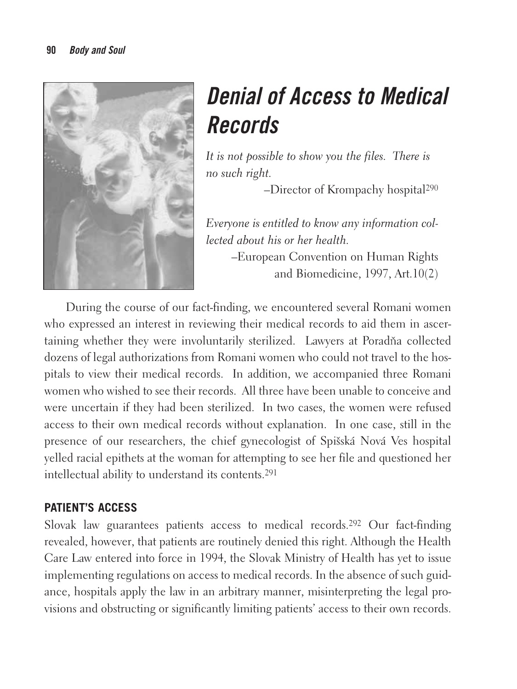

# **Denial of Access to Medical Records**

*It is not possible to show you the files. There is no such right.*

–Director of Krompachy hospital290

*Everyone is entitled to know any information collected about his or her health.* –European Convention on Human Rights

and Biomedicine, 1997, Art.10(2)

During the course of our fact-finding, we encountered several Romani women who expressed an interest in reviewing their medical records to aid them in ascertaining whether they were involuntarily sterilized. Lawyers at Poradna collected dozens of legal authorizations from Romani women who could not travel to the hospitals to view their medical records. In addition, we accompanied three Romani women who wished to see their records. All three have been unable to conceive and were uncertain if they had been sterilized. In two cases, the women were refused access to their own medical records without explanation. In one case, still in the presence of our researchers, the chief gynecologist of Spi≥ská Nová Ves hospital yelled racial epithets at the woman for attempting to see her file and questioned her intellectual ability to understand its contents.291

## **PATIENT'S ACCESS**

Slovak law guarantees patients access to medical records.292 Our fact-finding revealed, however, that patients are routinely denied this right. Although the Health Care Law entered into force in 1994, the Slovak Ministry of Health has yet to issue implementing regulations on access to medical records. In the absence of such guidance, hospitals apply the law in an arbitrary manner, misinterpreting the legal provisions and obstructing or significantly limiting patients' access to their own records.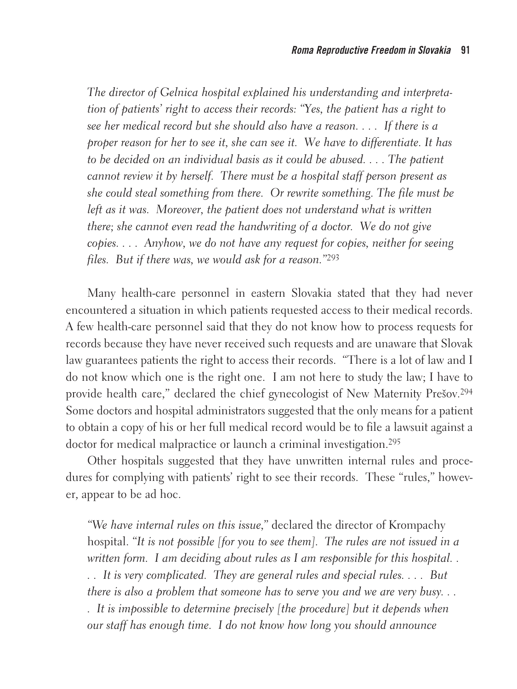The director of Gelnica hospital explained his understanding and interpretation of patients' right to access their records: "Yes, the patient has a right to see her medical record but she should also have a reason. . . . If there is a proper reason for her to see it, she can see it. We have to differentiate. It has to be decided on an individual basis as it could be abused. . . . The patient cannot review it by herself. There must be a hospital staff person present as she could steal something from there. Or rewrite something. The file must be left as it was. Moreover, the patient does not understand what is written there; she cannot even read the handwriting of a doctor. We do not give copies. . . . Anyhow, we do not have any request for copies, neither for seeing files. But if there was, we would ask for a reason."293

Many health-care personnel in eastern Slovakia stated that they had never encountered a situation in which patients requested access to their medical records. A few health-care personnel said that they do not know how to process requests for records because they have never received such requests and are unaware that Slovak law guarantees patients the right to access their records. "There is a lot of law and I do not know which one is the right one. I am not here to study the law; I have to provide health care," declared the chief gynecologist of New Maternity Prešov.<sup>294</sup> Some doctors and hospital administrators suggested that the only means for a patient to obtain a copy of his or her full medical record would be to file a lawsuit against a doctor for medical malpractice or launch a criminal investigation.<sup>295</sup>

Other hospitals suggested that they have unwritten internal rules and procedures for complying with patients' right to see their records. These "rules," however, appear to be ad hoc.

*"We have internal rules on this issue,"* declared the director of Krompachy hospital. *"It is not possible [for you to see them]. The rules are not issued in a written form. I am deciding about rules as I am responsible for this hospital. . . . It is very complicated. They are general rules and special rules. . . . But there is also a problem that someone has to serve you and we are very busy. . . . It is impossible to determine precisely [the procedure] but it depends when our staff has enough time. I do not know how long you should announce*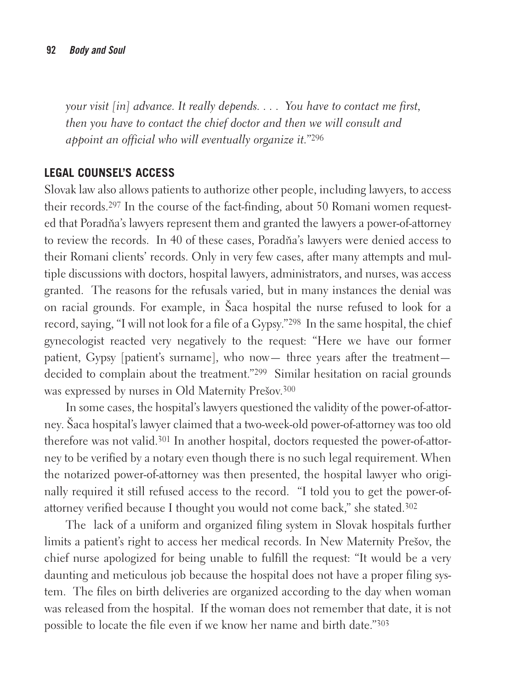#### **92 Body and Soul**

*your visit [in] advance. It really depends. . . . You have to contact me first, then you have to contact the chief doctor and then we will consult and appoint an official who will eventually organize it."*<sup>296</sup>

## **LEGAL COUNSEL'S ACCESS**

Slovak law also allows patients to authorize other people, including lawyers, to access their records.297 In the course of the fact-finding, about 50 Romani women requested that Poradπa's lawyers represent them and granted the lawyers a power-of-attorney to review the records. In 40 of these cases, Poradπa's lawyers were denied access to their Romani clients' records. Only in very few cases, after many attempts and multiple discussions with doctors, hospital lawyers, administrators, and nurses, was access granted. The reasons for the refusals varied, but in many instances the denial was on racial grounds. For example, in ≤aca hospital the nurse refused to look for a record, saying, "I will not look for a file of a Gypsy."298 In the same hospital, the chief gynecologist reacted very negatively to the request: "Here we have our former patient, Gypsy [patient's surname], who now— three years after the treatment decided to complain about the treatment."<sup>299</sup> Similar hesitation on racial grounds was expressed by nurses in Old Maternity Prešov.<sup>300</sup>

In some cases, the hospital's lawyers questioned the validity of the power-of-attorney. ≤aca hospital's lawyer claimed that a two-week-old power-of-attorney was too old therefore was not valid.301 In another hospital, doctors requested the power-of-attorney to be verified by a notary even though there is no such legal requirement. When the notarized power-of-attorney was then presented, the hospital lawyer who originally required it still refused access to the record. "I told you to get the power-ofattorney verified because I thought you would not come back," she stated.302

The lack of a uniform and organized filing system in Slovak hospitals further limits a patient's right to access her medical records. In New Maternity Prešov, the chief nurse apologized for being unable to fulfill the request: "It would be a very daunting and meticulous job because the hospital does not have a proper filing system. The files on birth deliveries are organized according to the day when woman was released from the hospital. If the woman does not remember that date, it is not possible to locate the file even if we know her name and birth date."303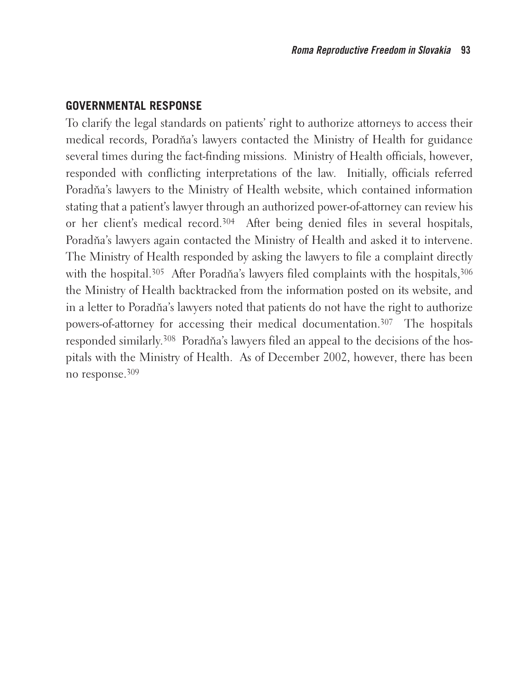#### **GOVERNMENTAL RESPONSE**

To clarify the legal standards on patients' right to authorize attorneys to access their medical records, Poradna's lawyers contacted the Ministry of Health for guidance several times during the fact-finding missions. Ministry of Health officials, however, responded with conflicting interpretations of the law. Initially, officials referred Poradňa's lawyers to the Ministry of Health website, which contained information stating that a patient's lawyer through an authorized power-of-attorney can review his or her client's medical record.304 After being denied files in several hospitals, Poradňa's lawyers again contacted the Ministry of Health and asked it to intervene. The Ministry of Health responded by asking the lawyers to file a complaint directly with the hospital.<sup>305</sup> After Poradňa's lawyers filed complaints with the hospitals,<sup>306</sup> the Ministry of Health backtracked from the information posted on its website, and in a letter to Poradπa's lawyers noted that patients do not have the right to authorize powers-of-attorney for accessing their medical documentation.307 The hospitals responded similarly.<sup>308</sup> Poradňa's lawyers filed an appeal to the decisions of the hospitals with the Ministry of Health. As of December 2002, however, there has been no response.309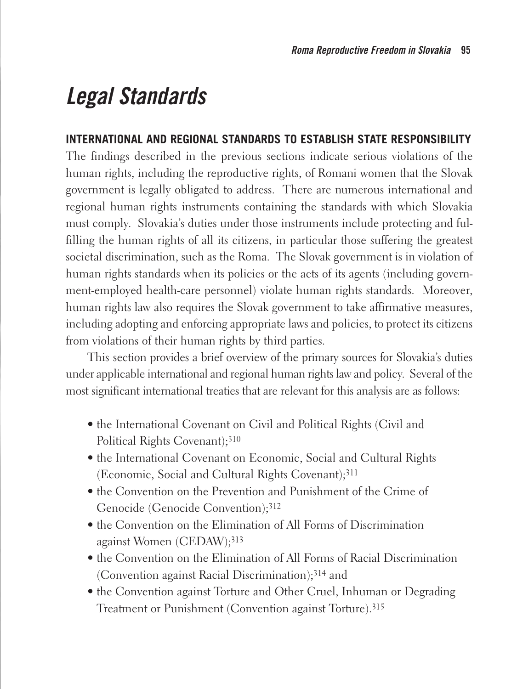## **Legal Standards**

## **INTERNATIONAL AND REGIONAL STANDARDS TO ESTABLISH STATE RESPONSIBILITY**

The findings described in the previous sections indicate serious violations of the human rights, including the reproductive rights, of Romani women that the Slovak government is legally obligated to address. There are numerous international and regional human rights instruments containing the standards with which Slovakia must comply. Slovakia's duties under those instruments include protecting and fulfilling the human rights of all its citizens, in particular those suffering the greatest societal discrimination, such as the Roma. The Slovak government is in violation of human rights standards when its policies or the acts of its agents (including government-employed health-care personnel) violate human rights standards. Moreover, human rights law also requires the Slovak government to take affirmative measures, including adopting and enforcing appropriate laws and policies, to protect its citizens from violations of their human rights by third parties.

This section provides a brief overview of the primary sources for Slovakia's duties under applicable international and regional human rights law and policy. Several of the most significant international treaties that are relevant for this analysis are as follows:

- the International Covenant on Civil and Political Rights (Civil and Political Rights Covenant);<sup>310</sup>
- the International Covenant on Economic, Social and Cultural Rights (Economic, Social and Cultural Rights Covenant);311
- the Convention on the Prevention and Punishment of the Crime of Genocide (Genocide Convention);312
- the Convention on the Elimination of All Forms of Discrimination against Women (CEDAW);<sup>313</sup>
- the Convention on the Elimination of All Forms of Racial Discrimination (Convention against Racial Discrimination);314 and
- the Convention against Torture and Other Cruel, Inhuman or Degrading Treatment or Punishment (Convention against Torture).315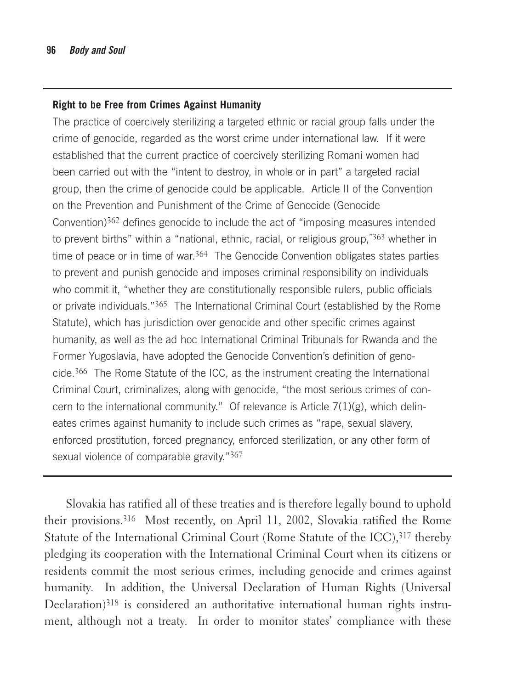#### **Right to be Free from Crimes Against Humanity**

The practice of coercively sterilizing a targeted ethnic or racial group falls under the crime of genocide, regarded as the worst crime under international law. If it were established that the current practice of coercively sterilizing Romani women had been carried out with the "intent to destroy, in whole or in part" a targeted racial group, then the crime of genocide could be applicable. Article II of the Convention on the Prevention and Punishment of the Crime of Genocide (Genocide Convention)362 defines genocide to include the act of "imposing measures intended to prevent births" within a "national, ethnic, racial, or religious group,"363 whether in time of peace or in time of war.  $364$  The Genocide Convention obligates states parties to prevent and punish genocide and imposes criminal responsibility on individuals who commit it, "whether they are constitutionally responsible rulers, public officials or private individuals."365 The International Criminal Court (established by the Rome Statute), which has jurisdiction over genocide and other specific crimes against humanity, as well as the ad hoc International Criminal Tribunals for Rwanda and the Former Yugoslavia, have adopted the Genocide Convention's definition of genocide.366 The Rome Statute of the ICC, as the instrument creating the International Criminal Court, criminalizes, along with genocide, "the most serious crimes of concern to the international community." Of relevance is Article  $7(1)(g)$ , which delineates crimes against humanity to include such crimes as "rape, sexual slavery, enforced prostitution, forced pregnancy, enforced sterilization, or any other form of sexual violence of comparable gravity."<sup>367</sup>

Slovakia has ratified all of these treaties and is therefore legally bound to uphold their provisions.316 Most recently, on April 11, 2002, Slovakia ratified the Rome Statute of the International Criminal Court (Rome Statute of the ICC),<sup>317</sup> thereby pledging its cooperation with the International Criminal Court when its citizens or residents commit the most serious crimes, including genocide and crimes against humanity. In addition, the Universal Declaration of Human Rights (Universal Declaration)<sup>318</sup> is considered an authoritative international human rights instrument, although not a treaty. In order to monitor states' compliance with these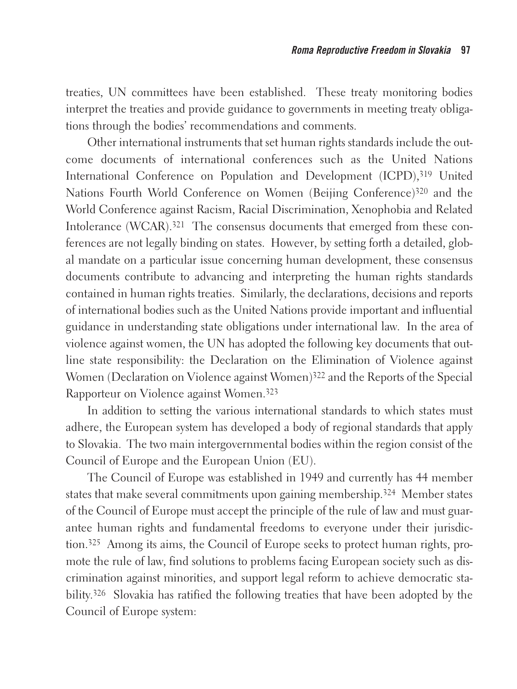treaties, UN committees have been established. These treaty monitoring bodies interpret the treaties and provide guidance to governments in meeting treaty obligations through the bodies' recommendations and comments.

Other international instruments that set human rights standards include the outcome documents of international conferences such as the United Nations International Conference on Population and Development (ICPD),<sup>319</sup> United Nations Fourth World Conference on Women (Beijing Conference)<sup>320</sup> and the World Conference against Racism, Racial Discrimination, Xenophobia and Related Intolerance (WCAR).321 The consensus documents that emerged from these conferences are not legally binding on states. However, by setting forth a detailed, global mandate on a particular issue concerning human development, these consensus documents contribute to advancing and interpreting the human rights standards contained in human rights treaties. Similarly, the declarations, decisions and reports of international bodies such as the United Nations provide important and influential guidance in understanding state obligations under international law. In the area of violence against women, the UN has adopted the following key documents that outline state responsibility: the Declaration on the Elimination of Violence against Women (Declaration on Violence against Women)<sup>322</sup> and the Reports of the Special Rapporteur on Violence against Women.323

In addition to setting the various international standards to which states must adhere, the European system has developed a body of regional standards that apply to Slovakia. The two main intergovernmental bodies within the region consist of the Council of Europe and the European Union (EU).

The Council of Europe was established in 1949 and currently has 44 member states that make several commitments upon gaining membership.<sup>324</sup> Member states of the Council of Europe must accept the principle of the rule of law and must guarantee human rights and fundamental freedoms to everyone under their jurisdiction.325 Among its aims, the Council of Europe seeks to protect human rights, promote the rule of law, find solutions to problems facing European society such as discrimination against minorities, and support legal reform to achieve democratic stability.<sup>326</sup> Slovakia has ratified the following treaties that have been adopted by the Council of Europe system: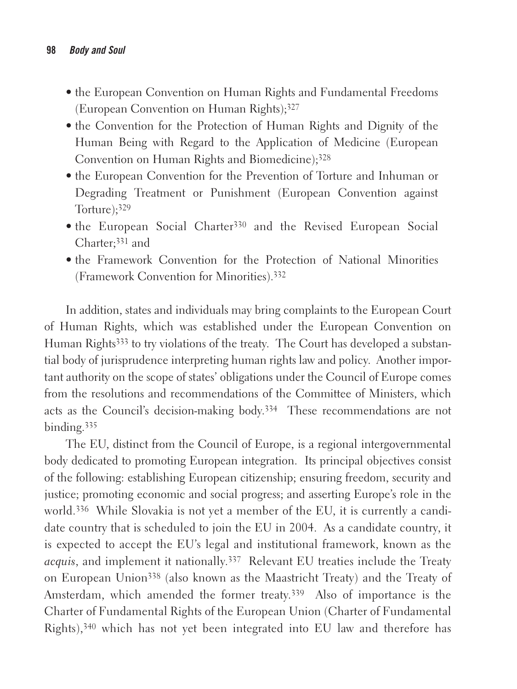- the European Convention on Human Rights and Fundamental Freedoms (European Convention on Human Rights);327
- the Convention for the Protection of Human Rights and Dignity of the Human Being with Regard to the Application of Medicine (European Convention on Human Rights and Biomedicine);328
- the European Convention for the Prevention of Torture and Inhuman or Degrading Treatment or Punishment (European Convention against Torture);<sup>329</sup>
- the European Social Charter330 and the Revised European Social Charter;331 and
- the Framework Convention for the Protection of National Minorities (Framework Convention for Minorities).332

In addition, states and individuals may bring complaints to the European Court of Human Rights, which was established under the European Convention on Human Rights<sup>333</sup> to try violations of the treaty. The Court has developed a substantial body of jurisprudence interpreting human rights law and policy. Another important authority on the scope of states' obligations under the Council of Europe comes from the resolutions and recommendations of the Committee of Ministers, which acts as the Council's decision-making body.334 These recommendations are not binding.335

The EU, distinct from the Council of Europe, is a regional intergovernmental body dedicated to promoting European integration. Its principal objectives consist of the following: establishing European citizenship; ensuring freedom, security and justice; promoting economic and social progress; and asserting Europe's role in the world.336 While Slovakia is not yet a member of the EU, it is currently a candidate country that is scheduled to join the EU in 2004. As a candidate country, it is expected to accept the EU's legal and institutional framework, known as the *acquis*, and implement it nationally.337 Relevant EU treaties include the Treaty on European Union338 (also known as the Maastricht Treaty) and the Treaty of Amsterdam, which amended the former treaty.339 Also of importance is the Charter of Fundamental Rights of the European Union (Charter of Fundamental Rights),340 which has not yet been integrated into EU law and therefore has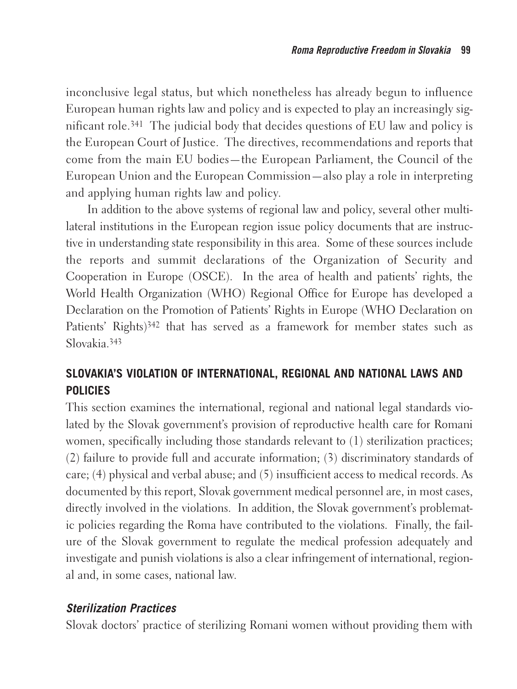inconclusive legal status, but which nonetheless has already begun to influence European human rights law and policy and is expected to play an increasingly significant role.341 The judicial body that decides questions of EU law and policy is the European Court of Justice. The directives, recommendations and reports that come from the main EU bodies—the European Parliament, the Council of the European Union and the European Commission—also play a role in interpreting and applying human rights law and policy.

In addition to the above systems of regional law and policy, several other multilateral institutions in the European region issue policy documents that are instructive in understanding state responsibility in this area. Some of these sources include the reports and summit declarations of the Organization of Security and Cooperation in Europe (OSCE). In the area of health and patients' rights, the World Health Organization (WHO) Regional Office for Europe has developed a Declaration on the Promotion of Patients' Rights in Europe (WHO Declaration on Patients' Rights)<sup>342</sup> that has served as a framework for member states such as Slovakia.343

## **SLOVAKIA'S VIOLATION OF INTERNATIONAL, REGIONAL AND NATIONAL LAWS AND POLICIES**

This section examines the international, regional and national legal standards violated by the Slovak government's provision of reproductive health care for Romani women, specifically including those standards relevant to (1) sterilization practices; (2) failure to provide full and accurate information; (3) discriminatory standards of care; (4) physical and verbal abuse; and (5) insufficient access to medical records. As documented by this report, Slovak government medical personnel are, in most cases, directly involved in the violations. In addition, the Slovak government's problematic policies regarding the Roma have contributed to the violations. Finally, the failure of the Slovak government to regulate the medical profession adequately and investigate and punish violations is also a clear infringement of international, regional and, in some cases, national law.

## **Sterilization Practices**

Slovak doctors' practice of sterilizing Romani women without providing them with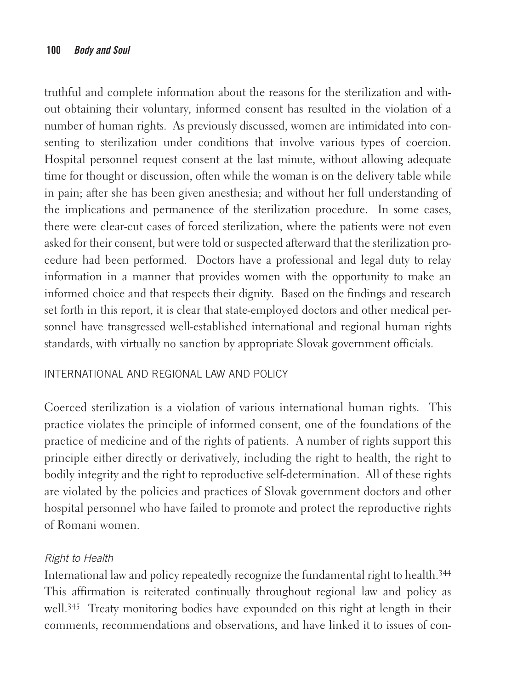truthful and complete information about the reasons for the sterilization and without obtaining their voluntary, informed consent has resulted in the violation of a number of human rights. As previously discussed, women are intimidated into consenting to sterilization under conditions that involve various types of coercion. Hospital personnel request consent at the last minute, without allowing adequate time for thought or discussion, often while the woman is on the delivery table while in pain; after she has been given anesthesia; and without her full understanding of the implications and permanence of the sterilization procedure. In some cases, there were clear-cut cases of forced sterilization, where the patients were not even asked for their consent, but were told or suspected afterward that the sterilization procedure had been performed. Doctors have a professional and legal duty to relay information in a manner that provides women with the opportunity to make an informed choice and that respects their dignity. Based on the findings and research set forth in this report, it is clear that state-employed doctors and other medical personnel have transgressed well-established international and regional human rights standards, with virtually no sanction by appropriate Slovak government officials.

## INTERNATIONAL AND REGIONAL LAW AND POLICY

Coerced sterilization is a violation of various international human rights. This practice violates the principle of informed consent, one of the foundations of the practice of medicine and of the rights of patients. A number of rights support this principle either directly or derivatively, including the right to health, the right to bodily integrity and the right to reproductive self-determination. All of these rights are violated by the policies and practices of Slovak government doctors and other hospital personnel who have failed to promote and protect the reproductive rights of Romani women.

#### Right to Health

International law and policy repeatedly recognize the fundamental right to health.344 This affirmation is reiterated continually throughout regional law and policy as well.<sup>345</sup> Treaty monitoring bodies have expounded on this right at length in their comments, recommendations and observations, and have linked it to issues of con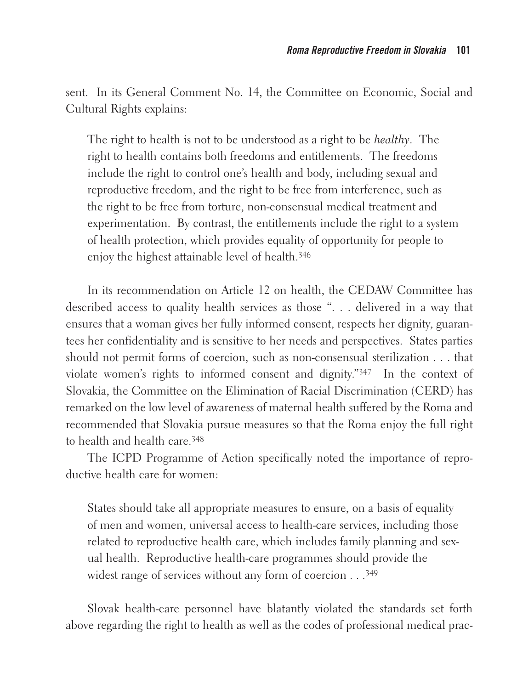sent. In its General Comment No. 14, the Committee on Economic, Social and Cultural Rights explains:

The right to health is not to be understood as a right to be *healthy*. The right to health contains both freedoms and entitlements. The freedoms include the right to control one's health and body, including sexual and reproductive freedom, and the right to be free from interference, such as the right to be free from torture, non-consensual medical treatment and experimentation. By contrast, the entitlements include the right to a system of health protection, which provides equality of opportunity for people to enjoy the highest attainable level of health.346

In its recommendation on Article 12 on health, the CEDAW Committee has described access to quality health services as those ". . . delivered in a way that ensures that a woman gives her fully informed consent, respects her dignity, guarantees her confidentiality and is sensitive to her needs and perspectives. States parties should not permit forms of coercion, such as non-consensual sterilization . . . that violate women's rights to informed consent and dignity."347 In the context of Slovakia, the Committee on the Elimination of Racial Discrimination (CERD) has remarked on the low level of awareness of maternal health suffered by the Roma and recommended that Slovakia pursue measures so that the Roma enjoy the full right to health and health care.348

The ICPD Programme of Action specifically noted the importance of reproductive health care for women:

States should take all appropriate measures to ensure, on a basis of equality of men and women, universal access to health-care services, including those related to reproductive health care, which includes family planning and sexual health. Reproductive health-care programmes should provide the widest range of services without any form of coercion  $\ldots$ <sup>349</sup>

Slovak health-care personnel have blatantly violated the standards set forth above regarding the right to health as well as the codes of professional medical prac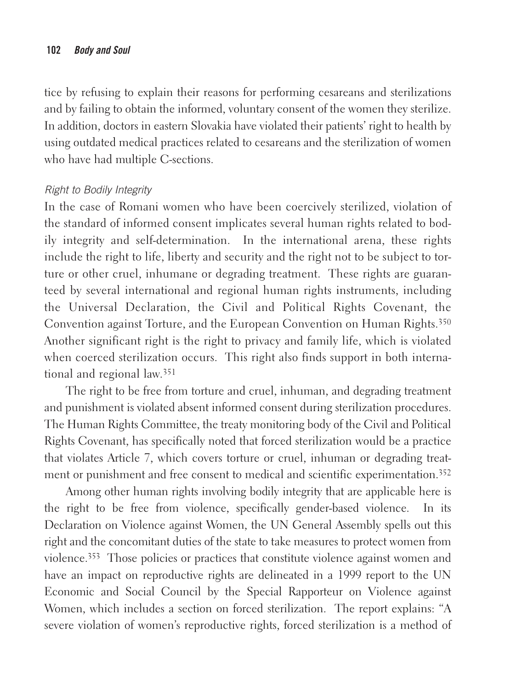tice by refusing to explain their reasons for performing cesareans and sterilizations and by failing to obtain the informed, voluntary consent of the women they sterilize. In addition, doctors in eastern Slovakia have violated their patients' right to health by using outdated medical practices related to cesareans and the sterilization of women who have had multiple C-sections.

## Right to Bodily Integrity

In the case of Romani women who have been coercively sterilized, violation of the standard of informed consent implicates several human rights related to bodily integrity and self-determination. In the international arena, these rights include the right to life, liberty and security and the right not to be subject to torture or other cruel, inhumane or degrading treatment. These rights are guaranteed by several international and regional human rights instruments, including the Universal Declaration, the Civil and Political Rights Covenant, the Convention against Torture, and the European Convention on Human Rights.350 Another significant right is the right to privacy and family life, which is violated when coerced sterilization occurs. This right also finds support in both international and regional law.351

The right to be free from torture and cruel, inhuman, and degrading treatment and punishment is violated absent informed consent during sterilization procedures. The Human Rights Committee, the treaty monitoring body of the Civil and Political Rights Covenant, has specifically noted that forced sterilization would be a practice that violates Article 7, which covers torture or cruel, inhuman or degrading treatment or punishment and free consent to medical and scientific experimentation.352

Among other human rights involving bodily integrity that are applicable here is the right to be free from violence, specifically gender-based violence. In its Declaration on Violence against Women, the UN General Assembly spells out this right and the concomitant duties of the state to take measures to protect women from violence.353 Those policies or practices that constitute violence against women and have an impact on reproductive rights are delineated in a 1999 report to the UN Economic and Social Council by the Special Rapporteur on Violence against Women, which includes a section on forced sterilization. The report explains: "A severe violation of women's reproductive rights, forced sterilization is a method of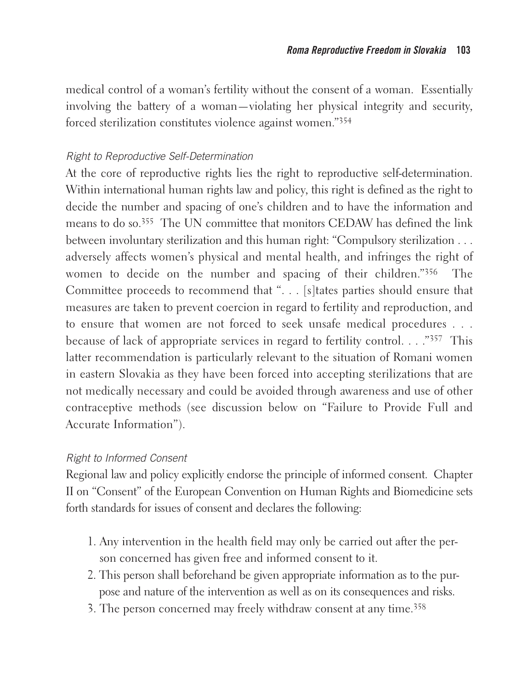medical control of a woman's fertility without the consent of a woman. Essentially involving the battery of a woman—violating her physical integrity and security, forced sterilization constitutes violence against women."354

#### Right to Reproductive Self-Determination

At the core of reproductive rights lies the right to reproductive self-determination. Within international human rights law and policy, this right is defined as the right to decide the number and spacing of one's children and to have the information and means to do so.355 The UN committee that monitors CEDAW has defined the link between involuntary sterilization and this human right: "Compulsory sterilization . . . adversely affects women's physical and mental health, and infringes the right of women to decide on the number and spacing of their children."356 The Committee proceeds to recommend that ". . . [s]tates parties should ensure that measures are taken to prevent coercion in regard to fertility and reproduction, and to ensure that women are not forced to seek unsafe medical procedures . . . because of lack of appropriate services in regard to fertility control. . . ."357 This latter recommendation is particularly relevant to the situation of Romani women in eastern Slovakia as they have been forced into accepting sterilizations that are not medically necessary and could be avoided through awareness and use of other contraceptive methods (see discussion below on "Failure to Provide Full and Accurate Information").

#### Right to Informed Consent

Regional law and policy explicitly endorse the principle of informed consent. Chapter II on "Consent" of the European Convention on Human Rights and Biomedicine sets forth standards for issues of consent and declares the following:

- 1. Any intervention in the health field may only be carried out after the person concerned has given free and informed consent to it.
- 2. This person shall beforehand be given appropriate information as to the purpose and nature of the intervention as well as on its consequences and risks.
- 3. The person concerned may freely withdraw consent at any time.358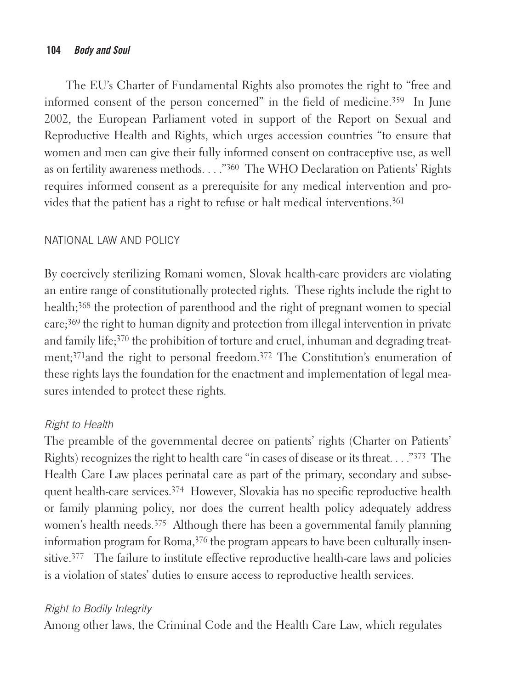#### **104 Body and Soul**

The EU's Charter of Fundamental Rights also promotes the right to "free and informed consent of the person concerned" in the field of medicine.359 In June 2002, the European Parliament voted in support of the Report on Sexual and Reproductive Health and Rights, which urges accession countries "to ensure that women and men can give their fully informed consent on contraceptive use, as well as on fertility awareness methods. . . ."360 The WHO Declaration on Patients' Rights requires informed consent as a prerequisite for any medical intervention and provides that the patient has a right to refuse or halt medical interventions.361

## NATIONAL LAW AND POLICY

By coercively sterilizing Romani women, Slovak health-care providers are violating an entire range of constitutionally protected rights. These rights include the right to health;<sup>368</sup> the protection of parenthood and the right of pregnant women to special care;369 the right to human dignity and protection from illegal intervention in private and family life;370 the prohibition of torture and cruel, inhuman and degrading treatment;371and the right to personal freedom.372 The Constitution's enumeration of these rights lays the foundation for the enactment and implementation of legal measures intended to protect these rights.

## Right to Health

The preamble of the governmental decree on patients' rights (Charter on Patients' Rights) recognizes the right to health care "in cases of disease or its threat. . . ."373 The Health Care Law places perinatal care as part of the primary, secondary and subsequent health-care services.<sup>374</sup> However, Slovakia has no specific reproductive health or family planning policy, nor does the current health policy adequately address women's health needs.<sup>375</sup> Although there has been a governmental family planning information program for Roma,<sup>376</sup> the program appears to have been culturally insensitive.377 The failure to institute effective reproductive health-care laws and policies is a violation of states' duties to ensure access to reproductive health services.

#### Right to Bodily Integrity

Among other laws, the Criminal Code and the Health Care Law, which regulates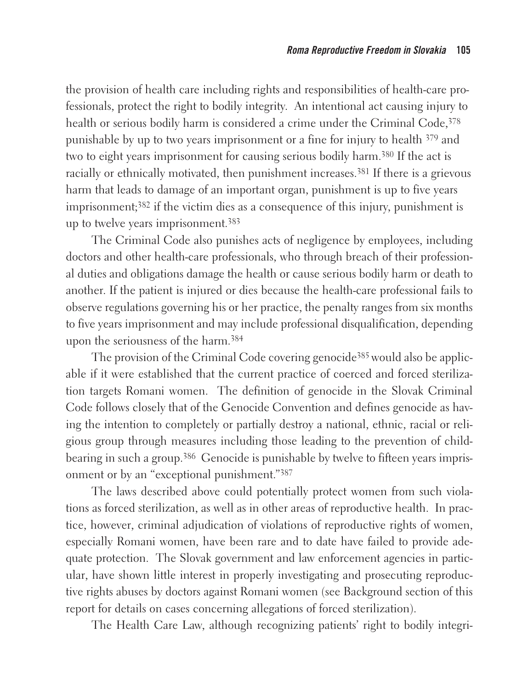the provision of health care including rights and responsibilities of health-care professionals, protect the right to bodily integrity. An intentional act causing injury to health or serious bodily harm is considered a crime under the Criminal Code,<sup>378</sup> punishable by up to two years imprisonment or a fine for injury to health 379 and two to eight years imprisonment for causing serious bodily harm.380 If the act is racially or ethnically motivated, then punishment increases.<sup>381</sup> If there is a grievous harm that leads to damage of an important organ, punishment is up to five years imprisonment;382 if the victim dies as a consequence of this injury, punishment is up to twelve years imprisonment.383

The Criminal Code also punishes acts of negligence by employees, including doctors and other health-care professionals, who through breach of their professional duties and obligations damage the health or cause serious bodily harm or death to another. If the patient is injured or dies because the health-care professional fails to observe regulations governing his or her practice, the penalty ranges from six months to five years imprisonment and may include professional disqualification, depending upon the seriousness of the harm.384

The provision of the Criminal Code covering genocide<sup>385</sup> would also be applicable if it were established that the current practice of coerced and forced sterilization targets Romani women. The definition of genocide in the Slovak Criminal Code follows closely that of the Genocide Convention and defines genocide as having the intention to completely or partially destroy a national, ethnic, racial or religious group through measures including those leading to the prevention of childbearing in such a group.386 Genocide is punishable by twelve to fifteen years imprisonment or by an "exceptional punishment."387

The laws described above could potentially protect women from such violations as forced sterilization, as well as in other areas of reproductive health. In practice, however, criminal adjudication of violations of reproductive rights of women, especially Romani women, have been rare and to date have failed to provide adequate protection. The Slovak government and law enforcement agencies in particular, have shown little interest in properly investigating and prosecuting reproductive rights abuses by doctors against Romani women (see Background section of this report for details on cases concerning allegations of forced sterilization).

The Health Care Law, although recognizing patients' right to bodily integri-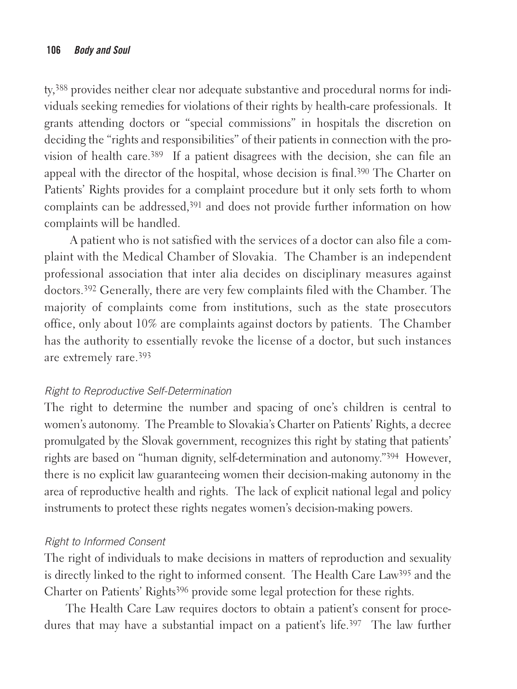ty,388 provides neither clear nor adequate substantive and procedural norms for individuals seeking remedies for violations of their rights by health-care professionals. It grants attending doctors or "special commissions" in hospitals the discretion on deciding the "rights and responsibilities" of their patients in connection with the provision of health care.389 If a patient disagrees with the decision, she can file an appeal with the director of the hospital, whose decision is final.390 The Charter on Patients' Rights provides for a complaint procedure but it only sets forth to whom complaints can be addressed,<sup>391</sup> and does not provide further information on how complaints will be handled.

A patient who is not satisfied with the services of a doctor can also file a complaint with the Medical Chamber of Slovakia. The Chamber is an independent professional association that inter alia decides on disciplinary measures against doctors.392 Generally, there are very few complaints filed with the Chamber. The majority of complaints come from institutions, such as the state prosecutors office, only about 10% are complaints against doctors by patients. The Chamber has the authority to essentially revoke the license of a doctor, but such instances are extremely rare.393

## Right to Reproductive Self-Determination

The right to determine the number and spacing of one's children is central to women's autonomy. The Preamble to Slovakia's Charter on Patients' Rights, a decree promulgated by the Slovak government, recognizes this right by stating that patients' rights are based on "human dignity, self-determination and autonomy."394 However, there is no explicit law guaranteeing women their decision-making autonomy in the area of reproductive health and rights. The lack of explicit national legal and policy instruments to protect these rights negates women's decision-making powers.

## Right to Informed Consent

The right of individuals to make decisions in matters of reproduction and sexuality is directly linked to the right to informed consent. The Health Care Law395 and the Charter on Patients' Rights<sup>396</sup> provide some legal protection for these rights.

The Health Care Law requires doctors to obtain a patient's consent for procedures that may have a substantial impact on a patient's life.397 The law further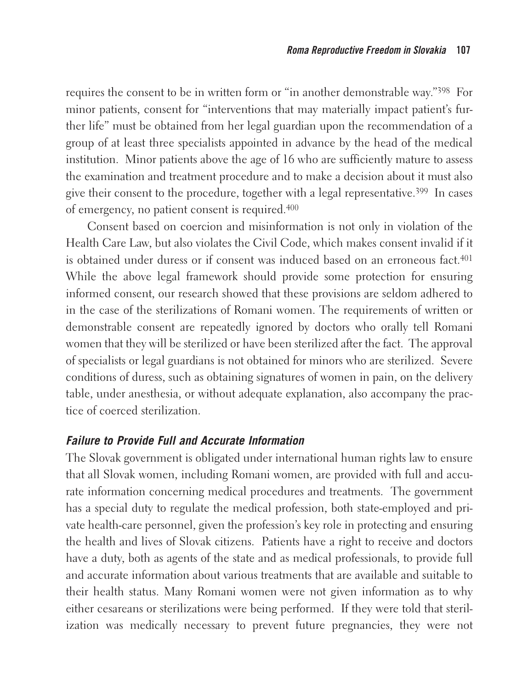requires the consent to be in written form or "in another demonstrable way."398 For minor patients, consent for "interventions that may materially impact patient's further life" must be obtained from her legal guardian upon the recommendation of a group of at least three specialists appointed in advance by the head of the medical institution. Minor patients above the age of 16 who are sufficiently mature to assess the examination and treatment procedure and to make a decision about it must also give their consent to the procedure, together with a legal representative.399 In cases of emergency, no patient consent is required.400

Consent based on coercion and misinformation is not only in violation of the Health Care Law, but also violates the Civil Code, which makes consent invalid if it is obtained under duress or if consent was induced based on an erroneous fact.401 While the above legal framework should provide some protection for ensuring informed consent, our research showed that these provisions are seldom adhered to in the case of the sterilizations of Romani women. The requirements of written or demonstrable consent are repeatedly ignored by doctors who orally tell Romani women that they will be sterilized or have been sterilized after the fact. The approval of specialists or legal guardians is not obtained for minors who are sterilized. Severe conditions of duress, such as obtaining signatures of women in pain, on the delivery table, under anesthesia, or without adequate explanation, also accompany the practice of coerced sterilization.

#### **Failure to Provide Full and Accurate Information**

The Slovak government is obligated under international human rights law to ensure that all Slovak women, including Romani women, are provided with full and accurate information concerning medical procedures and treatments. The government has a special duty to regulate the medical profession, both state-employed and private health-care personnel, given the profession's key role in protecting and ensuring the health and lives of Slovak citizens. Patients have a right to receive and doctors have a duty, both as agents of the state and as medical professionals, to provide full and accurate information about various treatments that are available and suitable to their health status. Many Romani women were not given information as to why either cesareans or sterilizations were being performed. If they were told that sterilization was medically necessary to prevent future pregnancies, they were not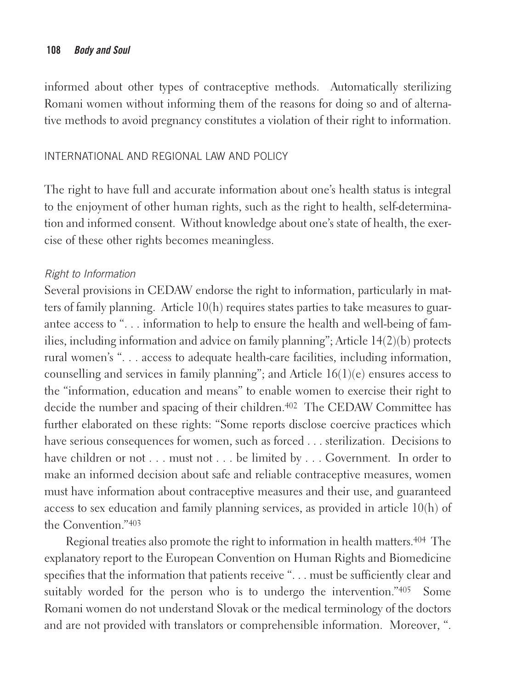#### **108 Body and Soul**

informed about other types of contraceptive methods. Automatically sterilizing Romani women without informing them of the reasons for doing so and of alternative methods to avoid pregnancy constitutes a violation of their right to information.

#### INTERNATIONAL AND REGIONAL LAW AND POLICY

The right to have full and accurate information about one's health status is integral to the enjoyment of other human rights, such as the right to health, self-determination and informed consent. Without knowledge about one's state of health, the exercise of these other rights becomes meaningless.

#### Right to Information

Several provisions in CEDAW endorse the right to information, particularly in matters of family planning. Article 10(h) requires states parties to take measures to guarantee access to ". . . information to help to ensure the health and well-being of families, including information and advice on family planning"; Article 14(2)(b) protects rural women's ". . . access to adequate health-care facilities, including information, counselling and services in family planning"; and Article 16(1)(e) ensures access to the "information, education and means" to enable women to exercise their right to decide the number and spacing of their children.<sup>402</sup> The CEDAW Committee has further elaborated on these rights: "Some reports disclose coercive practices which have serious consequences for women, such as forced . . . sterilization. Decisions to have children or not . . . must not . . . be limited by . . . Government. In order to make an informed decision about safe and reliable contraceptive measures, women must have information about contraceptive measures and their use, and guaranteed access to sex education and family planning services, as provided in article 10(h) of the Convention."403

Regional treaties also promote the right to information in health matters.404 The explanatory report to the European Convention on Human Rights and Biomedicine specifies that the information that patients receive ". . . must be sufficiently clear and suitably worded for the person who is to undergo the intervention."<sup>405</sup> Some Romani women do not understand Slovak or the medical terminology of the doctors and are not provided with translators or comprehensible information. Moreover, ".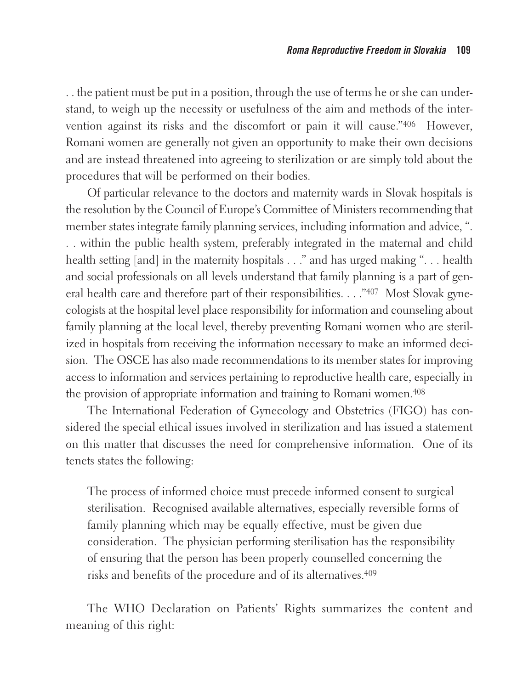. . the patient must be put in a position, through the use of terms he or she can understand, to weigh up the necessity or usefulness of the aim and methods of the intervention against its risks and the discomfort or pain it will cause."406 However, Romani women are generally not given an opportunity to make their own decisions and are instead threatened into agreeing to sterilization or are simply told about the procedures that will be performed on their bodies.

Of particular relevance to the doctors and maternity wards in Slovak hospitals is the resolution by the Council of Europe's Committee of Ministers recommending that member states integrate family planning services, including information and advice, ". . . within the public health system, preferably integrated in the maternal and child health setting [and] in the maternity hospitals . . ." and has urged making ". . . health and social professionals on all levels understand that family planning is a part of general health care and therefore part of their responsibilities. . . ."407 Most Slovak gynecologists at the hospital level place responsibility for information and counseling about family planning at the local level, thereby preventing Romani women who are sterilized in hospitals from receiving the information necessary to make an informed decision. The OSCE has also made recommendations to its member states for improving access to information and services pertaining to reproductive health care, especially in the provision of appropriate information and training to Romani women.408

The International Federation of Gynecology and Obstetrics (FIGO) has considered the special ethical issues involved in sterilization and has issued a statement on this matter that discusses the need for comprehensive information. One of its tenets states the following:

The process of informed choice must precede informed consent to surgical sterilisation. Recognised available alternatives, especially reversible forms of family planning which may be equally effective, must be given due consideration. The physician performing sterilisation has the responsibility of ensuring that the person has been properly counselled concerning the risks and benefits of the procedure and of its alternatives.409

The WHO Declaration on Patients' Rights summarizes the content and meaning of this right: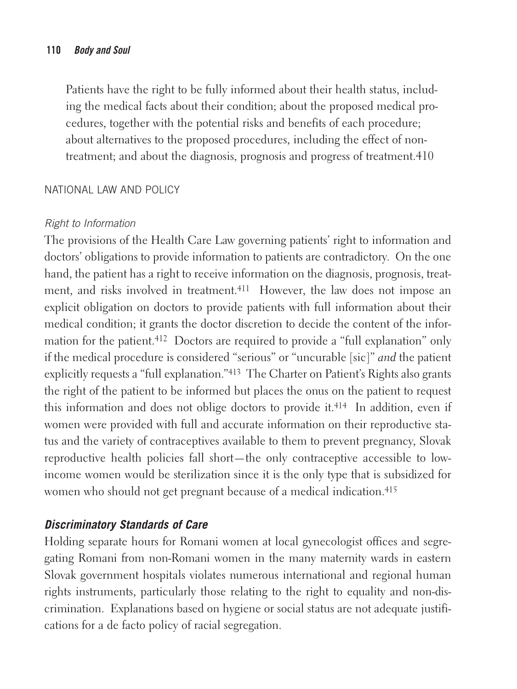Patients have the right to be fully informed about their health status, including the medical facts about their condition; about the proposed medical procedures, together with the potential risks and benefits of each procedure; about alternatives to the proposed procedures, including the effect of nontreatment; and about the diagnosis, prognosis and progress of treatment.410

## NATIONAL LAW AND POLICY

# Right to Information

The provisions of the Health Care Law governing patients' right to information and doctors' obligations to provide information to patients are contradictory. On the one hand, the patient has a right to receive information on the diagnosis, prognosis, treatment, and risks involved in treatment.<sup>411</sup> However, the law does not impose an explicit obligation on doctors to provide patients with full information about their medical condition; it grants the doctor discretion to decide the content of the information for the patient.<sup>412</sup> Doctors are required to provide a "full explanation" only if the medical procedure is considered "serious" or "uncurable [sic]" *and* the patient explicitly requests a "full explanation."413 The Charter on Patient's Rights also grants the right of the patient to be informed but places the onus on the patient to request this information and does not oblige doctors to provide it.414 In addition, even if women were provided with full and accurate information on their reproductive status and the variety of contraceptives available to them to prevent pregnancy, Slovak reproductive health policies fall short—the only contraceptive accessible to lowincome women would be sterilization since it is the only type that is subsidized for women who should not get pregnant because of a medical indication.<sup>415</sup>

# **Discriminatory Standards of Care**

Holding separate hours for Romani women at local gynecologist offices and segregating Romani from non-Romani women in the many maternity wards in eastern Slovak government hospitals violates numerous international and regional human rights instruments, particularly those relating to the right to equality and non-discrimination. Explanations based on hygiene or social status are not adequate justifications for a de facto policy of racial segregation.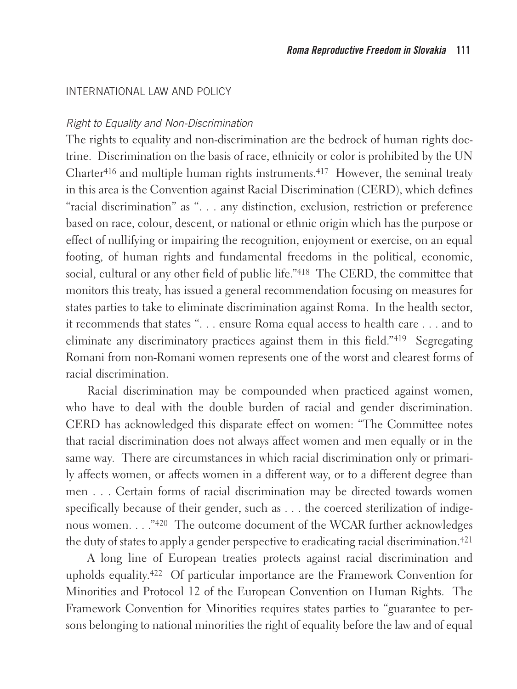## INTERNATIONAL LAW AND POLICY

## Right to Equality and Non-Discrimination

The rights to equality and non-discrimination are the bedrock of human rights doctrine. Discrimination on the basis of race, ethnicity or color is prohibited by the UN Charter416 and multiple human rights instruments.417 However, the seminal treaty in this area is the Convention against Racial Discrimination (CERD), which defines "racial discrimination" as ". . . any distinction, exclusion, restriction or preference based on race, colour, descent, or national or ethnic origin which has the purpose or effect of nullifying or impairing the recognition, enjoyment or exercise, on an equal footing, of human rights and fundamental freedoms in the political, economic, social, cultural or any other field of public life."418 The CERD, the committee that monitors this treaty, has issued a general recommendation focusing on measures for states parties to take to eliminate discrimination against Roma. In the health sector, it recommends that states ". . . ensure Roma equal access to health care . . . and to eliminate any discriminatory practices against them in this field."419 Segregating Romani from non-Romani women represents one of the worst and clearest forms of racial discrimination.

Racial discrimination may be compounded when practiced against women, who have to deal with the double burden of racial and gender discrimination. CERD has acknowledged this disparate effect on women: "The Committee notes that racial discrimination does not always affect women and men equally or in the same way. There are circumstances in which racial discrimination only or primarily affects women, or affects women in a different way, or to a different degree than men . . . Certain forms of racial discrimination may be directed towards women specifically because of their gender, such as . . . the coerced sterilization of indigenous women. . . ."420 The outcome document of the WCAR further acknowledges the duty of states to apply a gender perspective to eradicating racial discrimination.421

A long line of European treaties protects against racial discrimination and upholds equality.422 Of particular importance are the Framework Convention for Minorities and Protocol 12 of the European Convention on Human Rights. The Framework Convention for Minorities requires states parties to "guarantee to persons belonging to national minorities the right of equality before the law and of equal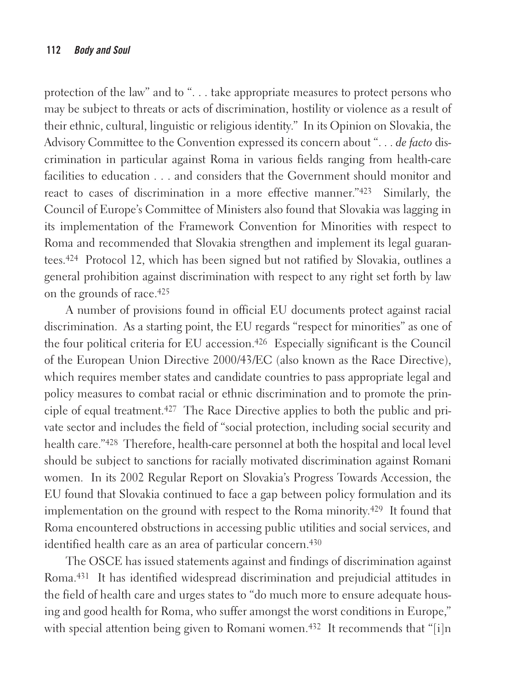protection of the law" and to ". . . take appropriate measures to protect persons who may be subject to threats or acts of discrimination, hostility or violence as a result of their ethnic, cultural, linguistic or religious identity." In its Opinion on Slovakia, the Advisory Committee to the Convention expressed its concern about ". . . *de facto* discrimination in particular against Roma in various fields ranging from health-care facilities to education . . . and considers that the Government should monitor and react to cases of discrimination in a more effective manner."423 Similarly, the Council of Europe's Committee of Ministers also found that Slovakia was lagging in its implementation of the Framework Convention for Minorities with respect to Roma and recommended that Slovakia strengthen and implement its legal guarantees.424 Protocol 12, which has been signed but not ratified by Slovakia, outlines a general prohibition against discrimination with respect to any right set forth by law on the grounds of race.425

A number of provisions found in official EU documents protect against racial discrimination. As a starting point, the EU regards "respect for minorities" as one of the four political criteria for EU accession.<sup>426</sup> Especially significant is the Council of the European Union Directive 2000/43/EC (also known as the Race Directive), which requires member states and candidate countries to pass appropriate legal and policy measures to combat racial or ethnic discrimination and to promote the principle of equal treatment.427 The Race Directive applies to both the public and private sector and includes the field of "social protection, including social security and health care."428 Therefore, health-care personnel at both the hospital and local level should be subject to sanctions for racially motivated discrimination against Romani women. In its 2002 Regular Report on Slovakia's Progress Towards Accession, the EU found that Slovakia continued to face a gap between policy formulation and its implementation on the ground with respect to the Roma minority.429 It found that Roma encountered obstructions in accessing public utilities and social services, and identified health care as an area of particular concern.<sup>430</sup>

The OSCE has issued statements against and findings of discrimination against Roma.431 It has identified widespread discrimination and prejudicial attitudes in the field of health care and urges states to "do much more to ensure adequate housing and good health for Roma, who suffer amongst the worst conditions in Europe," with special attention being given to Romani women.<sup>432</sup> It recommends that "[i]n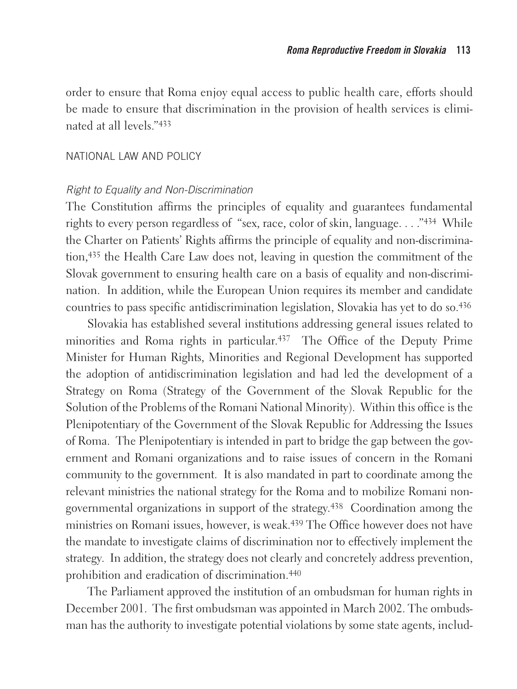order to ensure that Roma enjoy equal access to public health care, efforts should be made to ensure that discrimination in the provision of health services is eliminated at all levels."433

### NATIONAL LAW AND POLICY

#### Right to Equality and Non-Discrimination

The Constitution affirms the principles of equality and guarantees fundamental rights to every person regardless of "sex, race, color of skin, language. . . ."434 While the Charter on Patients' Rights affirms the principle of equality and non-discrimination,435 the Health Care Law does not, leaving in question the commitment of the Slovak government to ensuring health care on a basis of equality and non-discrimination. In addition, while the European Union requires its member and candidate countries to pass specific antidiscrimination legislation, Slovakia has yet to do so.436

Slovakia has established several institutions addressing general issues related to minorities and Roma rights in particular.437 The Office of the Deputy Prime Minister for Human Rights, Minorities and Regional Development has supported the adoption of antidiscrimination legislation and had led the development of a Strategy on Roma (Strategy of the Government of the Slovak Republic for the Solution of the Problems of the Romani National Minority). Within this office is the Plenipotentiary of the Government of the Slovak Republic for Addressing the Issues of Roma. The Plenipotentiary is intended in part to bridge the gap between the government and Romani organizations and to raise issues of concern in the Romani community to the government. It is also mandated in part to coordinate among the relevant ministries the national strategy for the Roma and to mobilize Romani nongovernmental organizations in support of the strategy.438 Coordination among the ministries on Romani issues, however, is weak.<sup>439</sup> The Office however does not have the mandate to investigate claims of discrimination nor to effectively implement the strategy. In addition, the strategy does not clearly and concretely address prevention, prohibition and eradication of discrimination.440

The Parliament approved the institution of an ombudsman for human rights in December 2001. The first ombudsman was appointed in March 2002. The ombudsman has the authority to investigate potential violations by some state agents, includ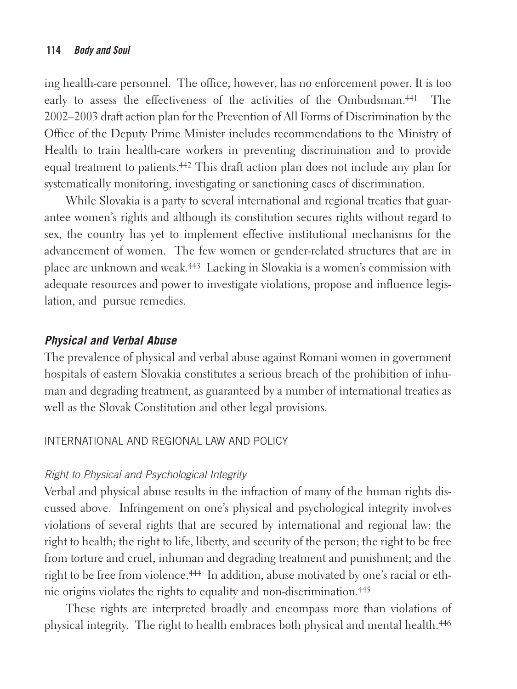ing health-care personnel. The office, however, has no enforcement power. It is too early to assess the effectiveness of the activities of the Ombudsman.441 The 2002–2003 draft action plan for the Prevention of All Forms of Discrimination by the Office of the Deputy Prime Minister includes recommendations to the Ministry of Health to train health-care workers in preventing discrimination and to provide equal treatment to patients.442 This draft action plan does not include any plan for systematically monitoring, investigating or sanctioning cases of discrimination.

While Slovakia is a party to several international and regional treaties that guarantee women's rights and although its constitution secures rights without regard to sex, the country has yet to implement effective institutional mechanisms for the advancement of women. The few women or gender-related structures that are in place are unknown and weak.443 Lacking in Slovakia is a women's commission with adequate resources and power to investigate violations, propose and influence legislation, and pursue remedies.

# **Physical and Verbal Abuse**

The prevalence of physical and verbal abuse against Romani women in government hospitals of eastern Slovakia constitutes a serious breach of the prohibition of inhuman and degrading treatment, as guaranteed by a number of international treaties as well as the Slovak Constitution and other legal provisions.

# INTERNATIONAL AND REGIONAL LAW AND POLICY

# Right to Physical and Psychological Integrity

Verbal and physical abuse results in the infraction of many of the human rights discussed above. Infringement on one's physical and psychological integrity involves violations of several rights that are secured by international and regional law: the right to health; the right to life, liberty, and security of the person; the right to be free from torture and cruel, inhuman and degrading treatment and punishment; and the right to be free from violence.<sup>444</sup> In addition, abuse motivated by one's racial or ethnic origins violates the rights to equality and non-discrimination.445

These rights are interpreted broadly and encompass more than violations of physical integrity. The right to health embraces both physical and mental health.446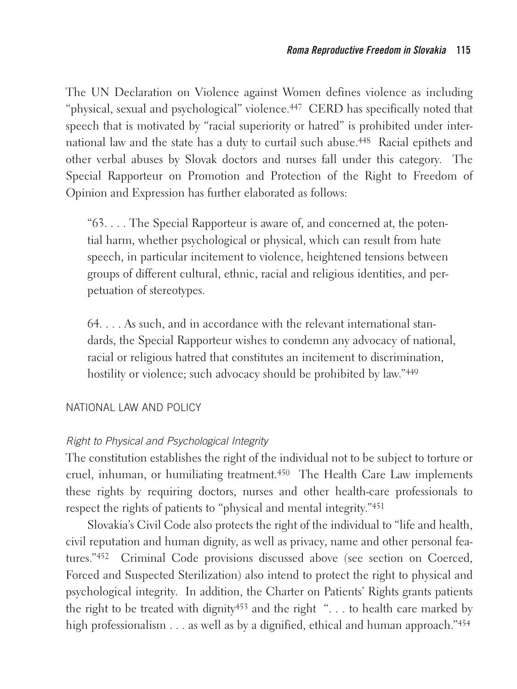The UN Declaration on Violence against Women defines violence as including "physical, sexual and psychological" violence.<sup>447</sup> CERD has specifically noted that speech that is motivated by "racial superiority or hatred" is prohibited under international law and the state has a duty to curtail such abuse.<sup>448</sup> Racial epithets and other verbal abuses by Slovak doctors and nurses fall under this category. The Special Rapporteur on Promotion and Protection of the Right to Freedom of Opinion and Expression has further elaborated as follows:

"63. . . . The Special Rapporteur is aware of, and concerned at, the potential harm, whether psychological or physical, which can result from hate speech, in particular incitement to violence, heightened tensions between groups of different cultural, ethnic, racial and religious identities, and perpetuation of stereotypes.

64. . . . As such, and in accordance with the relevant international standards, the Special Rapporteur wishes to condemn any advocacy of national, racial or religious hatred that constitutes an incitement to discrimination, hostility or violence; such advocacy should be prohibited by law."<sup>449</sup>

# NATIONAL LAW AND POLICY

## Right to Physical and Psychological Integrity

The constitution establishes the right of the individual not to be subject to torture or cruel, inhuman, or humiliating treatment.<sup>450</sup> The Health Care Law implements these rights by requiring doctors, nurses and other health-care professionals to respect the rights of patients to "physical and mental integrity."451

Slovakia's Civil Code also protects the right of the individual to "life and health, civil reputation and human dignity, as well as privacy, name and other personal features."452 Criminal Code provisions discussed above (see section on Coerced, Forced and Suspected Sterilization) also intend to protect the right to physical and psychological integrity. In addition, the Charter on Patients' Rights grants patients the right to be treated with dignity<sup>453</sup> and the right " $\ldots$  to health care marked by high professionalism . . . as well as by a dignified, ethical and human approach."454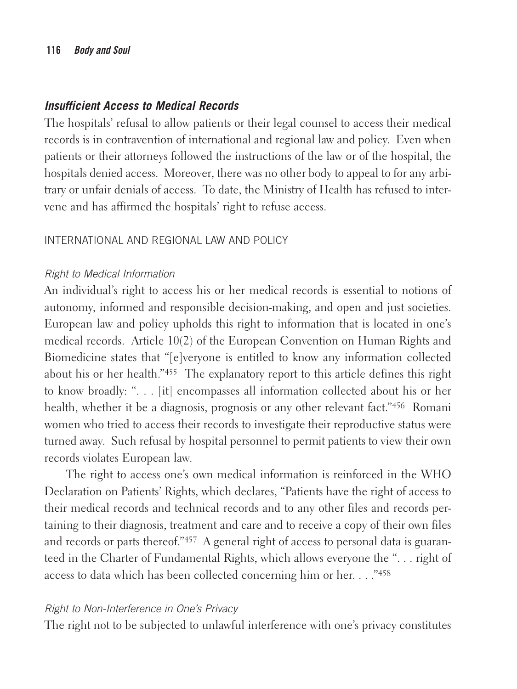# **Insufficient Access to Medical Records**

The hospitals' refusal to allow patients or their legal counsel to access their medical records is in contravention of international and regional law and policy. Even when patients or their attorneys followed the instructions of the law or of the hospital, the hospitals denied access. Moreover, there was no other body to appeal to for any arbitrary or unfair denials of access. To date, the Ministry of Health has refused to intervene and has affirmed the hospitals' right to refuse access.

## INTERNATIONAL AND REGIONAL LAW AND POLICY

### Right to Medical Information

An individual's right to access his or her medical records is essential to notions of autonomy, informed and responsible decision-making, and open and just societies. European law and policy upholds this right to information that is located in one's medical records. Article 10(2) of the European Convention on Human Rights and Biomedicine states that "[e]veryone is entitled to know any information collected about his or her health."455 The explanatory report to this article defines this right to know broadly: ". . . [it] encompasses all information collected about his or her health, whether it be a diagnosis, prognosis or any other relevant fact."456 Romani women who tried to access their records to investigate their reproductive status were turned away. Such refusal by hospital personnel to permit patients to view their own records violates European law.

The right to access one's own medical information is reinforced in the WHO Declaration on Patients' Rights, which declares, "Patients have the right of access to their medical records and technical records and to any other files and records pertaining to their diagnosis, treatment and care and to receive a copy of their own files and records or parts thereof."457 A general right of access to personal data is guaranteed in the Charter of Fundamental Rights, which allows everyone the ". . . right of access to data which has been collected concerning him or her. . . ."458

### Right to Non-Interference in One's Privacy

The right not to be subjected to unlawful interference with one's privacy constitutes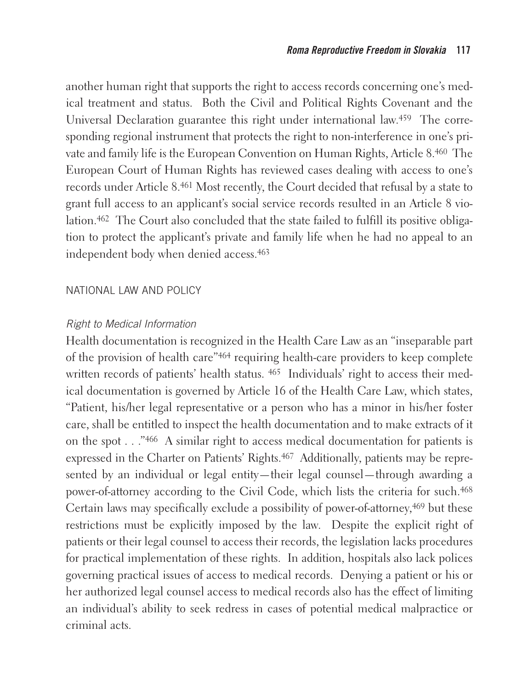another human right that supports the right to access records concerning one's medical treatment and status. Both the Civil and Political Rights Covenant and the Universal Declaration guarantee this right under international law.459 The corresponding regional instrument that protects the right to non-interference in one's private and family life is the European Convention on Human Rights, Article 8.460 The European Court of Human Rights has reviewed cases dealing with access to one's records under Article 8.461 Most recently, the Court decided that refusal by a state to grant full access to an applicant's social service records resulted in an Article 8 violation.462 The Court also concluded that the state failed to fulfill its positive obligation to protect the applicant's private and family life when he had no appeal to an independent body when denied access.463

## NATIONAL LAW AND POLICY

#### Right to Medical Information

Health documentation is recognized in the Health Care Law as an "inseparable part of the provision of health care"464 requiring health-care providers to keep complete written records of patients' health status. 465 Individuals' right to access their medical documentation is governed by Article 16 of the Health Care Law, which states, "Patient, his/her legal representative or a person who has a minor in his/her foster care, shall be entitled to inspect the health documentation and to make extracts of it on the spot . . ."466 A similar right to access medical documentation for patients is expressed in the Charter on Patients' Rights.467 Additionally, patients may be represented by an individual or legal entity—their legal counsel—through awarding a power-of-attorney according to the Civil Code, which lists the criteria for such.468 Certain laws may specifically exclude a possibility of power-of-attorney,469 but these restrictions must be explicitly imposed by the law. Despite the explicit right of patients or their legal counsel to access their records, the legislation lacks procedures for practical implementation of these rights. In addition, hospitals also lack polices governing practical issues of access to medical records. Denying a patient or his or her authorized legal counsel access to medical records also has the effect of limiting an individual's ability to seek redress in cases of potential medical malpractice or criminal acts.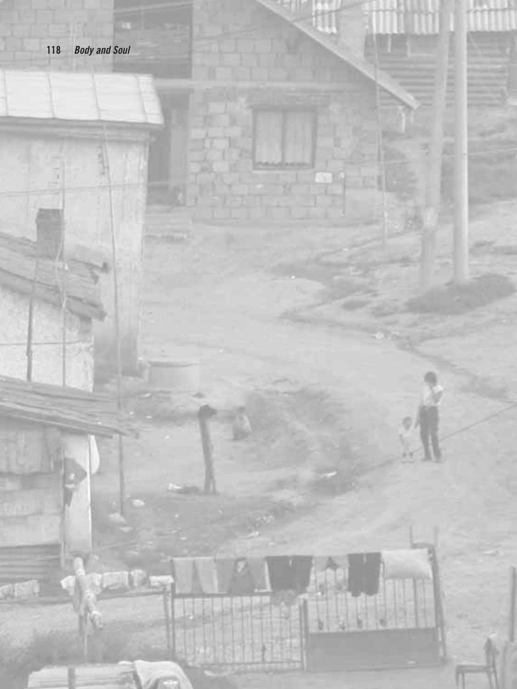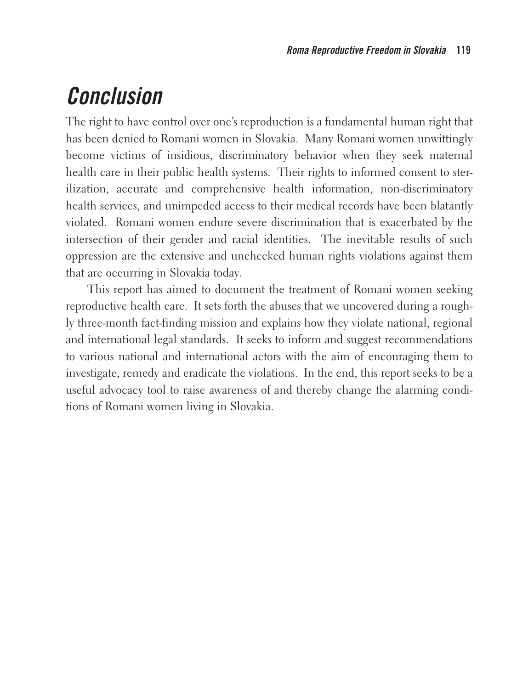# **Conclusion**

The right to have control over one's reproduction is a fundamental human right that has been denied to Romani women in Slovakia. Many Romani women unwittingly become victims of insidious, discriminatory behavior when they seek maternal health care in their public health systems. Their rights to informed consent to sterilization, accurate and comprehensive health information, non-discriminatory health services, and unimpeded access to their medical records have been blatantly violated. Romani women endure severe discrimination that is exacerbated by the intersection of their gender and racial identities. The inevitable results of such oppression are the extensive and unchecked human rights violations against them that are occurring in Slovakia today.

This report has aimed to document the treatment of Romani women seeking reproductive health care. It sets forth the abuses that we uncovered during a roughly three-month fact-finding mission and explains how they violate national, regional and international legal standards. It seeks to inform and suggest recommendations to various national and international actors with the aim of encouraging them to investigate, remedy and eradicate the violations. In the end, this report seeks to be a useful advocacy tool to raise awareness of and thereby change the alarming conditions of Romani women living in Slovakia.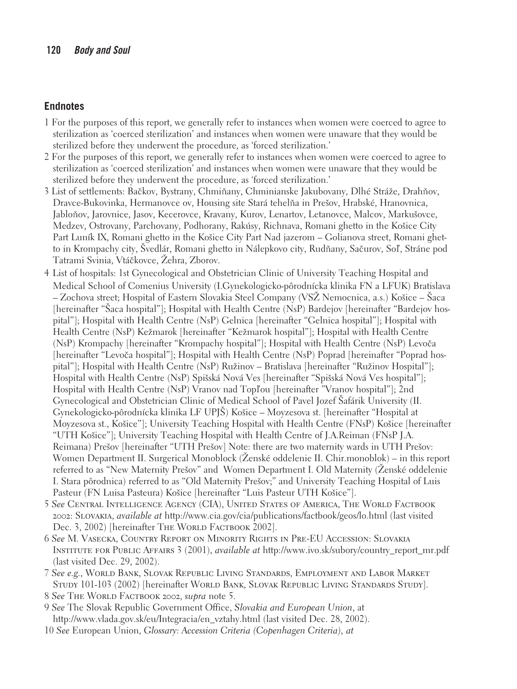#### **Endnotes**

- 1 For the purposes of this report, we generally refer to instances when women were coerced to agree to sterilization as 'coerced sterilization' and instances when women were unaware that they would be sterilized before they underwent the procedure, as 'forced sterilization.'
- 2 For the purposes of this report, we generally refer to instances when women were coerced to agree to sterilization as 'coerced sterilization' and instances when women were unaware that they would be sterilized before they underwent the procedure, as 'forced sterilization.'
- 3 List of settlements: Bačkov, Bystrany, Chmiňany, Chminianske Jakubovany, Dlhé Stráže, Drahňov, Dravce-Bukovinka, Hermanovce ov, Housing site Stará tehelπa in Pre≥ov, Hrabské, Hranovnica, Jabloňov, Jarovnice, Jasov, Kecerovce, Kravany, Kurov, Lenartov, Letanovce, Malcov, Markušovce, Medzev, Ostrovany, Parchovany, Podhorany, Rakúsy, Richnava, Romani ghetto in the Košice City Part Luník IX, Romani ghetto in the Košice City Part Nad jazerom – Golianova street, Romani ghetto in Krompachy city, Švedlár, Romani ghetto in Nálepkovo city, Rudňany, Sačurov, Soľ, Stráne pod Tatrami Svinia, Vtá∞kovce, ∆ehra, Zborov.
- 4 List of hospitals: 1st Gynecological and Obstetrician Clinic of University Teaching Hospital and Medical School of Comenius University (I.Gynekologicko-pôrodnícka klinika FN a LFUK) Bratislava – Zochova street; Hospital of Eastern Slovakia Steel Company (VS∆ Nemocnica, a.s.) Ko≥ice – ≤aca [hereinafter "≤aca hospital"]; Hospital with Health Centre (NsP) Bardejov [hereinafter "Bardejov hospital"]; Hospital with Health Centre (NsP) Gelnica [hereinafter "Gelnica hospital"]; Hospital with Health Centre (NsP) Kežmarok [hereinafter "Kežmarok hospital"]; Hospital with Health Centre (NsP) Krompachy [hereinafter "Krompachy hospital"]; Hospital with Health Centre (NsP) Levoča [hereinafter "Levoča hospital"]; Hospital with Health Centre (NsP) Poprad [hereinafter "Poprad hospital"]; Hospital with Health Centre (NsP) Ružinov – Bratislava [hereinafter "Ružinov Hospital"]; Hospital with Health Centre (NsP) Spišská Nová Ves [hereinafter "Spišská Nová Ves hospital"]; Hospital with Health Centre (NsP) Vranov nad Top∂ou [hereinafter "Vranov hospital"]; 2nd Gynecological and Obstetrician Clinic of Medical School of Pavel Jozef ≤afárik University (II. Gynekologicko-pôrodnícka klinika LF UPJ≤) Ko≥ice – Moyzesova st. [hereinafter "Hospital at Moyzesova st., Košice"]; University Teaching Hospital with Health Centre (FNsP) Košice [hereinafter "UTH Ko≥ice"]; University Teaching Hospital with Health Centre of J.A.Reiman (FNsP J.A. Reimana) Prešov [hereinafter "UTH Prešov] Note: there are two maternity wards in UTH Prešov: Women Department II. Surgerical Monoblock (∆enské oddelenie II. Chir.monoblok) – in this report referred to as "New Maternity Prešov" and Women Department I. Old Maternity (Ženské oddelenie I. Stara pôrodnica) referred to as "Old Maternity Prešov;" and University Teaching Hospital of Luis Pasteur (FN Luisa Pasteura) Košice [hereinafter "Luis Pasteur UTH Košice"].
- 5 See Central Intelligence Agency (CIA), United States of America, The World Factbook 2002: Slovakia, available at http://www.cia.gov/cia/publications/factbook/geos/lo.html (last visited Dec. 3, 2002) [hereinafter THE WORLD FACTBOOK 2002].
- 6 See M. Vasecka, Country Report on Minority Rights in Pre-EU Accession: Slovakia Institute for Public Affairs 3 (2001), available at http://www.ivo.sk/subory/country\_report\_mr.pdf (last visited Dec. 29, 2002).
- 7 See e.g., World Bank, Slovak Republic Living Standards, Employment and Labor Market STUDY 101-103 (2002) [hereinafter WORLD BANK, SLOVAK REPUBLIC LIVING STANDARDS STUDY].
- 8 See THE WORLD FACTBOOK 2002, supra note 5.
- 9 See The Slovak Republic Government Office, Slovakia and European Union, at http://www.vlada.gov.sk/eu/Integracia/en\_vztahy.html (last visited Dec. 28, 2002).
- 10 See European Union, Glossary: Accession Criteria (Copenhagen Criteria), at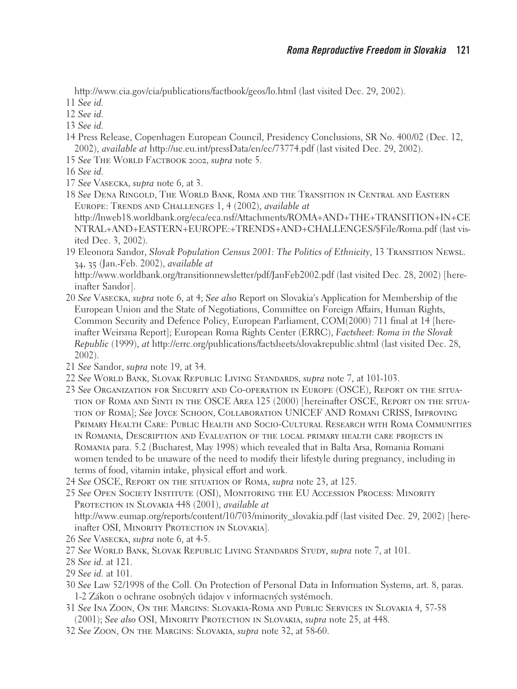http://www.cia.gov/cia/publications/factbook/geos/lo.html (last visited Dec. 29, 2002).

- 11 See id.
- 12 See id.
- 13 See id.
- 14 Press Release, Copenhagen European Council, Presidency Conclusions, SR No. 400/02 (Dec. 12, 2002), available at http://ue.eu.int/pressData/en/ec/73774.pdf (last visited Dec. 29, 2002).
- 15 See THE WORLD FACTBOOK 2002, supra note 5.
- 16 See id.
- 17 See Vasecka, supra note 6, at 3.
- 18 See Dena Ringold, The World Bank, Roma and the Transition in Central and Eastern EUROPE: TRENDS AND CHALLENGES 1, 4 (2002), available at

http://lnweb18.worldbank.org/eca/eca.nsf/Attachments/ROMA+AND+THE+TRANSITION+IN+CE NTRAL+AND+EASTERN+EUROPE:+TRENDS+AND+CHALLENGES/\$File/Roma.pdf (last visited Dec. 3, 2002).

19 Eleonora Sandor, Slovak Population Census 2001: The Politics of Ethnicity, 13 TRANSITION NEWSL. 34, 35 (Jan.-Feb. 2002), available at

http://www.worldbank.org/transitionnewsletter/pdf/JanFeb2002.pdf (last visited Dec. 28, 2002) [hereinafter Sandor].

- 20 See Vasecka, supra note 6, at 4; See also Report on Slovakia's Application for Membership of the European Union and the State of Negotiations, Committee on Foreign Affairs, Human Rights, Common Security and Defence Policy, European Parliament, COM(2000) 711 final at 14 [hereinafter Weirsma Report]; European Roma Rights Center (ERRC), Factsheet: Roma in the Slovak Republic (1999), at http://errc.org/publications/factsheets/slovakrepublic.shtml (last visited Dec. 28, 2002).
- 21 See Sandor, supra note 19, at 34.
- 22 See World Bank, Slovak Republic Living Standards, supra note 7, at 101-103.
- 23 See Organization for Security and Co-operation in Europe (OSCE), Report on the situation of Roma and Sinti in the OSCE Area 125 (2000) [hereinafter OSCE, Report on the situation of Roma]; See Joyce Schoon, Collaboration UNICEF AND Romani CRISS, Improving Primary Health Care: Public Health and Socio-Cultural Research with Roma Communitiesin Romania, Description and Evaluation of the local primary health care projects in Romania para. 5.2 (Bucharest, May 1998) which revealed that in Balta Arsa, Romania Romani women tended to be unaware of the need to modify their lifestyle during pregnancy, including in terms of food, vitamin intake, physical effort and work.
- 24 See OSCE, Report on the situation of Roma, supra note 23, at 125.
- 25 See Open Society Institute (OSI), Monitoring the EU Accession Process: Minority PROTECTION IN SLOVAKIA 448 (2001), available at

http://www.eumap.org/reports/content/10/703/minority\_slovakia.pdf (last visited Dec. 29, 2002) [hereinafter OSI, MINORITY PROTECTION IN SLOVAKIA].

- 26 See Vasecka, supra note 6, at 4-5.
- 27 See World Bank, Slovak Republic Living Standards Study, supra note 7, at 101.
- 28 See id. at 121.
- 29 See id. at 101.
- 30 See Law 52/1998 of the Coll. On Protection of Personal Data in Information Systems, art. 8, paras. 1-2 Zákon o ochrane osobn√ch údajov v informacn√ch systémoch.
- 31 See Ina Zoon, On the Margins: Slovakia-Roma and Public Services in Slovakia 4, 57-58 (2001); See also OSI, MINORITY PROTECTION IN SLOVAKIA, supra note 25, at 448.
- 32 See Zoon, On the Margins: Slovakia, supra note 32, at 58-60.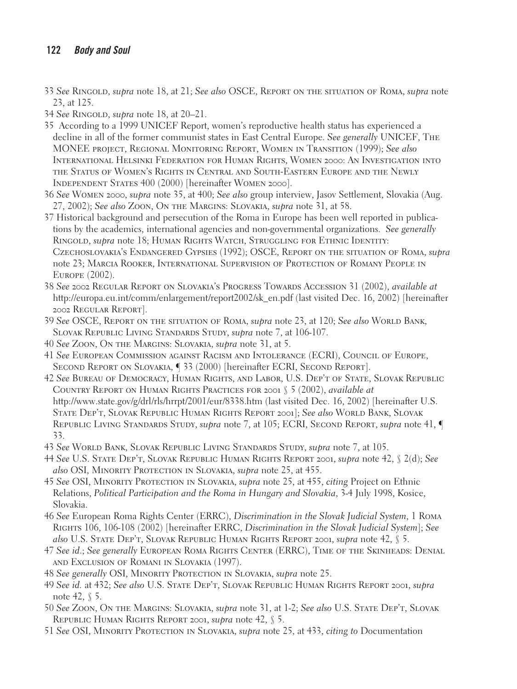- 33 See RINGOLD, supra note 18, at 21; See also OSCE, REPORT ON THE SITUATION OF ROMA, supra note 23, at 125.
- 34 See RINGOLD, supra note 18, at 20–21.
- 35 According to a 1999 UNICEF Report, women's reproductive health status has experienced a decline in all of the former communist states in East Central Europe. See generally UNICEF, THE MONEE project, Regional Monitoring Report, Women in Transition (1999); See also International Helsinki Federation for Human Rights, Women 2000: An Investigation intothe Status of Women's Rights in Central and South-Eastern Europe and the Newly Independent States 400 (2000) [hereinafter Women 2000].
- 36 See WOMEN 2000, supra note 35, at 400; See also group interview, Jasov Settlement, Slovakia (Aug. 27, 2002); See also ZOON, ON THE MARGINS: SLOVAKIA, supra note 31, at 58.
- 37 Historical background and persecution of the Roma in Europe has been well reported in publications by the academics, international agencies and non-governmental organizations. See generally Ringold, supra note 18; Human Rights Watch, Struggling for Ethnic Identity: Czechoslovakia's Endangered Gypsies (1992); OSCE, Report on the situation of Roma, supra note 23; Marcia Rooker, International Supervision of Protection of Romany People in Europe (2002).
- 38 See 2002 Regular Report on Slovakia's Progress Towards Accession 31 (2002), available at http://europa.eu.int/comm/enlargement/report2002/sk\_en.pdf (last visited Dec. 16, 2002) [hereinafter 2002 Regular Report].
- 39 See OSCE, REPORT ON THE SITUATION OF ROMA, supra note 23, at 120; See also WORLD BANK, SLOVAK REPUBLIC LIVING STANDARDS STUDY, supra note 7, at 106-107.
- 40 See Zoon, On the Margins: Slovakia, supra note 31, at 5.
- 41 See European Commission against Racism and Intolerance (ECRI), Council of Europe, SECOND REPORT ON SLOVAKIA,  $\blacklozenge$  33 (2000) [hereinafter ECRI, SECOND REPORT].
- 42 See Bureau of Democracy, Human Rights, and Labor, U.S. Dep't of State, Slovak Republic COUNTRY REPORT ON HUMAN RIGHTS PRACTICES FOR 2001 § 5 (2002), available at http://www.state.gov/g/drl/rls/hrrpt/2001/eur/8338.htm (last visited Dec. 16, 2002) [hereinafter U.S. STATE DEP'T, SLOVAK REPUBLIC HUMAN RIGHTS REPORT 2001]; See also WORLD BANK, SLOVAK REPUBLIC LIVING STANDARDS STUDY, supra note 7, at 105; ECRI, SECOND REPORT, supra note 41, 33.
- 43 See World Bank, Slovak Republic Living Standards Study, supra note 7, at 105.
- 44 See U.S. State Dep't, Slovak Republic Human Rights Report 2001, supra note 42, § 2(d); See also OSI, MINORITY PROTECTION IN SLOVAKIA, supra note 25, at 455.
- 45 See OSI, Minority Protection in Slovakia, supra note 25, at 455, citing Project on Ethnic Relations, Political Participation and the Roma in Hungary and Slovakia, 3-4 July 1998, Kosice, Slovakia.
- 46 See European Roma Rights Center (ERRC), Discrimination in the Slovak Judicial System, 1 Roma RIGHTS 106, 106-108 (2002) [hereinafter ERRC, Discrimination in the Slovak Judicial System]; See also U.S. STATE DEP'T, SLOVAK REPUBLIC HUMAN RIGHTS REPORT 2001, supra note 42, § 5.
- 47 See id.; See generally EUROPEAN ROMA RIGHTS CENTER (ERRC), TIME OF THE SKINHEADS: DENIAL and Exclusion of Romani in Slovakia (1997).
- 48 See generally OSI, MINORITY PROTECTION IN SLOVAKIA, supra note 25.
- 49 See id. at 432; See also U.S. STATE DEP'T, SLOVAK REPUBLIC HUMAN RIGHTS REPORT 2001, supra note 42, § 5.
- 50 See ZOON, ON THE MARGINS: SLOVAKIA, supra note 31, at 1-2; See also U.S. STATE DEP'T, SLOVAK REPUBLIC HUMAN RIGHTS REPORT 2001, supra note 42, § 5.
- 51 See OSI, MINORITY PROTECTION IN SLOVAKIA, supra note 25, at 433, citing to Documentation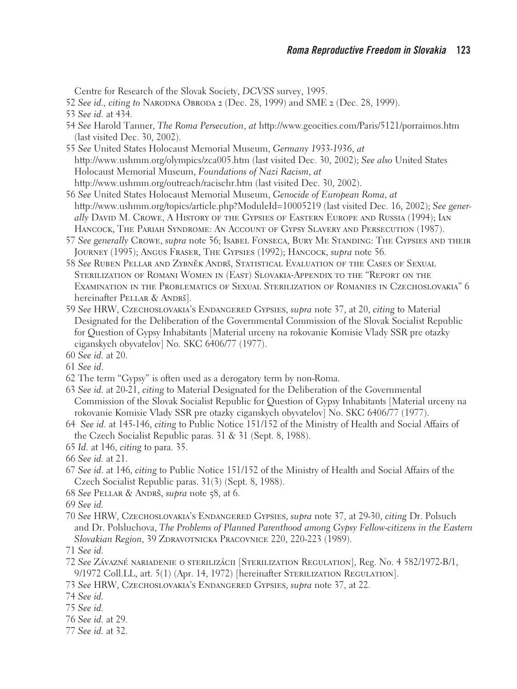Centre for Research of the Slovak Society, DCVSS survey, 1995.

52 See id., citing to NARODNA OBRODA 2 (Dec. 28, 1999) and SME 2 (Dec. 28, 1999).

- 54 See Harold Tanner, The Roma Persecution, at http://www.geocities.com/Paris/5121/porraimos.htm (last visited Dec. 30, 2002).
- 55 See United States Holocaust Memorial Museum, Germany 1933-1936, at http://www.ushmm.org/olympics/zca005.htm (last visited Dec. 30, 2002); See also United States Holocaust Memorial Museum, Foundations of Nazi Racism, at http://www.ushmm.org/outreach/racischr.htm (last visited Dec. 30, 2002).
- 56 See United States Holocaust Memorial Museum, Genocide of European Roma, at http://www.ushmm.org/topics/article.php?ModuleId=10005219 (last visited Dec. 16, 2002); See generally David M. Crowe, A History of the Gypsies of Eastern Europe and Russia (1994); Ian
- Hancock, The Pariah Syndrome: An Account of Gypsy Slavery and Persecution (1987).
- 57 See generally Crowe, supra note 56; Isabel Fonseca, Bury Me Standing: The Gypsies and their JOURNEY (1995); ANGUS FRASER, THE GYPSIES (1992); HANCOCK, supra note 56.
- 58 See RUBEN PELLAR AND ZYBNĚK ANDRŠ, STATISTICAL EVALUATION OF THE CASES OF SEXUAL Sterilization of Romani Women in (East) Slovakia-Appendix to the "Report on the Examination in the Problematics of Sexual Sterilization of Romanies in Czechoslovakia" 6 hereinafter PELLAR & ANDRŠ].
- 59 See HRW, CZECHOSLOVAKIA'S ENDANGERED GYPSIES, supra note 37, at 20, citing to Material Designated for the Deliberation of the Governmental Commission of the Slovak Socialist Republic for Question of Gypsy Inhabitants [Material urceny na rokovanie Komisie Vlady SSR pre otazky ciganskych obyvatelov] No. SKC 6406/77 (1977).
- 60 See id. at 20.
- 61 See id.
- 62 The term "Gypsy" is often used as a derogatory term by non-Roma.
- 63 See id. at 20-21, citing to Material Designated for the Deliberation of the Governmental Commission of the Slovak Socialist Republic for Question of Gypsy Inhabitants [Material urceny na rokovanie Komisie Vlady SSR pre otazky ciganskych obyvatelov] No. SKC 6406/77 (1977).
- 64 See id. at 145-146, citing to Public Notice 151/152 of the Ministry of Health and Social Affairs of the Czech Socialist Republic paras. 31 & 31 (Sept. 8, 1988).
- 65 Id. at 146, citing to para. 35.
- 66 See id. at 21.
- 67 See id. at 146, citing to Public Notice 151/152 of the Ministry of Health and Social Affairs of the Czech Socialist Republic paras. 31(3) (Sept. 8, 1988).
- 68 See PELLAR & ANDRŠ, supra note 58, at 6.

70 See HRW, Czechoslovakia's Endangered Gypsies, supra note 37, at 29-30, citing Dr. Polsuch and Dr. Polsluchova, The Problems of Planned Parenthood among Gypsy Fellow-citizens in the Eastern Slovakian Region, 39 ZDRAVOTNICKA PRACOVNICE 220, 220-223 (1989).

- 72 See Závazné nariadenie o sterilizácii [Sterilization Regulation], Reg. No. 4 582/1972-B/1, 9/1972 Coll.LL, art. 5(1) (Apr. 14, 1972) [hereinafter STERILIZATION REGULATION].
- 73 See HRW, Czechoslovakia's Endangered Gypsies, supra note 37, at 22.
- 74 See id.
- 75 See id.
- 76 See id. at 29.
- 77 See id. at 32.

<sup>53</sup> See id. at 434.

<sup>69</sup> See id.

<sup>71</sup> See id.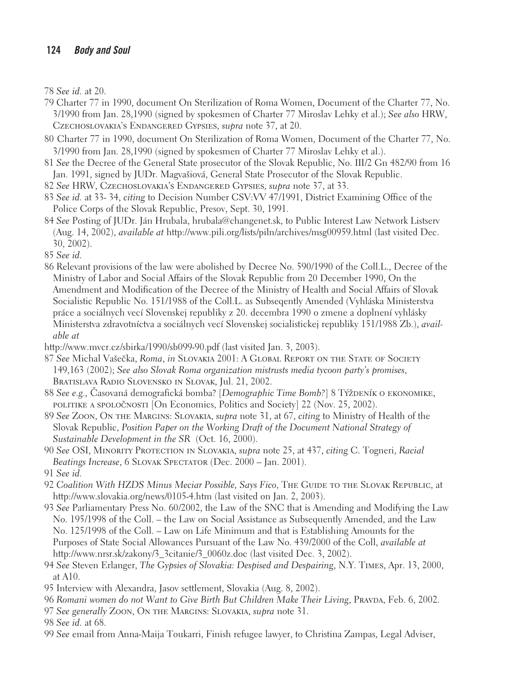## **124 Body and Soul**

78 See id. at 20.

- 79 Charter 77 in 1990, document On Sterilization of Roma Women, Document of the Charter 77, No. 3/1990 from Jan. 28,1990 (signed by spokesmen of Charter 77 Miroslav Lehky et al.); See also HRW, Czechoslovakia's Endangered Gypsies, supra note 37, at 20.
- 80 Charter 77 in 1990, document On Sterilization of Roma Women, Document of the Charter 77, No. 3/1990 from Jan. 28,1990 (signed by spokesmen of Charter 77 Miroslav Lehky et al.).
- 81 See the Decree of the General State prosecutor of the Slovak Republic, No. III/2 Gn 482/90 from 16 Jan. 1991, signed by JUDr. Magyašiová, General State Prosecutor of the Slovak Republic.
- 82 See HRW, Czechoslovakia's Endangered Gypsies, supra note 37, at 33.
- 83 See id. at 33- 34, citing to Decision Number CSV:VV 47/1991, District Examining Office of the Police Corps of the Slovak Republic, Presov, Sept. 30, 1991.
- 84 See Posting of JUDr. Ján Hrubala, hrubala@changenet.sk, to Public Interest Law Network Listserv (Aug. 14, 2002), available at http://www.pili.org/lists/piln/archives/msg00959.html (last visited Dec. 30, 2002).
- 85 See id.
- 86 Relevant provisions of the law were abolished by Decree No. 590/1990 of the Coll.L., Decree of the Ministry of Labor and Social Affairs of the Slovak Republic from 20 December 1990, On the Amendment and Modification of the Decree of the Ministry of Health and Social Affairs of Slovak Socialistic Republic No. 151/1988 of the Coll.L. as Subseqently Amended (Vyhláska Ministerstva práce a sociálnych vecí Slovenskej republiky z 20. decembra 1990 o zmene a doplnení vyhlásky Ministerstva zdravotníctva a sociálnych vecí Slovenskej socialistickej republiky 151/1988 Zb.), available at
- http://www.mvcr.cz/sbirka/1990/sb099-90.pdf (last visited Jan. 3, 2003).
- 87 See Michal Vašečka, Roma, in SLOVAKIA 2001: A GLOBAL REPORT ON THE STATE OF SOCIETY 149,163 (2002); See also Slovak Roma organization mistrusts media tycoon party's promises, Bratislava Radio Slovensko in Slovak, Jul. 21, 2002.
- 88 See e.g., Časovaná demografická bomba? [Demographic Time Bomb?] 8 TýžDENÍK O EKONOMIKE, POLITIKE A SPOLOČNOSTI [On Economics, Politics and Society] 22 (Nov. 25, 2002).
- 89 See Zoon, On the Margins: Slovakia, supra note 31, at 67, citing to Ministry of Health of the Slovak Republic, Position Paper on the Working Draft of the Document National Strategy of Sustainable Development in the SR (Oct. 16, 2000).
- 90 See OSI, MINORITY PROTECTION IN SLOVAKIA, supra note 25, at 437, citing C. Togneri, Racial Beatings Increase, 6 SLOVAK SPECTATOR (Dec. 2000 – Jan. 2001).
- 91 See id.
- 92 Coalition With HZDS Minus Meciar Possible, Says Fico, THE GUIDE TO THE SLOVAK REPUBLIC, at http://www.slovakia.org/news/0105-4.htm (last visited on Jan. 2, 2003).
- 93 See Parliamentary Press No. 60/2002, the Law of the SNC that is Amending and Modifying the Law No. 195/1998 of the Coll. – the Law on Social Assistance as Subsequently Amended, and the Law No. 125/1998 of the Coll. – Law on Life Minimum and that is Establishing Amounts for the Purposes of State Social Allowances Pursuant of the Law No. 439/2000 of the Coll, available at http://www.nrsr.sk/zakony/3\_3citanie/3\_0060z.doc (last visited Dec. 3, 2002).
- 94 See Steven Erlanger, The Gypsies of Slovakia: Despised and Despairing, N.Y. Times, Apr. 13, 2000, at A10.
- 95 Interview with Alexandra, Jasov settlement, Slovakia (Aug. 8, 2002).
- 96 Romani women do not Want to Give Birth But Children Make Their Living, PRAVDA, Feb. 6, 2002.
- 97 See generally ZOON, ON THE MARGINS: SLOVAKIA, supra note 31.
- 98 See id. at 68.
- 99 See email from Anna-Maija Toukarri, Finish refugee lawyer, to Christina Zampas, Legal Adviser,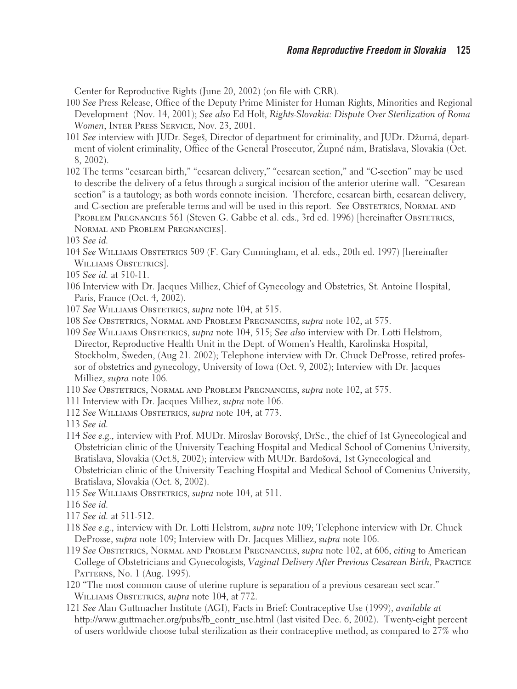Center for Reproductive Rights (June 20, 2002) (on file with CRR).

- 100 See Press Release, Office of the Deputy Prime Minister for Human Rights, Minorities and Regional Development (Nov. 14, 2001); See also Ed Holt, Rights-Slovakia: Dispute Over Sterilization of Roma Women, Inter Press Service, Nov. 23, 2001.
- 101 See interview with JUDr. Segeš, Director of department for criminality, and JUDr. Džurná, department of violent criminality, Office of the General Prosecutor, ∆upné nám, Bratislava, Slovakia (Oct. 8, 2002).

102 The terms "cesarean birth," "cesarean delivery," "cesarean section," and "C-section" may be used to describe the delivery of a fetus through a surgical incision of the anterior uterine wall. "Cesarean section" is a tautology; as both words connote incision. Therefore, cesarean birth, cesarean delivery, and C-section are preferable terms and will be used in this report. See OBSTETRICS, NORMAL AND PROBLEM PREGNANCIES 561 (Steven G. Gabbe et al. eds., 3rd ed. 1996) [hereinafter Obstetrics, Normal and Problem Pregnancies].

103 See id.

- 104 See Williams Obstetrics 509 (F. Gary Cunningham, et al. eds., 20th ed. 1997) [hereinafter WILLIAMS OBSTETRICS].
- 105 See id. at 510-11.
- 106 Interview with Dr. Jacques Milliez, Chief of Gynecology and Obstetrics, St. Antoine Hospital, Paris, France (Oct. 4, 2002).
- 107 See WILLIAMS OBSTETRICS, supra note 104, at 515.
- 108 See Obstetrics, Normal and Problem Pregnancies, supra note 102, at 575.

109 See Williams Obstetrics, supra note 104, 515; See also interview with Dr. Lotti Helstrom, Director, Reproductive Health Unit in the Dept. of Women's Health, Karolinska Hospital, Stockholm, Sweden, (Aug 21. 2002); Telephone interview with Dr. Chuck DeProsse, retired professor of obstetrics and gynecology, University of Iowa (Oct. 9, 2002); Interview with Dr. Jacques Milliez, supra note 106.

- 110 See Obstetrics, Normal and Problem Pregnancies, supra note 102, at 575.
- 111 Interview with Dr. Jacques Milliez, supra note 106.
- 112 See Williams Obstetrics, supra note 104, at 773.

113 See id.

114 See e.g., interview with Prof. MUDr. Miroslav Borovský, DrSc., the chief of 1st Gynecological and Obstetrician clinic of the University Teaching Hospital and Medical School of Comenius University, Bratislava, Slovakia (Oct.8, 2002); interview with MUDr. Bardošová, 1st Gynecological and Obstetrician clinic of the University Teaching Hospital and Medical School of Comenius University, Bratislava, Slovakia (Oct. 8, 2002).

115 See Williams Obstetrics, supra note 104, at 511.

- 117 See id. at 511-512.
- 118 See e.g., interview with Dr. Lotti Helstrom, supra note 109; Telephone interview with Dr. Chuck DeProsse, supra note 109; Interview with Dr. Jacques Milliez, supra note 106.
- 119 See Obstetrics, Normal and Problem Pregnancies, *supra* note 102, at 606, *citing* to American College of Obstetricians and Gynecologists, Vaginal Delivery After Previous Cesarean Birth, PRACTICE PATTERNS, No. 1 (Aug. 1995).
- 120 "The most common cause of uterine rupture is separation of a previous cesarean sect scar." WILLIAMS OBSTETRICS, *supra* note 104, at 772.
- 121 See Alan Guttmacher Institute (AGI), Facts in Brief: Contraceptive Use (1999), *available at* http://www.guttmacher.org/pubs/fb\_contr\_use.html (last visited Dec. 6, 2002). Twenty-eight percent of users worldwide choose tubal sterilization as their contraceptive method, as compared to 27% who

<sup>116</sup> See id.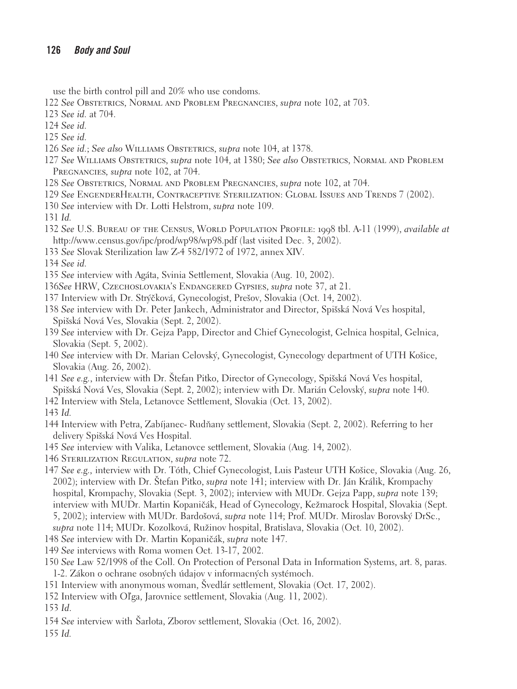use the birth control pill and 20% who use condoms.

- 122 See Obstetrics, Normal and Problem Pregnancies, supra note 102, at 703.
- 123 See id. at 704.
- 124 See id.
- 125 See id.
- 126 See id.; See also WILLIAMS OBSTETRICS, supra note 104, at 1378.
- 127 See WILLIAMS OBSTETRICS, supra note 104, at 1380; See also Obstetrics, NORMAL AND PROBLEM PREGNANCIES, *subra* note 102, at 704.
- 128 See Obstetrics, Normal and Problem Pregnancies, supra note 102, at 704.
- 129 See EngenderHealth, Contraceptive Sterilization: Global Issues and Trends 7 (2002).
- 130 See interview with Dr. Lotti Helstrom, supra note 109.
- 131 Id.
- 132 See U.S. BUREAU OF THE CENSUS, WORLD POPULATION PROFILE: 1998 tbl. A-11 (1999), available at http://www.census.gov/ipc/prod/wp98/wp98.pdf (last visited Dec. 3, 2002).
- 133 See Slovak Sterilization law Z-4 582/1972 of 1972, annex XIV.
- 134 See id.
- 135 See interview with Agáta, Svinia Settlement, Slovakia (Aug. 10, 2002).
- 136See HRW, Czechoslovakia's Endangered Gypsies, supra note 37, at 21.
- 137 Interview with Dr. Strýčková, Gynecologist, Prešov, Slovakia (Oct. 14, 2002).
- 138 See interview with Dr. Peter Jankech, Administrator and Director, Spišská Nová Ves hospital, Spi≥ská Nová Ves, Slovakia (Sept. 2, 2002).
- 139 See interview with Dr. Gejza Papp, Director and Chief Gynecologist, Gelnica hospital, Gelnica, Slovakia (Sept. 5, 2002).
- 140 See interview with Dr. Marian Celovský, Gynecologist, Gynecology department of UTH Košice, Slovakia (Aug. 26, 2002).
- 141 See e.g., interview with Dr. ≤tefan Pitko, Director of Gynecology, Spi≥ská Nová Ves hospital, Spi≥ská Nová Ves, Slovakia (Sept. 2, 2002); interview with Dr. Marián Celovsk√, supra note 140.
- 142 Interview with Stela, Letanovce Settlement, Slovakia (Oct. 13, 2002).

143 Id.

- 144 Interview with Petra, Zabíjanec- Rudπany settlement, Slovakia (Sept. 2, 2002). Referring to her delivery Spi≥ská Nová Ves Hospital.
- 145 See interview with Valika, Letanovce settlement, Slovakia (Aug. 14, 2002).
- 146 Sterilization Regulation, supra note 72.
- 147 See e.g., interview with Dr. Tóth, Chief Gynecologist, Luis Pasteur UTH Košice, Slovakia (Aug. 26, 2002); interview with Dr. Štefan Pitko, supra note 141; interview with Dr. Ján Králik, Krompachy hospital, Krompachy, Slovakia (Sept. 3, 2002); interview with MUDr. Gejza Papp, supra note 139; interview with MUDr. Martin Kopaničák, Head of Gynecology, Kežmarock Hospital, Slovakia (Sept. 5, 2002); interview with MUDr. Bardošová, *supra* note 114; Prof. MUDr. Miroslav Borovský DrSc., supra note 114; MUDr. Kozolková, Ružinov hospital, Bratislava, Slovakia (Oct. 10, 2002).
- 148 See interview with Dr. Martin Kopaničák, supra note 147.
- 149 See interviews with Roma women Oct. 13-17, 2002.
- 150 See Law 52/1998 of the Coll. On Protection of Personal Data in Information Systems, art. 8, paras. 1-2. Zákon o ochrane osobných údajov v informacných systémoch.
- 151 Interview with anonymous woman, ≤vedlár settlement, Slovakia (Oct. 17, 2002).
- 152 Interview with O∂ga, Jarovnice settlement, Slovakia (Aug. 11, 2002).
- 153 Id.
- 154 See interview with ≤arlota, Zborov settlement, Slovakia (Oct. 16, 2002).

155 Id.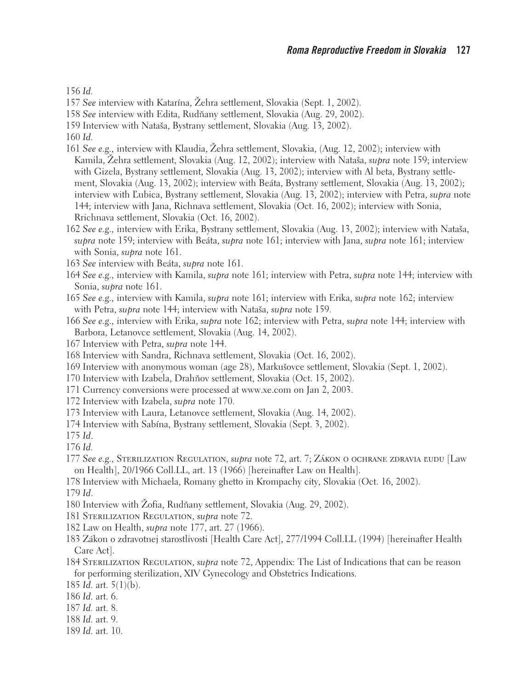156 Id.

157 See interview with Katarína, ∆ehra settlement, Slovakia (Sept. 1, 2002).

158 See interview with Edita, Rudπany settlement, Slovakia (Aug. 29, 2002).

159 Interview with Nata≥a, Bystrany settlement, Slovakia (Aug. 13, 2002).

160 Id.

- 161 See e.g., interview with Klaudia, ∆ehra settlement, Slovakia, (Aug. 12, 2002); interview with Kamila, Žehra settlement, Slovakia (Aug. 12, 2002); interview with Nataša, *supra* note 159; interview with Gizela, Bystrany settlement, Slovakia (Aug. 13, 2002); interview with Al beta, Bystrany settlement, Slovakia (Aug. 13, 2002); interview with Beáta, Bystrany settlement, Slovakia (Aug. 13, 2002); interview with Ľubica, Bystrany settlement, Slovakia (Aug. 13, 2002); interview with Petra, *supra* note 144; interview with Jana, Richnava settlement, Slovakia (Oct. 16, 2002); interview with Sonia, Rrichnava settlement, Slovakia (Oct. 16, 2002).
- 162 See e.g., interview with Erika, Bystrany settlement, Slovakia (Aug. 13, 2002); interview with Nataša, supra note 159; interview with Beáta, supra note 161; interview with Jana, supra note 161; interview with Sonia, *subra* note 161.
- 163 See interview with Beáta, *supra* note 161.
- 164 See e.g., interview with Kamila, supra note 161; interview with Petra, supra note 144; interview with Sonia, *subra* note 161.
- 165 See e.g., interview with Kamila, supra note 161; interview with Erika, supra note 162; interview with Petra, *supra* note 144; interview with Nataša, *supra* note 159.
- 166 See e.g., interview with Erika, supra note 162; interview with Petra, supra note 144; interview with Barbora, Letanovce settlement, Slovakia (Aug. 14, 2002).
- 167 Interview with Petra, supra note 144.
- 168 Interview with Sandra, Richnava settlement, Slovakia (Oct. 16, 2002).
- 169 Interview with anonymous woman (age 28), Marku≥ovce settlement, Slovakia (Sept. 1, 2002).
- 170 Interview with Izabela, Drahπov settlement, Slovakia (Oct. 15, 2002).
- 171 Currency conversions were processed at www.xe.com on Jan 2, 2003.
- 172 Interview with Izabela, supra note 170.
- 173 Interview with Laura, Letanovce settlement, Slovakia (Aug. 14, 2002).
- 174 Interview with Sabína, Bystrany settlement, Slovakia (Sept. 3, 2002).
- 175 Id.
- 176 Id.
- 177 See e.g., Sterilization Regulation, supra note 72, art. 7; Zákon o ochrane zdravia ∂udu [Law on Health], 20/1966 Coll.LL, art. 13 (1966) [hereinafter Law on Health].
- 178 Interview with Michaela, Romany ghetto in Krompachy city, Slovakia (Oct. 16, 2002). 179 Id.
- 180 Interview with ∆ofia, Rudπany settlement, Slovakia (Aug. 29, 2002).
- 181 Sterilization Regulation, supra note 72.
- 182 Law on Health, supra note 177, art. 27 (1966).
- 183 Zákon o zdravotnej starostlivosti [Health Care Act], 277/1994 Coll.LL (1994) [hereinafter Health Care Act].
- 184 STERILIZATION REGULATION, *supra* note 72, Appendix: The List of Indications that can be reason for performing sterilization, XIV Gynecology and Obstetrics Indications.
- 185 Id. art. 5(1)(b).
- 186 Id. art. 6.
- 187 Id. art. 8.
- 188 Id. art. 9.
- 189 Id. art. 10.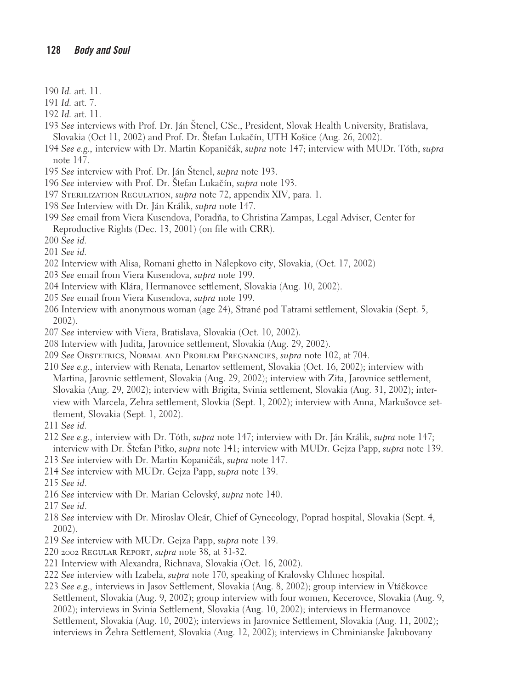- 190 Id. art. 11.
- 191 Id. art. 7.
- 192 Id. art. 11.
- 193 See interviews with Prof. Dr. Ján Štencl, CSc., President, Slovak Health University, Bratislava, Slovakia (Oct 11, 2002) and Prof. Dr. Štefan Lukačín, UTH Košice (Aug. 26, 2002).
- 194 See e.g., interview with Dr. Martin Kopaničák, supra note 147; interview with MUDr. Tóth, supra note 147.
- 195 See interview with Prof. Dr. Ján Štencl, *supra* note 193.
- 196 See interview with Prof. Dr. Štefan Lukačín, supra note 193.
- 197 STERILIZATION REGULATION, supra note 72, appendix XIV, para. 1.
- 198 See Interview with Dr. Ján Králik, supra note 147.
- 199 See email from Viera Kusendova, Poradňa, to Christina Zampas, Legal Adviser, Center for Reproductive Rights (Dec. 13, 2001) (on file with CRR).
- 200 See id.
- 201 See id.
- 202 Interview with Alisa, Romani ghetto in Nálepkovo city, Slovakia, (Oct. 17, 2002)
- 203 See email from Viera Kusendova, supra note 199.
- 204 Interview with Klára, Hermanovce settlement, Slovakia (Aug. 10, 2002).
- 205 See email from Viera Kusendova, supra note 199.
- 206 Interview with anonymous woman (age 24), Strané pod Tatrami settlement, Slovakia (Sept. 5, 2002).
- 207 See interview with Viera, Bratislava, Slovakia (Oct. 10, 2002).
- 208 Interview with Judita, Jarovnice settlement, Slovakia (Aug. 29, 2002).
- 209 See Obstetrics, Normal and Problem Pregnancies, supra note 102, at 704.
- 210 See e.g., interview with Renata, Lenartov settlement, Slovakia (Oct. 16, 2002); interview with Martina, Jarovnic settlement, Slovakia (Aug. 29, 2002); interview with Zita, Jarovnice settlement, Slovakia (Aug. 29, 2002); interview with Brigita, Svinia settlement, Slovakia (Aug. 31, 2002); interview with Marcela, Zehra settlement, Slovkia (Sept. 1, 2002); interview with Anna, Markušovce settlement, Slovakia (Sept. 1, 2002).

211 See id.

- 212 See e.g., interview with Dr. Tóth, *supra* note 147; interview with Dr. Ján Králik, *supra* note 147; interview with Dr. Stefan Pitko, *supra* note 141; interview with MUDr. Gejza Papp, *supra* note 139.
- 213 See interview with Dr. Martin Kopaničák, supra note 147.
- 214 See interview with MUDr. Gejza Papp, supra note 139.
- 215 See id.
- 216 See interview with Dr. Marian Celovský, supra note 140.
- 217 See id.
- 218 See interview with Dr. Miroslav Oleár, Chief of Gynecology, Poprad hospital, Slovakia (Sept. 4, 2002).
- 219 See interview with MUDr. Gejza Papp, supra note 139.
- 220 2002 Regular Report, supra note 38, at 31-32.
- 221 Interview with Alexandra, Richnava, Slovakia (Oct. 16, 2002).
- 222 See interview with Izabela, *supra* note 170, speaking of Kralovsky Chlmec hospital.
- 223 See e.g., interviews in Jasov Settlement, Slovakia (Aug. 8, 2002); group interview in Vtáčkovce Settlement, Slovakia (Aug. 9, 2002); group interview with four women, Kecerovce, Slovakia (Aug. 9, 2002); interviews in Svinia Settlement, Slovakia (Aug. 10, 2002); interviews in Hermanovce Settlement, Slovakia (Aug. 10, 2002); interviews in Jarovnice Settlement, Slovakia (Aug. 11, 2002); interviews in ∆ehra Settlement, Slovakia (Aug. 12, 2002); interviews in Chminianske Jakubovany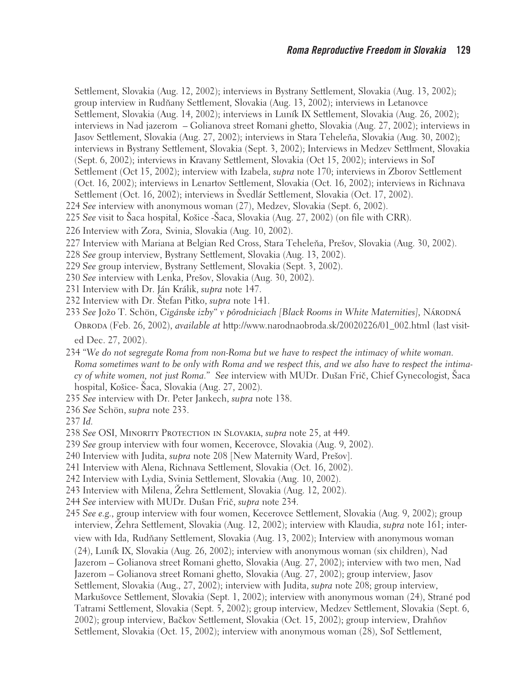Settlement, Slovakia (Aug. 12, 2002); interviews in Bystrany Settlement, Slovakia (Aug. 13, 2002); group interview in Rudπany Settlement, Slovakia (Aug. 13, 2002); interviews in Letanovce Settlement, Slovakia (Aug. 14, 2002); interviews in Luník IX Settlement, Slovakia (Aug. 26, 2002); interviews in Nad jazerom – Golianova street Romani ghetto, Slovakia (Aug. 27, 2002); interviews in Jasov Settlement, Slovakia (Aug. 27, 2002); interviews in Stara Teheleπa, Slovakia (Aug. 30, 2002); interviews in Bystrany Settlement, Slovakia (Sept. 3, 2002); Interviews in Medzev Settlment, Slovakia (Sept. 6, 2002); interviews in Kravany Settlement, Slovakia (Oct 15, 2002); interviews in So∂ Settlement (Oct 15, 2002); interview with Izabela, *subra* note 170; interviews in Zborov Settlement (Oct. 16, 2002); interviews in Lenartov Settlement, Slovakia (Oct. 16, 2002); interviews in Richnava

Settlement (Oct. 16, 2002); interviews in ≤vedlár Settlement, Slovakia (Oct. 17, 2002).

- 224 See interview with anonymous woman (27), Medzev, Slovakia (Sept. 6, 2002).
- 225 See visit to ≤aca hospital, Ko≥ice -≤aca, Slovakia (Aug. 27, 2002) (on file with CRR).
- 226 Interview with Zora, Svinia, Slovakia (Aug. 10, 2002).
- 227 Interview with Mariana at Belgian Red Cross, Stara Teheleπa, Pre≥ov, Slovakia (Aug. 30, 2002).
- 228 See group interview, Bystrany Settlement, Slovakia (Aug. 13, 2002).
- 229 See group interview, Bystrany Settlement, Slovakia (Sept. 3, 2002).
- 230 See interview with Lenka, Prešov, Slovakia (Aug. 30, 2002).
- 231 Interview with Dr. Ján Králik, supra note 147.
- 232 Interview with Dr. Štefan Pitko, *supra* note 141.
- 233 See Jožo T. Schön, Cigánske izby" v pôrodniciach [Black Rooms in White Maternities], NÁRODNÁ Obroda (Feb. 26, 2002), available at http://www.narodnaobroda.sk/20020226/01\_002.html (last visited Dec. 27, 2002).
- 234 "We do not segregate Roma from non-Roma but we have to respect the intimacy of white woman. Roma sometimes want to be only with Roma and we respect this, and we also have to respect the intimacy of white women, not just Roma." See interview with MUDr. Dušan Frič, Chief Gynecologist, Šaca hospital, Košice- Šaca, Slovakia (Aug. 27, 2002).
- 235 See interview with Dr. Peter Jankech, supra note 138.
- 236 See Schön, supra note 233.

237 Id.

- 238 See OSI, Minority Protection in Slovakia, supra note 25, at 449.
- 239 See group interview with four women, Kecerovce, Slovakia (Aug. 9, 2002).
- 240 Interview with Judita, supra note 208 [New Maternity Ward, Prešov].
- 241 Interview with Alena, Richnava Settlement, Slovakia (Oct. 16, 2002).
- 242 Interview with Lydia, Svinia Settlement, Slovakia (Aug. 10, 2002).
- 243 Interview with Milena, ∆ehra Settlement, Slovakia (Aug. 12, 2002).
- 244 See interview with MUDr. Dušan Frič, supra note 234.
- 245 See e.g., group interview with four women, Kecerovce Settlement, Slovakia (Aug. 9, 2002); group interview, ∆ehra Settlement, Slovakia (Aug. 12, 2002); interview with Klaudia, supra note 161; interview with Ida, Rudňany Settlement, Slovakia (Aug. 13, 2002); Interview with anonymous woman (24), Luník IX, Slovakia (Aug. 26, 2002); interview with anonymous woman (six children), Nad Jazerom – Golianova street Romani ghetto, Slovakia (Aug. 27, 2002); interview with two men, Nad Jazerom – Golianova street Romani ghetto, Slovakia (Aug. 27, 2002); group interview, Jasov Settlement, Slovakia (Aug., 27, 2002); interview with Judita, *supra* note 208; group interview, Markušovce Settlement, Slovakia (Sept. 1, 2002); interview with anonymous woman (24), Strané pod Tatrami Settlement, Slovakia (Sept. 5, 2002); group interview, Medzev Settlement, Slovakia (Sept. 6, 2002); group interview, Bačkov Settlement, Slovakia (Oct. 15, 2002); group interview, Drahňov Settlement, Slovakia (Oct. 15, 2002); interview with anonymous woman (28), So∂ Settlement,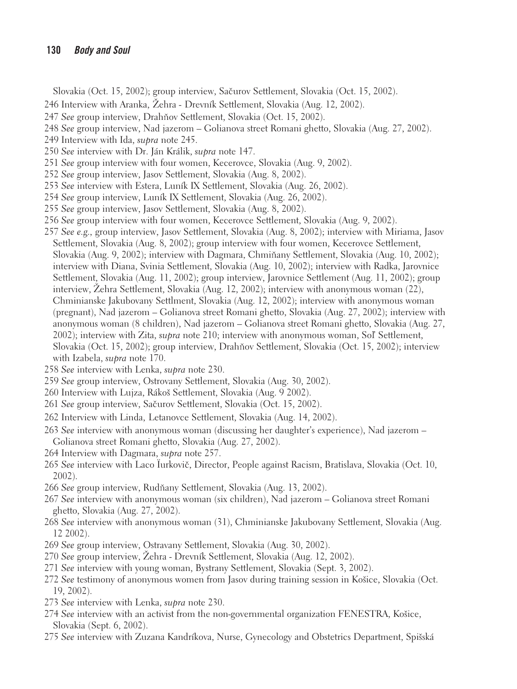- Slovakia (Oct. 15, 2002); group interview, Sačurov Settlement, Slovakia (Oct. 15, 2002).
- 246 Interview with Aranka, ∆ehra Drevník Settlement, Slovakia (Aug. 12, 2002).
- 247 See group interview, Drahπov Settlement, Slovakia (Oct. 15, 2002).
- 248 See group interview, Nad jazerom Golianova street Romani ghetto, Slovakia (Aug. 27, 2002).
- 249 Interview with Ida, supra note 245.
- 250 See interview with Dr. Ján Králik, supra note 147.
- 251 See group interview with four women, Kecerovce, Slovakia (Aug. 9, 2002).
- 252 See group interview, Jasov Settlement, Slovakia (Aug. 8, 2002).
- 253 See interview with Estera, Luník IX Settlement, Slovakia (Aug. 26, 2002).
- 254 See group interview, Luník IX Settlement, Slovakia (Aug. 26, 2002).
- 255 See group interview, Jasov Settlement, Slovakia (Aug. 8, 2002).
- 256 See group interview with four women, Kecerovce Settlement, Slovakia (Aug. 9, 2002).
- 257 See e.g., group interview, Jasov Settlement, Slovakia (Aug. 8, 2002); interview with Miriama, Jasov Settlement, Slovakia (Aug. 8, 2002); group interview with four women, Kecerovce Settlement, Slovakia (Aug. 9, 2002); interview with Dagmara, Chmiπany Settlement, Slovakia (Aug. 10, 2002); interview with Diana, Svinia Settlement, Slovakia (Aug. 10, 2002); interview with Radka, Jarovnice Settlement, Slovakia (Aug. 11, 2002); group interview, Jarovnice Settlement (Aug. 11, 2002); group interview, ∆ehra Settlement, Slovakia (Aug. 12, 2002); interview with anonymous woman (22), Chminianske Jakubovany Settlment, Slovakia (Aug. 12, 2002); interview with anonymous woman (pregnant), Nad jazerom – Golianova street Romani ghetto, Slovakia (Aug. 27, 2002); interview with anonymous woman (8 children), Nad jazerom – Golianova street Romani ghetto, Slovakia (Aug. 27, 2002); interview with Zita, *supra* note 210; interview with anonymous woman, Sol<sup>7</sup> Settlement, Slovakia (Oct. 15, 2002); group interview, Drahπov Settlement, Slovakia (Oct. 15, 2002); interview with Izabela, *supra* note 170.
- 258 See interview with Lenka, supra note 230.
- 259 See group interview, Ostrovany Settlement, Slovakia (Aug. 30, 2002).
- 260 Interview with Lujza, Ráko≥ Settlement, Slovakia (Aug. 9 2002).
- 261 See group interview, Sačurov Settlement, Slovakia (Oct. 15, 2002).
- 262 Interview with Linda, Letanovce Settlement, Slovakia (Aug. 14, 2002).
- 263 See interview with anonymous woman (discussing her daughter's experience), Nad jazerom Golianova street Romani ghetto, Slovakia (Aug. 27, 2002).
- 264 Interview with Dagmara, *supra* note 257.
- 265 See interview with Laco Ïurkovič, Director, People against Racism, Bratislava, Slovakia (Oct. 10, 2002).
- 266 See group interview, Rudπany Settlement, Slovakia (Aug. 13, 2002).
- 267 See interview with anonymous woman (six children), Nad jazerom Golianova street Romani ghetto, Slovakia (Aug. 27, 2002).
- 268 See interview with anonymous woman (31), Chminianske Jakubovany Settlement, Slovakia (Aug. 12 2002).
- 269 See group interview, Ostravany Settlement, Slovakia (Aug. 30, 2002).
- 270 See group interview, ∆ehra Drevník Settlement, Slovakia (Aug. 12, 2002).
- 271 See interview with young woman, Bystrany Settlement, Slovakia (Sept. 3, 2002).
- 272 See testimony of anonymous women from Jasov during training session in Košice, Slovakia (Oct. 19, 2002).
- 273 See interview with Lenka, supra note 230.
- 274 See interview with an activist from the non-governmental organization FENESTRA, Košice, Slovakia (Sept. 6, 2002).
- 275 See interview with Zuzana Kandríkova, Nurse, Gynecology and Obstetrics Department, Spišská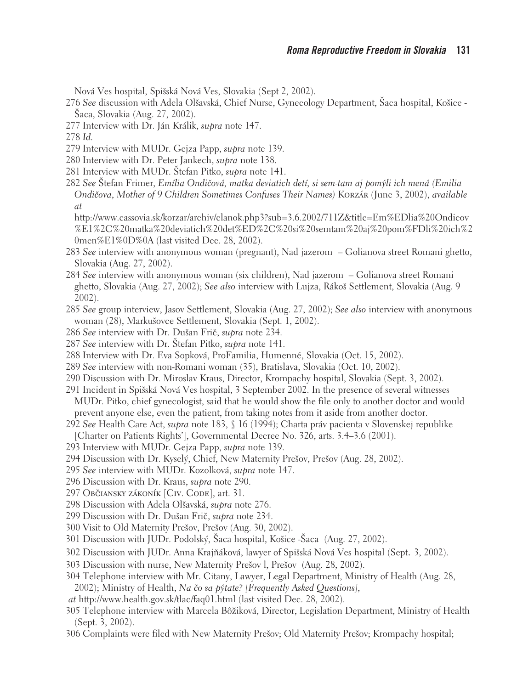Nová Ves hospital, Spi≥ská Nová Ves, Slovakia (Sept 2, 2002).

- 276 See discussion with Adela Olšavská, Chief Nurse, Gynecology Department, Šaca hospital, Košice -≤aca, Slovakia (Aug. 27, 2002).
- 277 Interview with Dr. Ján Králik, supra note 147.

278 Id.

- 279 Interview with MUDr. Gejza Papp, supra note 139.
- 280 Interview with Dr. Peter Jankech, *supra* note 138.
- 281 Interview with MUDr. Štefan Pitko, *subra* note 141.
- 282 See Štefan Frimer, Emília Ondičová, matka deviatich detí, si sem-tam aj pomýli ich mená (Emilia Ondi∞ova, Mother of 9 Children Sometimes Confuses Their Names) Korzár (June 3, 2002), available at
	- http://www.cassovia.sk/korzar/archiv/clanok.php3?sub=3.6.2002/711Z&title=Em%EDlia%20Ondicov %E1%2C%20matka%20deviatich%20det%ED%2C%20si%20semtam%20aj%20pom%FDli%20ich%2 0men%E1%0D%0A (last visited Dec. 28, 2002).
- 283 See interview with anonymous woman (pregnant), Nad jazerom Golianova street Romani ghetto, Slovakia (Aug. 27, 2002).
- 284 See interview with anonymous woman (six children), Nad jazerom Golianova street Romani ghetto, Slovakia (Aug. 27, 2002); See also interview with Lujza, Rákoš Settlement, Slovakia (Aug. 9 2002).
- 285 See group interview, Jasov Settlement, Slovakia (Aug. 27, 2002); See also interview with anonymous woman (28), Markušovce Settlement, Slovakia (Sept. 1, 2002).
- 286 See interview with Dr. Dušan Frič, supra note 234.
- 287 See interview with Dr. Štefan Pitko, *subra* note 141.
- 288 Interview with Dr. Eva Sopková, ProFamilia, Humenné, Slovakia (Oct. 15, 2002).
- 289 See interview with non-Romani woman (35), Bratislava, Slovakia (Oct. 10, 2002).
- 290 Discussion with Dr. Miroslav Kraus, Director, Krompachy hospital, Slovakia (Sept. 3, 2002).
- 291 Incident in Spi≥ská Nová Ves hospital, 3 September 2002. In the presence of several witnesses MUDr. Pitko, chief gynecologist, said that he would show the file only to another doctor and would prevent anyone else, even the patient, from taking notes from it aside from another doctor.
- 292 See Health Care Act, supra note 183, § 16 (1994); Charta práv pacienta v Slovenskej republike [Charter on Patients Rights'], Governmental Decree No. 326, arts. 3.4–3.6 (2001).
- 
- 293 Interview with MUDr. Gejza Papp, supra note 139.
- 294 Discussion with Dr. Kyselý, Chief, New Maternity Prešov, Prešov (Aug. 28, 2002).
- 295 See interview with MUDr. Kozolková, supra note 147.
- 296 Discussion with Dr. Kraus, supra note 290.
- 297 Občiansky zákoník [Civ. Code], art. 31.
- 298 Discussion with Adela Olšavská, supra note 276.
- 299 Discussion with Dr. Dušan Frič, supra note 234.
- 300 Visit to Old Maternity Pre≥ov, Pre≥ov (Aug. 30, 2002).
- 301 Discussion with JUDr. Podolsk√, ≤aca hospital, Ko≥ice -≤aca (Aug. 27, 2002).
- 302 Discussion with JUDr. Anna Krajπáková, lawyer of Spi≥ská Nová Ves hospital (Sept. 3, 2002).
- 303 Discussion with nurse, New Maternity Prešov l, Prešov (Aug. 28, 2002).
- 304 Telephone interview with Mr. Citany, Lawyer, Legal Department, Ministry of Health (Aug. 28, 2002); Ministry of Health, Na čo sa pýtate? [Frequently Asked Questions],
- at http://www.health.gov.sk/tlac/faq01.html (last visited Dec. 28, 2002).
- 305 Telephone interview with Marcela Bôžiková, Director, Legislation Department, Ministry of Health (Sept. 3, 2002).
- 306 Complaints were filed with New Maternity Pre≥ov; Old Maternity Pre≥ov; Krompachy hospital;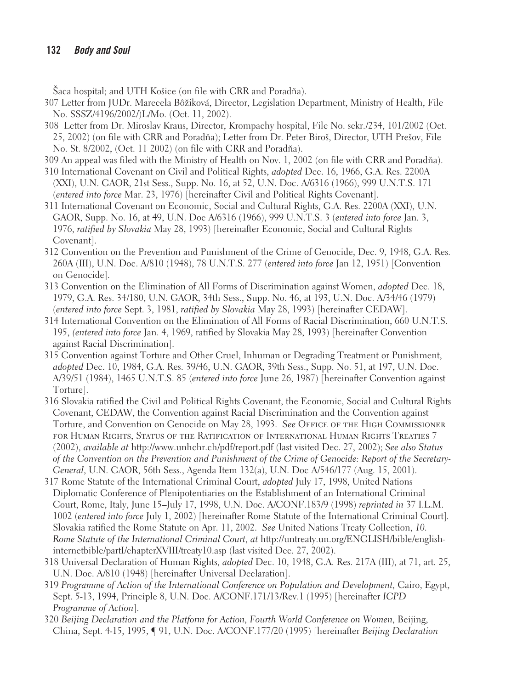Saca hospital; and UTH Košice (on file with CRR and Poradňa).

- 307 Letter from JUDr. Marecela Bôžiková, Director, Legislation Department, Ministry of Health, File No. SSSZ/4196/2002/)L/Mo. (Oct. 11, 2002).
- 308 Letter from Dr. Miroslav Kraus, Director, Krompachy hospital, File No. sekr./234, 101/2002 (Oct. 25, 2002) (on file with CRR and Poradňa); Letter from Dr. Peter Biroš, Director, UTH Prešov, File No. St. 8/2002, (Oct. 11 2002) (on file with CRR and Poradπa).
- 309 An appeal was filed with the Ministry of Health on Nov. 1, 2002 (on file with CRR and Poradπa).
- 310 International Covenant on Civil and Political Rights, adopted Dec. 16, 1966, G.A. Res. 2200A (XXI), U.N. GAOR, 21st Sess., Supp. No. 16, at 52, U.N. Doc. A/6316 (1966), 999 U.N.T.S. 171 (entered into force Mar. 23, 1976) [hereinafter Civil and Political Rights Covenant].
- 311 International Covenant on Economic, Social and Cultural Rights, G.A. Res. 2200A (XXI), U.N. GAOR, Supp. No. 16, at 49, U.N. Doc A/6316 (1966), 999 U.N.T.S. 3 (entered into force Jan. 3, 1976, ratified by Slovakia May 28, 1993) [hereinafter Economic, Social and Cultural Rights Covenant].
- 312 Convention on the Prevention and Punishment of the Crime of Genocide, Dec. 9, 1948, G.A. Res. 260A (III), U.N. Doc. A/810 (1948), 78 U.N.T.S. 277 (entered into force Jan 12, 1951) [Convention on Genocide].
- 313 Convention on the Elimination of All Forms of Discrimination against Women, adopted Dec. 18, 1979, G.A. Res. 34/180, U.N. GAOR, 34th Sess., Supp. No. 46, at 193, U.N. Doc. A/34/46 (1979) (entered into force Sept. 3, 1981, ratified by Slovakia May 28, 1993) [hereinafter CEDAW].
- 314 International Convention on the Elimination of All Forms of Racial Discrimination, 660 U.N.T.S. 195, (entered into force Jan. 4, 1969, ratified by Slovakia May 28, 1993) [hereinafter Convention against Racial Discrimination].
- 315 Convention against Torture and Other Cruel, Inhuman or Degrading Treatment or Punishment, adopted Dec. 10, 1984, G.A. Res. 39/46, U.N. GAOR, 39th Sess., Supp. No. 51, at 197, U.N. Doc. A/39/51 (1984), 1465 U.N.T.S. 85 (entered into force June 26, 1987) [hereinafter Convention against Torture].
- 316 Slovakia ratified the Civil and Political Rights Covenant, the Economic, Social and Cultural Rights Covenant, CEDAW, the Convention against Racial Discrimination and the Convention against Torture, and Convention on Genocide on May 28, 1993. See OFFICE OF THE HIGH COMMISSIONER for Human Rights, Status of the Ratification of International Human Rights Treaties 7 (2002), available at http://www.unhchr.ch/pdf/report.pdf (last visited Dec. 27, 2002); See also Status of the Convention on the Prevention and Punishment of the Crime of Genocide: Report of the Secretary-General, U.N. GAOR, 56th Sess., Agenda Item 132(a), U.N. Doc A/546/177 (Aug. 15, 2001).
- 317 Rome Statute of the International Criminal Court, adopted July 17, 1998, United Nations Diplomatic Conference of Plenipotentiaries on the Establishment of an International Criminal Court, Rome, Italy, June 15–July 17, 1998, U.N. Doc. A/CONF.183/9 (1998) reprinted in 37 I.L.M. 1002 (entered into force July 1, 2002) [hereinafter Rome Statute of the International Criminal Court]. Slovakia ratified the Rome Statute on Apr. 11, 2002. See United Nations Treaty Collection, 10. Rome Statute of the International Criminal Court, at http://untreaty.un.org/ENGLISH/bible/englishinternetbible/partI/chapterXVIII/treaty10.asp (last visited Dec. 27, 2002).
- 318 Universal Declaration of Human Rights, adopted Dec. 10, 1948, G.A. Res. 217A (III), at 71, art. 25, U.N. Doc. A/810 (1948) [hereinafter Universal Declaration].
- 319 Programme of Action of the International Conference on Population and Development, Cairo, Egypt, Sept. 5-13, 1994, Principle 8, U.N. Doc. A/CONF.171/13/Rev.1 (1995) [hereinafter ICPD Programme of Action].
- 320 Beijing Declaration and the Platform for Action, Fourth World Conference on Women, Beijing, China, Sept. 4-15, 1995, ¶ 91, U.N. Doc. A/CONF.177/20 (1995) [hereinafter Beijing Declaration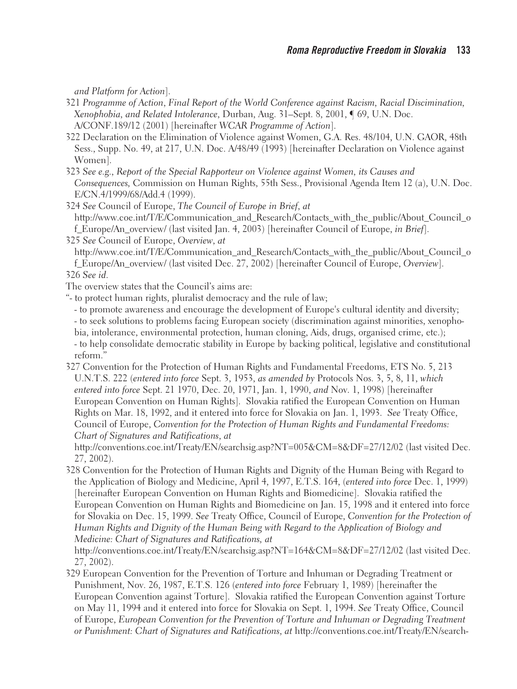and Platform for Action].

- 321 Programme of Action, Final Report of the World Conference against Racism, Racial Discimination, Xenophobia, and Related Intolerance, Durban, Aug. 31–Sept. 8, 2001, ¶ 69, U.N. Doc. A/CONF.189/12 (2001) [hereinafter WCAR Programme of Action].
- 322 Declaration on the Elimination of Violence against Women, G.A. Res. 48/104, U.N. GAOR, 48th Sess., Supp. No. 49, at 217, U.N. Doc. A/48/49 (1993) [hereinafter Declaration on Violence against Women].
- 323 See e.g., Report of the Special Rapporteur on Violence against Women, its Causes and Consequences, Commission on Human Rights, 55th Sess., Provisional Agenda Item 12 (a), U.N. Doc. E/CN.4/1999/68/Add.4 (1999).
- 324 See Council of Europe, The Council of Europe in Brief, at http://www.coe.int/T/E/Communication\_and\_Research/Contacts\_with\_the\_public/About\_Council\_o f\_Europe/An\_overview/ (last visited Jan. 4, 2003) [hereinafter Council of Europe, in Brief].
- 325 See Council of Europe, Overview, at

http://www.coe.int/T/E/Communication\_and\_Research/Contacts\_with\_the\_public/About\_Council\_o f\_Europe/An\_overview/ (last visited Dec. 27, 2002) [hereinafter Council of Europe, Overview]. 326 See id.

The overview states that the Council's aims are:

- "- to protect human rights, pluralist democracy and the rule of law;
	- to promote awareness and encourage the development of Europe's cultural identity and diversity;
	- to seek solutions to problems facing European society (discrimination against minorities, xenophobia, intolerance, environmental protection, human cloning, Aids, drugs, organised crime, etc.); - to help consolidate democratic stability in Europe by backing political, legislative and constitutional reform.'
- 327 Convention for the Protection of Human Rights and Fundamental Freedoms, ETS No. 5, 213 U.N.T.S. 222 (entered into force Sept. 3, 1953, as amended by Protocols Nos. 3, 5, 8, 11, which entered into force Sept. 21 1970, Dec. 20, 1971, Jan. 1, 1990, and Nov. 1, 1998) [hereinafter European Convention on Human Rights]. Slovakia ratified the European Convention on Human Rights on Mar. 18, 1992, and it entered into force for Slovakia on Jan. 1, 1993. See Treaty Office, Council of Europe, Convention for the Protection of Human Rights and Fundamental Freedoms: Chart of Signatures and Ratifications, at

http://conventions.coe.int/Treaty/EN/searchsig.asp?NT=005&CM=8&DF=27/12/02 (last visited Dec. 27, 2002).

328 Convention for the Protection of Human Rights and Dignity of the Human Being with Regard to the Application of Biology and Medicine, April 4, 1997, E.T.S. 164, (entered into force Dec. 1, 1999) [hereinafter European Convention on Human Rights and Biomedicine]. Slovakia ratified the European Convention on Human Rights and Biomedicine on Jan. 15, 1998 and it entered into force for Slovakia on Dec. 15, 1999. See Treaty Office, Council of Europe, Convention for the Protection of Human Rights and Dignity of the Human Being with Regard to the Application of Biology and Medicine: Chart of Signatures and Ratifications, at

http://conventions.coe.int/Treaty/EN/searchsig.asp?NT=164&CM=8&DF=27/12/02 (last visited Dec. 27, 2002).

329 European Convention for the Prevention of Torture and Inhuman or Degrading Treatment or Punishment, Nov. 26, 1987, E.T.S. 126 (entered into force February 1, 1989) [hereinafter the European Convention against Torture]. Slovakia ratified the European Convention against Torture on May 11, 1994 and it entered into force for Slovakia on Sept. 1, 1994. See Treaty Office, Council of Europe, European Convention for the Prevention of Torture and Inhuman or Degrading Treatment or Punishment: Chart of Signatures and Ratifications, at http://conventions.coe.int/Treaty/EN/search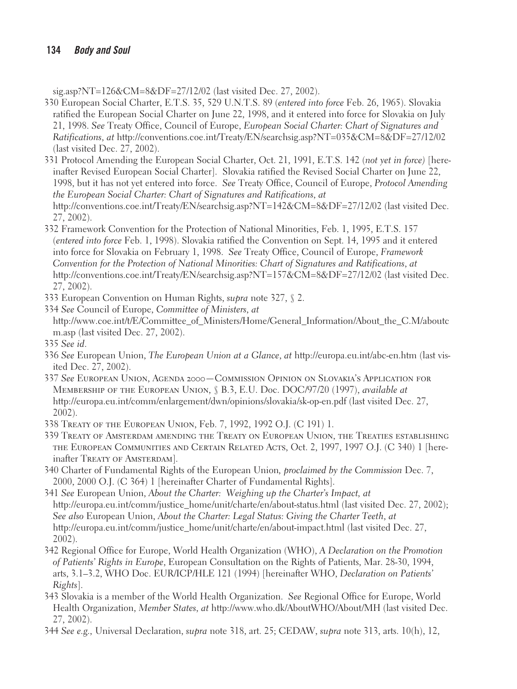sig.asp?NT=126&CM=8&DF=27/12/02 (last visited Dec. 27, 2002).

- 330 European Social Charter, E.T.S. 35, 529 U.N.T.S. 89 (entered into force Feb. 26, 1965). Slovakia ratified the European Social Charter on June 22, 1998, and it entered into force for Slovakia on July 21, 1998. See Treaty Office, Council of Europe, European Social Charter: Chart of Signatures and Ratifications, at http://conventions.coe.int/Treaty/EN/searchsig.asp?NT=035&CM=8&DF=27/12/02 (last visited Dec. 27, 2002).
- 331 Protocol Amending the European Social Charter, Oct. 21, 1991, E.T.S. 142 (not yet in force) [hereinafter Revised European Social Charter]. Slovakia ratified the Revised Social Charter on June 22, 1998, but it has not yet entered into force. See Treaty Office, Council of Europe, Protocol Amending the European Social Charter: Chart of Signatures and Ratifications, at http://conventions.coe.int/Treaty/EN/searchsig.asp?NT=142&CM=8&DF=27/12/02 (last visited Dec. 27, 2002).
- 332 Framework Convention for the Protection of National Minorities, Feb. 1, 1995, E.T.S. 157 (entered into force Feb. 1, 1998). Slovakia ratified the Convention on Sept. 14, 1995 and it entered into force for Slovakia on February 1, 1998. See Treaty Office, Council of Europe, Framework Convention for the Protection of National Minorities: Chart of Signatures and Ratifications, at http://conventions.coe.int/Treaty/EN/searchsig.asp?NT=157&CM=8&DF=27/12/02 (last visited Dec. 27, 2002).
- 333 European Convention on Human Rights, *supra* note 327, § 2.
- 334 See Council of Europe, Committee of Ministers, at
- http://www.coe.int/t/E/Committee\_of\_Ministers/Home/General\_Information/About\_the\_C.M/aboutc m.asp (last visited Dec. 27, 2002).
- 335 See id.
- 336 See European Union, The European Union at a Glance, at http://europa.eu.int/abc-en.htm (last visited Dec. 27, 2002).
- 337 See European Union, Agenda 2000—Commission Opinion on Slovakia's Application for MEMBERSHIP OF THE EUROPEAN UNION, § B.3, E.U. Doc. DOC/97/20 (1997), available at http://europa.eu.int/comm/enlargement/dwn/opinions/slovakia/sk-op-en.pdf (last visited Dec. 27, 2002).
- 338 Treaty of the European Union, Feb. 7, 1992, 1992 O.J. (C 191) 1.
- 339 Treaty of Amsterdam amending the Treaty on European Union, the Treaties establishing the European Communities and Certain Related Acts, Oct. 2, 1997, 1997 O.J. (C 340) 1 [hereinafter Treaty of Amsterdam].
- 340 Charter of Fundamental Rights of the European Union, *proclaimed by the Commission Dec.* 7, 2000, 2000 O.J. (C 364) 1 [hereinafter Charter of Fundamental Rights].
- 341 See European Union, About the Charter: Weighing up the Charter's Impact, at http://europa.eu.int/comm/justice\_home/unit/charte/en/about-status.html (last visited Dec. 27, 2002); See also European Union, About the Charter: Legal Status: Giving the Charter Teeth, at http://europa.eu.int/comm/justice\_home/unit/charte/en/about-impact.html (last visited Dec. 27, 2002).
- 342 Regional Office for Europe, World Health Organization (WHO), A Declaration on the Promotion of Patients' Rights in Europe, European Consultation on the Rights of Patients, Mar. 28-30, 1994, arts, 3.1–3.2, WHO Doc. EUR/ICP/HLE 121 (1994) [hereinafter WHO, Declaration on Patients' Rights].
- 343 Slovakia is a member of the World Health Organization. See Regional Office for Europe, World Health Organization, Member States, at http://www.who.dk/AboutWHO/About/MH (last visited Dec. 27, 2002).
- 344 See e.g., Universal Declaration, supra note 318, art. 25; CEDAW, supra note 313, arts.  $10(h)$ , 12,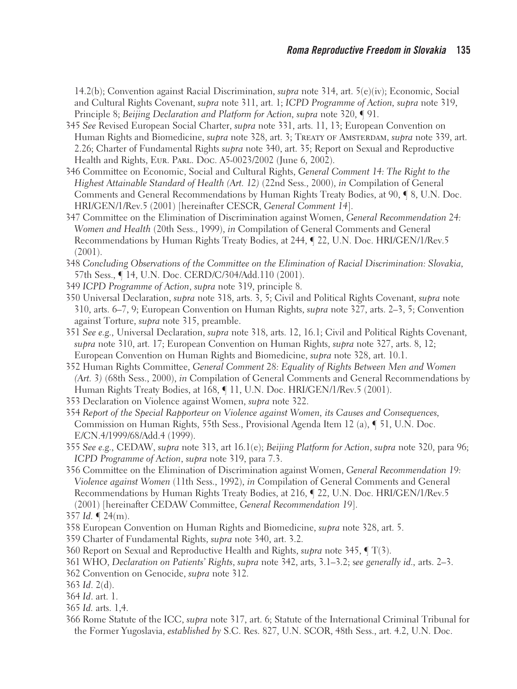14.2(b); Convention against Racial Discrimination, supra note 314, art. 5(e)(iv); Economic, Social and Cultural Rights Covenant, *supra* note 311, art. 1; ICPD Programme of Action, supra note 319, Principle 8: Beijing Declaration and Platform for Action, supra note 320, 191.

- 345 See Revised European Social Charter, *supra* note 331, arts. 11, 13; European Convention on Human Rights and Biomedicine, *supra* note 328, art. 3; TREATY OF AMSTERDAM, *supra* note 339, art. 2.26; Charter of Fundamental Rights  $\mathfrak{supra}$  note 340, art. 35; Report on Sexual and Reproductive Health and Rights, Eur. Parl. Doc. A5-0023/2002 (June 6, 2002).
- 346 Committee on Economic, Social and Cultural Rights, General Comment 14: The Right to the Highest Attainable Standard of Health (Art. 12) (22nd Sess., 2000), in Compilation of General Comments and General Recommendations by Human Rights Treaty Bodies, at 90, ¶ 8, U.N. Doc. HRI/GEN/1/Rev.5 (2001) [hereinafter CESCR, General Comment 14].
- 347 Committee on the Elimination of Discrimination against Women, General Recommendation 24: Women and Health (20th Sess., 1999), in Compilation of General Comments and General Recommendations by Human Rights Treaty Bodies, at 244, ¶ 22, U.N. Doc. HRI/GEN/1/Rev.5  $(2001)$ .
- 348 Concluding Observations of the Committee on the Elimination of Racial Discrimination: Slovakia, 57th Sess., ¶ 14, U.N. Doc. CERD/C/304/Add.110 (2001).
- 349 ICPD Programme of Action, supra note 319, principle 8.
- 350 Universal Declaration, supra note 318, arts. 3, 5; Civil and Political Rights Covenant, supra note 310, arts.  $6-7$ , 9; European Convention on Human Rights, supra note 327, arts.  $2-3$ , 5; Convention against Torture, *supra* note 315, preamble.
- 351 See e.g., Universal Declaration, supra note 318, arts. 12, 16.1; Civil and Political Rights Covenant, subra note 310, art. 17; European Convention on Human Rights, supra note 327, arts. 8, 12; European Convention on Human Rights and Biomedicine, supra note 328, art. 10.1.
- 352 Human Rights Committee, General Comment 28: Equality of Rights Between Men and Women (Art. 3) (68th Sess., 2000), in Compilation of General Comments and General Recommendations by Human Rights Treaty Bodies, at 168, ¶ 11, U.N. Doc. HRI/GEN/1/Rev.5 (2001).
- 353 Declaration on Violence against Women, supra note 322.
- 354 Report of the Special Rapporteur on Violence against Women, its Causes and Consequences, Commission on Human Rights, 55th Sess., Provisional Agenda Item 12 (a), ¶ 51, U.N. Doc. E/CN.4/1999/68/Add.4 (1999).
- 355 See e.g., CEDAW, supra note 313, art 16.1(e); Beijing Platform for Action, supra note 320, para 96; ICPD Programme of Action, supra note 319, para 7.3.
- 356 Committee on the Elimination of Discrimination against Women, General Recommendation 19: Violence against Women (11th Sess., 1992), in Compilation of General Comments and General Recommendations by Human Rights Treaty Bodies, at 216, ¶ 22, U.N. Doc. HRI/GEN/1/Rev.5 (2001) [hereinafter CEDAW Committee, General Recommendation 19].
- 357 Id. ¶ 24(m).
- 358 European Convention on Human Rights and Biomedicine, supra note 328, art. 5.
- 359 Charter of Fundamental Rights, supra note 340, art. 3.2.
- 360 Report on Sexual and Reproductive Health and Rights, supra note 345,  $\P$  T(3).
- 361 WHO, Declaration on Patients' Rights, supra note 342, arts, 3.1–3.2; see generally id., arts. 2–3.
- 362 Convention on Genocide, supra note 312.
- $363$  Id.  $2(d)$ .
- 364 Id. art. 1.
- 365 Id. arts. 1,4.
- 366 Rome Statute of the ICC, supra note 317, art. 6; Statute of the International Criminal Tribunal for the Former Yugoslavia, established by S.C. Res. 827, U.N. SCOR, 48th Sess., art. 4.2, U.N. Doc.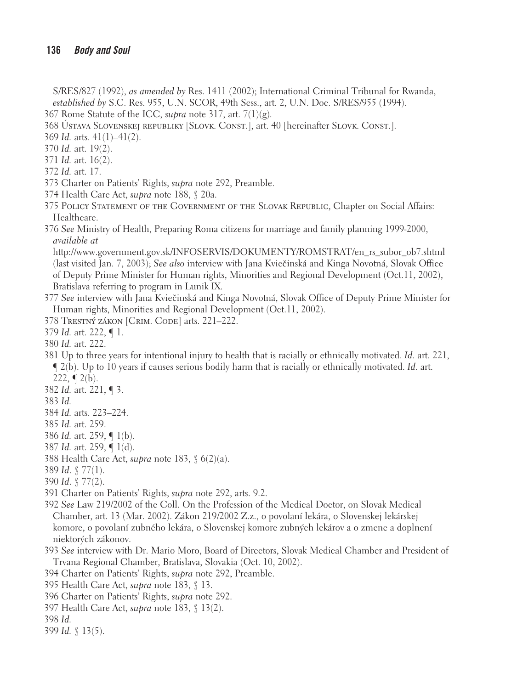S/RES/827 (1992), as amended by Res. 1411 (2002); International Criminal Tribunal for Rwanda, established by S.C. Res. 955, U.N. SCOR, 49th Sess., art. 2, U.N. Doc. S/RES/955 (1994).

- 367 Rome Statute of the ICC, supra note 317, art.  $7(1)(g)$ .
- 368 Ústava Slovenskej republiky [Slovk. Const.], art. 40 [hereinafter Slovk. Const.].

369 *Id.* arts. 41(1)–41(2).

370 Id. art. 19(2).

371 Id. art. 16(2).

372 Id. art. 17.

- 373 Charter on Patients' Rights, supra note 292, Preamble.
- 374 Health Care Act, *supra* note 188, § 20a.
- 375 Policy Statement of the Government of the Slovak Republic, Chapter on Social Affairs: Healthcare.
- 376 See Ministry of Health, Preparing Roma citizens for marriage and family planning 1999-2000, available at

http://www.government.gov.sk/INFOSERVIS/DOKUMENTY/ROMSTRAT/en\_rs\_subor\_ob7.shtml (last visited Jan. 7, 2003); See also interview with Jana Kviečinská and Kinga Novotná, Slovak Office of Deputy Prime Minister for Human rights, Minorities and Regional Development (Oct.11, 2002), Bratislava referring to program in Lunik IX.

- 377 See interview with Jana Kviečinská and Kinga Novotná, Slovak Office of Deputy Prime Minister for Human rights, Minorities and Regional Development (Oct.11, 2002).
- 378 Trestn√ zákon [Crim. Code] arts. 221–222.
- 379 Id. art. 222, ¶ 1.
- 380 Id. art. 222.
- 381 Up to three years for intentional injury to health that is racially or ethnically motivated. Id. art. 221, ¶ 2(b). Up to 10 years if causes serious bodily harm that is racially or ethnically motivated. Id. art. 222,  $\P$  2(b).
- 382 Id. art. 221, ¶ 3.
- 383 Id.
- 384 Id. arts. 223–224.
- 385 Id. art. 259.
- 386 Id. art. 259, ¶ 1(b).
- 387 Id. art. 259, 1 1(d).
- 388 Health Care Act, supra note 183, § 6(2)(a).
- 389 Id. § 77(1).

390 Id. § 77(2).

391 Charter on Patients' Rights, supra note 292, arts. 9.2.

392 See Law 219/2002 of the Coll. On the Profession of the Medical Doctor, on Slovak Medical Chamber, art. 13 (Mar. 2002). Zákon 219/2002 Z.z., o povolaní lekára, o Slovenskej lekárskej komore, o povolaní zubného lekára, o Slovenskej komore zubn√ch lekárov a o zmene a doplnení niektor√ch zákonov.

- 393 See interview with Dr. Mario Moro, Board of Directors, Slovak Medical Chamber and President of Trvana Regional Chamber, Bratislava, Slovakia (Oct. 10, 2002).
- 394 Charter on Patients' Rights, supra note 292, Preamble.
- 395 Health Care Act, *supra* note 183, § 13.
- 396 Charter on Patients' Rights, *supra* note 292.
- 397 Health Care Act, supra note 183, § 13(2).
- 398 Id.
- 399 Id. § 13(5).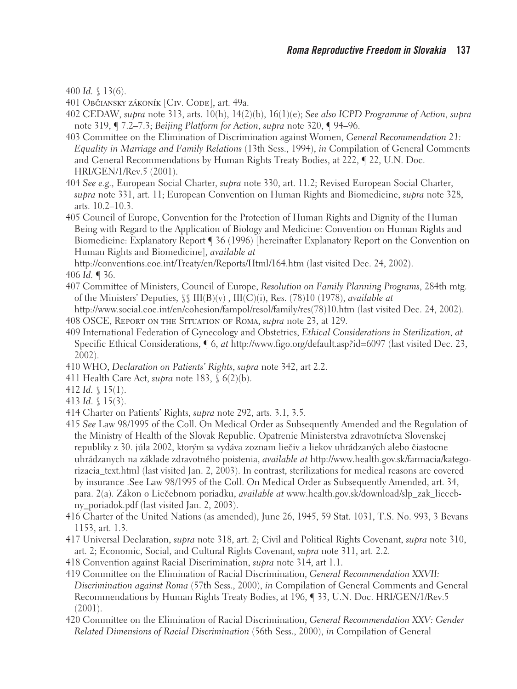400 Id. § 13(6).

401 Občiansky zákoník [Civ. Code], art. 49a.

- 402 CEDAW, supra note 313, arts. 10(h), 14(2)(b), 16(1)(e); See also ICPD Programme of Action, supra note 319, ¶ 7.2–7.3; Beijing Platform for Action, supra note 320, ¶ 94–96.
- 403 Committee on the Elimination of Discrimination against Women, General Recommendation 21: Equality in Marriage and Family Relations (13th Sess., 1994), in Compilation of General Comments and General Recommendations by Human Rights Treaty Bodies, at 222,  $\P$  22, U.N. Doc. HRI/GEN/1/Rev.5 (2001).
- 404 See e.g., European Social Charter, supra note 330, art. 11.2; Revised European Social Charter, supra note 331, art. 11; European Convention on Human Rights and Biomedicine, *supra* note 328, arts. 10.2–10.3.
- 405 Council of Europe, Convention for the Protection of Human Rights and Dignity of the Human Being with Regard to the Application of Biology and Medicine: Convention on Human Rights and Biomedicine: Explanatory Report ¶ 36 (1996) [hereinafter Explanatory Report on the Convention on Human Rights and Biomedicine], available at

http://conventions.coe.int/Treaty/en/Reports/Html/164.htm (last visited Dec. 24, 2002). 406 Id. ¶ 36.

407 Committee of Ministers, Council of Europe, Resolution on Family Planning Programs, 284th mtg. of the Ministers' Deputies,  $\int \int \Pi(B)(v)$ ,  $\Pi(C)(i)$ , Res. (78)10 (1978), *available at* 

http://www.social.coe.int/en/cohesion/fampol/resol/family/res(78)10.htm (last visited Dec. 24, 2002). 408 OSCE, Report on the Situation of Roma, supra note 23, at 129.

- 409 International Federation of Gynecology and Obstetrics, Ethical Considerations in Sterilization, at Specific Ethical Considerations,  $\oint$  6, *at* http://www.figo.org/default.asp?id=6097 (last visited Dec. 23, 2002).
- 410 WHO, Declaration on Patients' Rights, supra note 342, art 2.2.
- 411 Health Care Act, *supra* note 183, § 6(2)(b).
- 412 Id. § 15(1).
- 413 Id. § 15(3).
- 414 Charter on Patients' Rights, supra note 292, arts. 3.1, 3.5.
- 415 See Law 98/1995 of the Coll. On Medical Order as Subsequently Amended and the Regulation of the Ministry of Health of the Slovak Republic. Opatrenie Ministerstva zdravotníctva Slovenskej republiky z 30. júla 2002, ktorým sa vydáva zoznam liečiv a liekov uhrádzaných alebo čiastocne uhrádzanych na základe zdravotného poistenia, available at http://www.health.gov.sk/farmacia/kategorizacia\_text.html (last visited Jan. 2, 2003). In contrast, sterilizations for medical reasons are covered by insurance .See Law 98/1995 of the Coll. On Medical Order as Subsequently Amended, art. 34, para. 2(a). Zákon o Liečebnom poriadku, *available at* www.health.gov.sk/download/slp\_zak\_liecebny\_poriadok.pdf (last visited Jan. 2, 2003).
- 416 Charter of the United Nations (as amended), June 26, 1945, 59 Stat. 1031, T.S. No. 993, 3 Bevans 1153, art. 1.3.
- 417 Universal Declaration, supra note 318, art. 2; Civil and Political Rights Covenant, supra note 310, art. 2; Economic, Social, and Cultural Rights Covenant, supra note 311, art. 2.2.
- 418 Convention against Racial Discrimination, supra note 314, art 1.1.
- 419 Committee on the Elimination of Racial Discrimination, General Recommendation XXVII: Discrimination against Roma (57th Sess., 2000), in Compilation of General Comments and General Recommendations by Human Rights Treaty Bodies, at 196, ¶ 33, U.N. Doc. HRI/GEN/1/Rev.5  $(2001)$ .
- 420 Committee on the Elimination of Racial Discrimination, General Recommendation XXV: Gender Related Dimensions of Racial Discrimination (56th Sess., 2000), in Compilation of General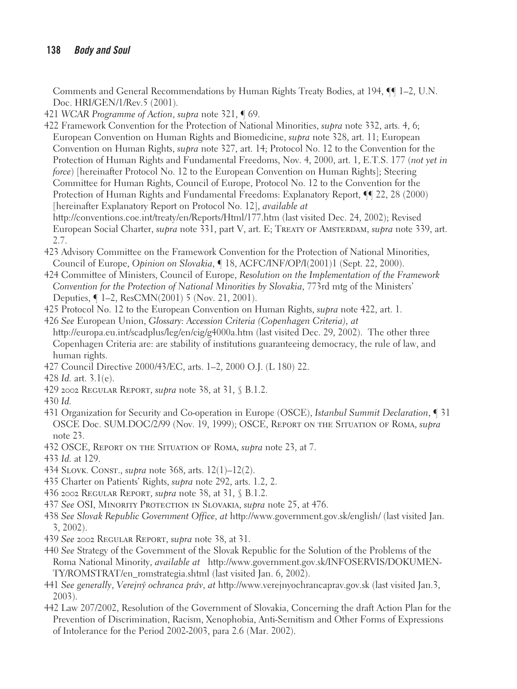Comments and General Recommendations by Human Rights Treaty Bodies, at 194,  $\P$  1–2, U.N. Doc. HRI/GEN/1/Rev.5 (2001).

421 WCAR Programme of Action, subra note 321, 169.

422 Framework Convention for the Protection of National Minorities, supra note 332, arts. 4, 6; European Convention on Human Rights and Biomedicine, supra note 328, art. 11; European Convention on Human Rights, supra note 327, art. 14; Protocol No. 12 to the Convention for the Protection of Human Rights and Fundamental Freedoms, Nov. 4, 2000, art. 1, E.T.S. 177 (not yet in force) [hereinafter Protocol No. 12 to the European Convention on Human Rights]; Steering Committee for Human Rights, Council of Europe, Protocol No. 12 to the Convention for the Protection of Human Rights and Fundamental Freedoms: Explanatory Report,  $\P$  22, 28 (2000) [hereinafter Explanatory Report on Protocol No. 12], *available at* 

http://conventions.coe.int/treaty/en/Reports/Html/177.htm (last visited Dec. 24, 2002); Revised European Social Charter, *supra* note 331, part V, art. E; TREATY OF AMSTERDAM, *supra* note 339, art. 2.7.

- 423 Advisory Committee on the Framework Convention for the Protection of National Minorities, Council of Europe, Opinion on Slovakia, ¶ 18, ACFC/INF/OP/I(2001)1 (Sept. 22, 2000).
- 424 Committee of Ministers, Council of Europe, Resolution on the Implementation of the Framework Convention for the Protection of National Minorities by Slovakia, 773rd mtg of the Ministers' Deputies, ¶ 1–2, ResCMN(2001) 5 (Nov. 21, 2001).
- 425 Protocol No. 12 to the European Convention on Human Rights, *supra* note 422, art. 1.
- 426 See European Union, Glossary: Accession Criteria (Copenhagen Criteria), at http://europa.eu.int/scadplus/leg/en/cig/g4000a.htm (last visited Dec. 29, 2002). The other three Copenhagen Criteria are: are stability of institutions guaranteeing democracy, the rule of law, and human rights.
- 427 Council Directive 2000/43/EC, arts. 1–2, 2000 O.J. (L 180) 22.
- 428 Id. art. 3.1(e).
- 429 2002 Regular Report, supra note 38, at 31, § B.1.2.
- 430 Id.
- 431 Organization for Security and Co-operation in Europe (OSCE), Istanbul Summit Declaration, ¶ 31 OSCE Doc. SUM.DOC/2/99 (Nov. 19, 1999); OSCE, Report on the Situation of Roma, supra note 23.
- 432 OSCE, Report on the Situation of Roma, supra note 23, at 7.
- 433 Id. at 129.
- 434 Slovk. Const., supra note 368, arts. 12(1)–12(2).
- 435 Charter on Patients' Rights, supra note 292, arts. 1.2, 2.
- 436 2002 Regular Report, supra note 38, at 31, § B.1.2.
- 437 See OSI, Minority Protection in Slovakia, supra note 25, at 476.
- 438 See Slovak Republic Government Office, at http://www.government.gov.sk/english/ (last visited Jan. 3, 2002).
- 439 See 2002 Regular Report, supra note 38, at 31.
- 440 See Strategy of the Government of the Slovak Republic for the Solution of the Problems of the Roma National Minority, available at http://www.government.gov.sk/INFOSERVIS/DOKUMEN-TY/ROMSTRAT/en\_romstrategia.shtml (last visited Jan. 6, 2002).
- 441 See generally, Verejn√ ochranca práv, at http://www.verejnyochrancaprav.gov.sk (last visited Jan.3, 2003).
- 442 Law 207/2002, Resolution of the Government of Slovakia, Concerning the draft Action Plan for the Prevention of Discrimination, Racism, Xenophobia, Anti-Semitism and Other Forms of Expressions of Intolerance for the Period 2002-2003, para 2.6 (Mar. 2002).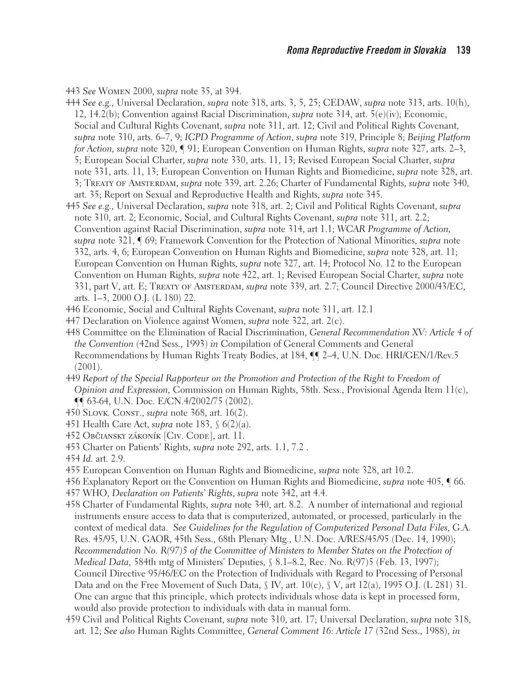443 See Women 2000, supra note 35, at 394.

- 444 See e.g., Universal Declaration, supra note 318, arts. 3, 5, 25; CEDAW, supra note 313, arts. 10(h), 12, 14.2(b); Convention against Racial Discrimination, *subra* note 314, art.  $5(e)(iv)$ ; Economic, Social and Cultural Rights Covenant, *supra* note 311, art. 12; Civil and Political Rights Covenant, supra note 310, arts. 6–7, 9; ICPD Programme of Action, supra note 319, Principle 8; Beijing Platform for Action, supra note 320,  $\P$  91; European Convention on Human Rights, supra note 327, arts. 2–3, 5; European Social Charter, supra note 330, arts. 11, 13; Revised European Social Charter, supra note 331, arts. 11, 13; European Convention on Human Rights and Biomedicine, *subra* note 328, art. 3; Treaty of Amsterdam, supra note 339, art. 2.26; Charter of Fundamental Rights, supra note 340, art. 35; Report on Sexual and Reproductive Health and Rights, *supra* note 345.
- 445 See e.g., Universal Declaration, *supra* note 318, art. 2; Civil and Political Rights Covenant, *supra* note 310, art. 2; Economic, Social, and Cultural Rights Covenant, supra note 311, art. 2.2; Convention against Racial Discrimination, supra note 314, art 1.1; WCAR Programme of Action, supra note 321, <sup>*(*69</sup>; Framework Convention for the Protection of National Minorities, supra note 332, arts. 4, 6; European Convention on Human Rights and Biomedicine, supra note 328, art. 11; European Convention on Human Rights, supra note 327, art. 14; Protocol No. 12 to the European Convention on Human Rights, *supra* note 422, art. 1; Revised European Social Charter, *supra* note 331, part V, art. E; Treaty of Amsterdam, supra note 339, art. 2.7; Council Directive 2000/43/EC, arts. 1–3, 2000 O.J. (L 180) 22.
- 446 Economic, Social and Cultural Rights Covenant, supra note 311, art. 12.1
- 447 Declaration on Violence against Women, supra note 322, art. 2(c).
- 448 Committee on the Elimination of Racial Discrimination, General Recommendation XV: Article 4 of the Convention (42nd Sess., 1993) in Compilation of General Comments and General Recommendations by Human Rights Treaty Bodies, at 184, ¶¶ 2–4, U.N. Doc. HRI/GEN/1/Rev.5  $(2001)$ .
- 449 Report of the Special Rapporteur on the Promotion and Protection of the Right to Freedom of Opinion and Expression, Commission on Human Rights, 58th. Sess., Provisional Agenda Item 11(c), ¶¶ 63-64, U.N. Doc. E/CN.4/2002/75 (2002).
- 450 Slovk. Const., supra note 368, art. 16(2).
- 451 Health Care Act, supra note 183, § 6(2)(a).
- 452 Občiansky zákoník [Civ. Code], art. 11.
- 453 Charter on Patients' Rights, supra note 292, arts. 1.1, 7.2 .
- 454 Id. art. 2.9.
- 455 European Convention on Human Rights and Biomedicine, supra note 328, art 10.2.
- 456 Explanatory Report on the Convention on Human Rights and Biomedicine, *supra* note 405,  $\triangleleft$  66.
- 457 WHO, Declaration on Patients' Rights, supra note 342, art 4.4.
- 458 Charter of Fundamental Rights, supra note 340, art. 8.2. A number of international and regional instruments ensure access to data that is computerized, automated, or processed, particularly in the context of medical data. See Guidelines for the Regulation of Computerized Personal Data Files, G.A. Res. 45/95, U.N. GAOR, 45th Sess., 68th Plenary Mtg., U.N. Doc. A/RES/45/95 (Dec. 14, 1990); Recommendation No. R(97)5 of the Committee of Ministers to Member States on the Protection of *Medical Data*, 584th mtg of Ministers' Deputies,  $\frac{6}{3}$  8.1–8.2, Rec. No. R(97)5 (Feb. 13, 1997); Council Directive 95/46/EC on the Protection of Individuals with Regard to Processing of Personal Data and on the Free Movement of Such Data,  $\int$  IV, art. 10(c),  $\int$  V, art 12(a), 1995 O.J. (L 281) 31. One can argue that this principle, which protects individuals whose data is kept in processed form, would also provide protection to individuals with data in manual form.
- 459 Civil and Political Rights Covenant, supra note 310, art. 17; Universal Declaration, supra note 318, art. 12; See also Human Rights Committee, General Comment 16: Article 17 (32nd Sess., 1988), in